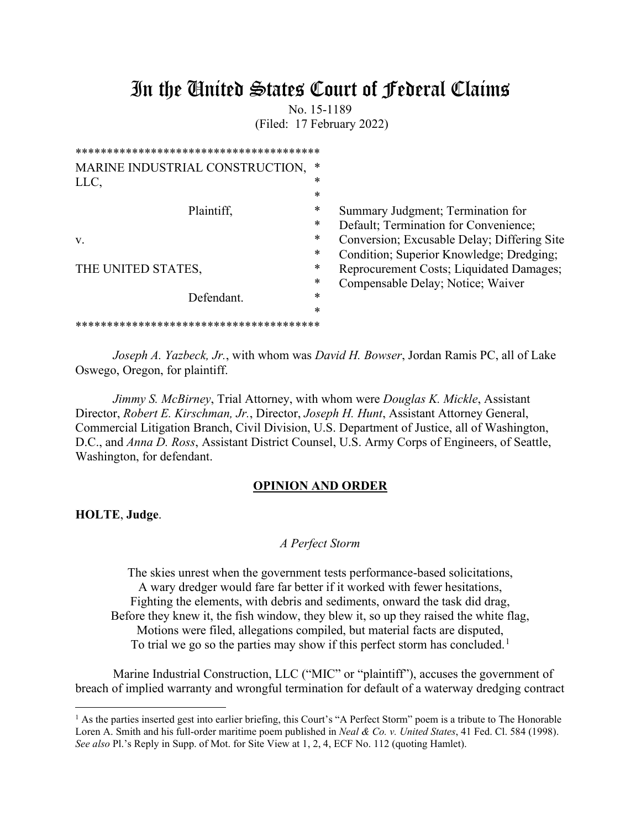# In the United States Court of Federal Claims

No. 15-1189 (Filed: 17 February 2022)

| MARINE INDUSTRIAL CONSTRUCTION,    | ∗      |                                             |
|------------------------------------|--------|---------------------------------------------|
| LLC,                               | *      |                                             |
|                                    | *      |                                             |
| Plaintiff,                         | *      | Summary Judgment; Termination for           |
|                                    | *      | Default; Termination for Convenience;       |
| V.                                 | *      | Conversion; Excusable Delay; Differing Site |
|                                    | *      | Condition; Superior Knowledge; Dredging;    |
| THE UNITED STATES,                 | *      | Reprocurement Costs; Liquidated Damages;    |
|                                    | ∗      | Compensable Delay; Notice; Waiver           |
| Defendant.                         | ∗      |                                             |
|                                    | $\ast$ |                                             |
| ********************************** |        |                                             |
|                                    |        |                                             |

*Joseph A. Yazbeck, Jr.*, with whom was *David H. Bowser*, Jordan Ramis PC, all of Lake Oswego, Oregon, for plaintiff.

*Jimmy S. McBirney*, Trial Attorney, with whom were *Douglas K. Mickle*, Assistant Director, *Robert E. Kirschman, Jr.*, Director, *Joseph H. Hunt*, Assistant Attorney General, Commercial Litigation Branch, Civil Division, U.S. Department of Justice, all of Washington, D.C., and *Anna D. Ross*, Assistant District Counsel, U.S. Army Corps of Engineers, of Seattle, Washington, for defendant.

#### **OPINION AND ORDER**

**HOLTE**, **Judge**.

#### *A Perfect Storm*

The skies unrest when the government tests performance-based solicitations, A wary dredger would fare far better if it worked with fewer hesitations, Fighting the elements, with debris and sediments, onward the task did drag, Before they knew it, the fish window, they blew it, so up they raised the white flag, Motions were filed, allegations compiled, but material facts are disputed, To trial we go so the parties may show if this perfect storm has concluded.<sup>[1](#page-0-0)</sup>

Marine Industrial Construction, LLC ("MIC" or "plaintiff"), accuses the government of breach of implied warranty and wrongful termination for default of a waterway dredging contract

<span id="page-0-0"></span><sup>&</sup>lt;sup>1</sup> As the parties inserted gest into earlier briefing, this Court's "A Perfect Storm" poem is a tribute to The Honorable Loren A. Smith and his full-order maritime poem published in *Neal & Co. v. United States*, 41 Fed. Cl. 584 (1998). *See also* Pl.'s Reply in Supp. of Mot. for Site View at 1, 2, 4, ECF No. 112 (quoting Hamlet).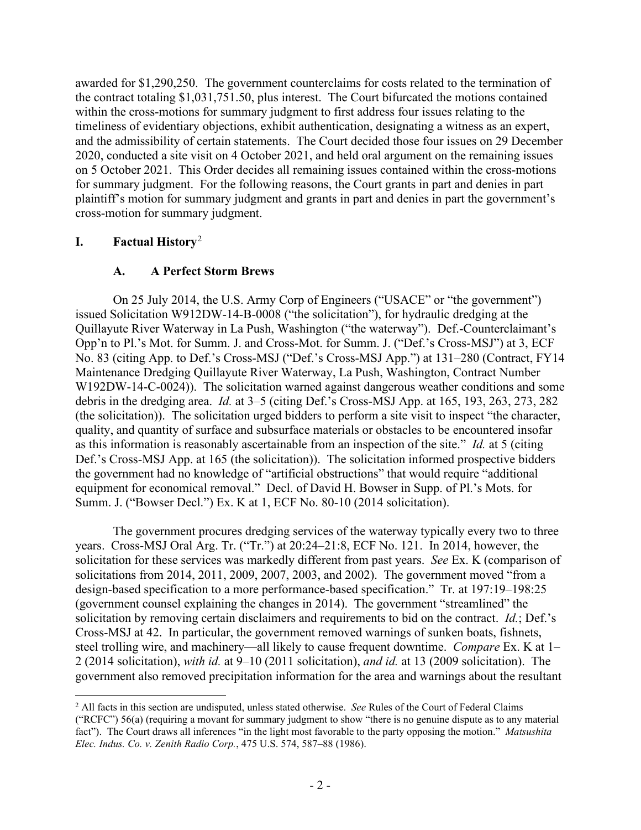awarded for \$1,290,250. The government counterclaims for costs related to the termination of the contract totaling \$1,031,751.50, plus interest. The Court bifurcated the motions contained within the cross-motions for summary judgment to first address four issues relating to the timeliness of evidentiary objections, exhibit authentication, designating a witness as an expert, and the admissibility of certain statements. The Court decided those four issues on 29 December 2020, conducted a site visit on 4 October 2021, and held oral argument on the remaining issues on 5 October 2021. This Order decides all remaining issues contained within the cross-motions for summary judgment. For the following reasons, the Court grants in part and denies in part plaintiff's motion for summary judgment and grants in part and denies in part the government's cross-motion for summary judgment.

# **I. Factual History**[2](#page-1-0)

# **A. A Perfect Storm Brews**

On 25 July 2014, the U.S. Army Corp of Engineers ("USACE" or "the government") issued Solicitation W912DW-14-B-0008 ("the solicitation"), for hydraulic dredging at the Quillayute River Waterway in La Push, Washington ("the waterway"). Def.-Counterclaimant's Opp'n to Pl.'s Mot. for Summ. J. and Cross-Mot. for Summ. J. ("Def.'s Cross-MSJ") at 3, ECF No. 83 (citing App. to Def.'s Cross-MSJ ("Def.'s Cross-MSJ App.") at 131–280 (Contract, FY14 Maintenance Dredging Quillayute River Waterway, La Push, Washington, Contract Number W192DW-14-C-0024)). The solicitation warned against dangerous weather conditions and some debris in the dredging area. *Id.* at 3–5 (citing Def.'s Cross-MSJ App. at 165, 193, 263, 273, 282 (the solicitation)). The solicitation urged bidders to perform a site visit to inspect "the character, quality, and quantity of surface and subsurface materials or obstacles to be encountered insofar as this information is reasonably ascertainable from an inspection of the site." *Id.* at 5 (citing Def.'s Cross-MSJ App. at 165 (the solicitation)). The solicitation informed prospective bidders the government had no knowledge of "artificial obstructions" that would require "additional equipment for economical removal." Decl. of David H. Bowser in Supp. of Pl.'s Mots. for Summ. J. ("Bowser Decl.") Ex. K at 1, ECF No. 80-10 (2014 solicitation).

The government procures dredging services of the waterway typically every two to three years. Cross-MSJ Oral Arg. Tr. ("Tr.") at 20:24–21:8, ECF No. 121. In 2014, however, the solicitation for these services was markedly different from past years. *See* Ex. K (comparison of solicitations from 2014, 2011, 2009, 2007, 2003, and 2002). The government moved "from a design-based specification to a more performance-based specification." Tr. at 197:19–198:25 (government counsel explaining the changes in 2014). The government "streamlined" the solicitation by removing certain disclaimers and requirements to bid on the contract. *Id.*; Def.'s Cross-MSJ at 42. In particular, the government removed warnings of sunken boats, fishnets, steel trolling wire, and machinery—all likely to cause frequent downtime. *Compare* Ex. K at 1– 2 (2014 solicitation), *with id.* at 9–10 (2011 solicitation), *and id.* at 13 (2009 solicitation). The government also removed precipitation information for the area and warnings about the resultant

<span id="page-1-0"></span><sup>2</sup> All facts in this section are undisputed, unless stated otherwise. *See* Rules of the Court of Federal Claims ("RCFC") 56(a) (requiring a movant for summary judgment to show "there is no genuine dispute as to any material fact"). The Court draws all inferences "in the light most favorable to the party opposing the motion." *Matsushita Elec. Indus. Co. v. Zenith Radio Corp.*, 475 U.S. 574, 587–88 (1986).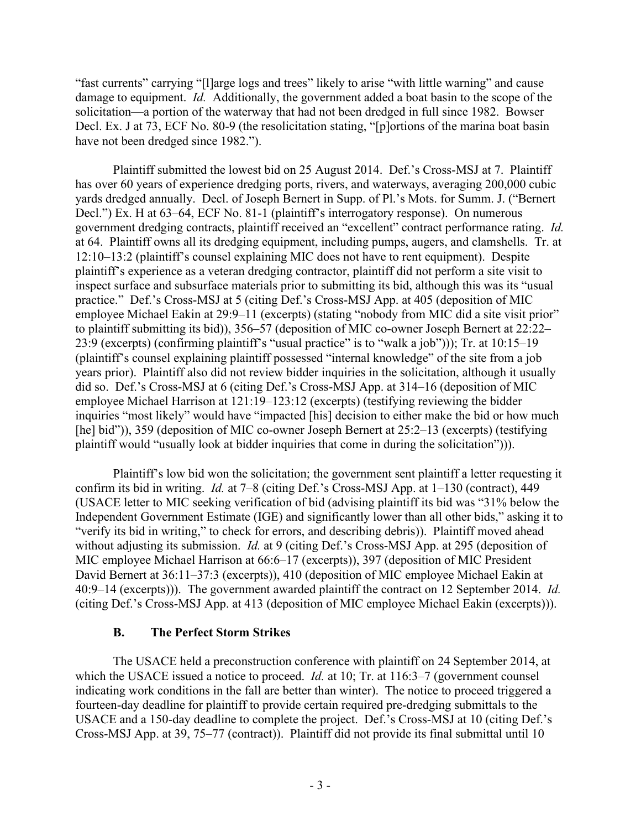"fast currents" carrying "[l]arge logs and trees" likely to arise "with little warning" and cause damage to equipment. *Id.* Additionally, the government added a boat basin to the scope of the solicitation—a portion of the waterway that had not been dredged in full since 1982. Bowser Decl. Ex. J at 73, ECF No. 80-9 (the resolicitation stating, "[p]ortions of the marina boat basin have not been dredged since 1982.").

Plaintiff submitted the lowest bid on 25 August 2014. Def.'s Cross-MSJ at 7. Plaintiff has over 60 years of experience dredging ports, rivers, and waterways, averaging 200,000 cubic yards dredged annually. Decl. of Joseph Bernert in Supp. of Pl.'s Mots. for Summ. J. ("Bernert Decl.") Ex. H at 63–64, ECF No. 81-1 (plaintiff's interrogatory response). On numerous government dredging contracts, plaintiff received an "excellent" contract performance rating. *Id.* at 64. Plaintiff owns all its dredging equipment, including pumps, augers, and clamshells. Tr. at 12:10–13:2 (plaintiff's counsel explaining MIC does not have to rent equipment). Despite plaintiff's experience as a veteran dredging contractor, plaintiff did not perform a site visit to inspect surface and subsurface materials prior to submitting its bid, although this was its "usual practice." Def.'s Cross-MSJ at 5 (citing Def.'s Cross-MSJ App. at 405 (deposition of MIC employee Michael Eakin at 29:9–11 (excerpts) (stating "nobody from MIC did a site visit prior" to plaintiff submitting its bid)), 356–57 (deposition of MIC co-owner Joseph Bernert at 22:22– 23:9 (excerpts) (confirming plaintiff's "usual practice" is to "walk a job"))); Tr. at 10:15–19 (plaintiff's counsel explaining plaintiff possessed "internal knowledge" of the site from a job years prior). Plaintiff also did not review bidder inquiries in the solicitation, although it usually did so. Def.'s Cross-MSJ at 6 (citing Def.'s Cross-MSJ App. at 314–16 (deposition of MIC employee Michael Harrison at 121:19–123:12 (excerpts) (testifying reviewing the bidder inquiries "most likely" would have "impacted [his] decision to either make the bid or how much [he] bid")), 359 (deposition of MIC co-owner Joseph Bernert at 25:2–13 (excerpts) (testifying plaintiff would "usually look at bidder inquiries that come in during the solicitation"))).

Plaintiff's low bid won the solicitation; the government sent plaintiff a letter requesting it confirm its bid in writing. *Id.* at 7–8 (citing Def.'s Cross-MSJ App. at 1–130 (contract), 449 (USACE letter to MIC seeking verification of bid (advising plaintiff its bid was "31% below the Independent Government Estimate (IGE) and significantly lower than all other bids," asking it to "verify its bid in writing," to check for errors, and describing debris)). Plaintiff moved ahead without adjusting its submission. *Id.* at 9 (citing Def.'s Cross-MSJ App. at 295 (deposition of MIC employee Michael Harrison at 66:6–17 (excerpts)), 397 (deposition of MIC President David Bernert at 36:11–37:3 (excerpts)), 410 (deposition of MIC employee Michael Eakin at 40:9–14 (excerpts))). The government awarded plaintiff the contract on 12 September 2014. *Id.* (citing Def.'s Cross-MSJ App. at 413 (deposition of MIC employee Michael Eakin (excerpts))).

#### **B. The Perfect Storm Strikes**

The USACE held a preconstruction conference with plaintiff on 24 September 2014, at which the USACE issued a notice to proceed. *Id.* at 10; Tr. at 116:3–7 (government counsel) indicating work conditions in the fall are better than winter). The notice to proceed triggered a fourteen-day deadline for plaintiff to provide certain required pre-dredging submittals to the USACE and a 150-day deadline to complete the project. Def.'s Cross-MSJ at 10 (citing Def.'s Cross-MSJ App. at 39, 75–77 (contract)). Plaintiff did not provide its final submittal until 10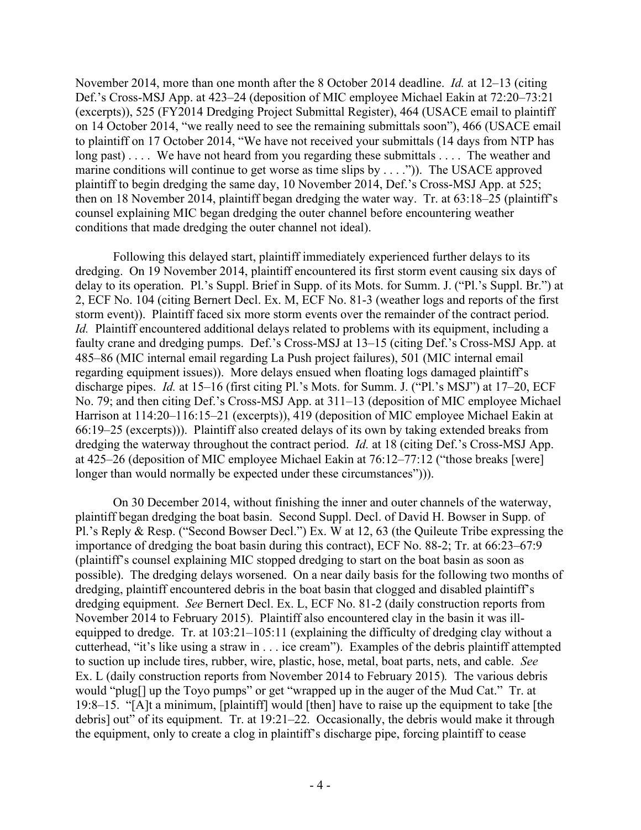November 2014, more than one month after the 8 October 2014 deadline. *Id.* at 12–13 (citing Def.'s Cross-MSJ App. at 423–24 (deposition of MIC employee Michael Eakin at 72:20–73:21 (excerpts)), 525 (FY2014 Dredging Project Submittal Register), 464 (USACE email to plaintiff on 14 October 2014, "we really need to see the remaining submittals soon"), 466 (USACE email to plaintiff on 17 October 2014, "We have not received your submittals (14 days from NTP has long past).... We have not heard from you regarding these submittals .... The weather and marine conditions will continue to get worse as time slips by  $\dots$ ."). The USACE approved plaintiff to begin dredging the same day, 10 November 2014, Def.'s Cross-MSJ App. at 525; then on 18 November 2014, plaintiff began dredging the water way. Tr. at 63:18–25 (plaintiff's counsel explaining MIC began dredging the outer channel before encountering weather conditions that made dredging the outer channel not ideal).

Following this delayed start, plaintiff immediately experienced further delays to its dredging. On 19 November 2014, plaintiff encountered its first storm event causing six days of delay to its operation. Pl.'s Suppl. Brief in Supp. of its Mots. for Summ. J. ("Pl.'s Suppl. Br.") at 2, ECF No. 104 (citing Bernert Decl. Ex. M, ECF No. 81-3 (weather logs and reports of the first storm event)). Plaintiff faced six more storm events over the remainder of the contract period. *Id.* Plaintiff encountered additional delays related to problems with its equipment, including a faulty crane and dredging pumps. Def.'s Cross-MSJ at 13–15 (citing Def.'s Cross-MSJ App. at 485–86 (MIC internal email regarding La Push project failures), 501 (MIC internal email regarding equipment issues)). More delays ensued when floating logs damaged plaintiff's discharge pipes. *Id.* at 15–16 (first citing Pl.'s Mots. for Summ. J. ("Pl.'s MSJ") at 17–20, ECF No. 79; and then citing Def.'s Cross-MSJ App. at 311–13 (deposition of MIC employee Michael Harrison at 114:20–116:15–21 (excerpts)), 419 (deposition of MIC employee Michael Eakin at 66:19–25 (excerpts))). Plaintiff also created delays of its own by taking extended breaks from dredging the waterway throughout the contract period. *Id.* at 18 (citing Def.'s Cross-MSJ App. at 425–26 (deposition of MIC employee Michael Eakin at 76:12–77:12 ("those breaks [were] longer than would normally be expected under these circumstances")).

On 30 December 2014, without finishing the inner and outer channels of the waterway, plaintiff began dredging the boat basin. Second Suppl. Decl. of David H. Bowser in Supp. of Pl.'s Reply & Resp. ("Second Bowser Decl.") Ex. W at 12, 63 (the Quileute Tribe expressing the importance of dredging the boat basin during this contract), ECF No. 88-2; Tr. at 66:23–67:9 (plaintiff's counsel explaining MIC stopped dredging to start on the boat basin as soon as possible). The dredging delays worsened. On a near daily basis for the following two months of dredging, plaintiff encountered debris in the boat basin that clogged and disabled plaintiff's dredging equipment. *See* Bernert Decl. Ex. L, ECF No. 81-2 (daily construction reports from November 2014 to February 2015). Plaintiff also encountered clay in the basin it was illequipped to dredge. Tr. at 103:21–105:11 (explaining the difficulty of dredging clay without a cutterhead, "it's like using a straw in . . . ice cream"). Examples of the debris plaintiff attempted to suction up include tires, rubber, wire, plastic, hose, metal, boat parts, nets, and cable. *See*  Ex. L (daily construction reports from November 2014 to February 2015)*.* The various debris would "plug[] up the Toyo pumps" or get "wrapped up in the auger of the Mud Cat." Tr. at 19:8–15. "[A]t a minimum, [plaintiff] would [then] have to raise up the equipment to take [the debris] out" of its equipment. Tr. at 19:21–22. Occasionally, the debris would make it through the equipment, only to create a clog in plaintiff's discharge pipe, forcing plaintiff to cease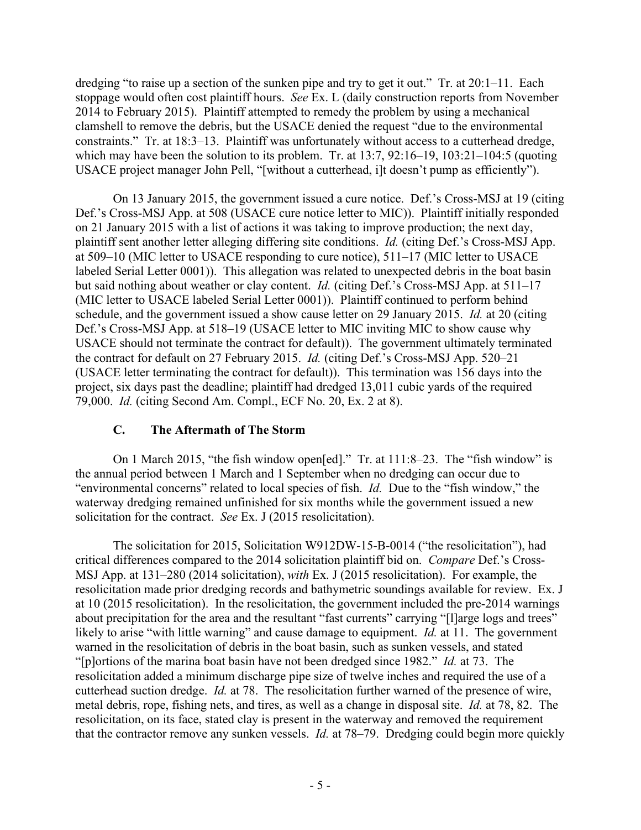dredging "to raise up a section of the sunken pipe and try to get it out." Tr. at 20:1–11. Each stoppage would often cost plaintiff hours. *See* Ex. L (daily construction reports from November 2014 to February 2015). Plaintiff attempted to remedy the problem by using a mechanical clamshell to remove the debris, but the USACE denied the request "due to the environmental constraints." Tr. at 18:3–13. Plaintiff was unfortunately without access to a cutterhead dredge, which may have been the solution to its problem. Tr. at 13:7, 92:16–19, 103:21–104:5 (quoting USACE project manager John Pell, "[without a cutterhead, i]t doesn't pump as efficiently").

On 13 January 2015, the government issued a cure notice. Def.'s Cross-MSJ at 19 (citing Def.'s Cross-MSJ App. at 508 (USACE cure notice letter to MIC)). Plaintiff initially responded on 21 January 2015 with a list of actions it was taking to improve production; the next day, plaintiff sent another letter alleging differing site conditions. *Id.* (citing Def.'s Cross-MSJ App. at 509–10 (MIC letter to USACE responding to cure notice), 511–17 (MIC letter to USACE labeled Serial Letter 0001)). This allegation was related to unexpected debris in the boat basin but said nothing about weather or clay content. *Id.* (citing Def.'s Cross-MSJ App. at 511–17 (MIC letter to USACE labeled Serial Letter 0001)). Plaintiff continued to perform behind schedule, and the government issued a show cause letter on 29 January 2015. *Id.* at 20 (citing Def.'s Cross-MSJ App. at 518–19 (USACE letter to MIC inviting MIC to show cause why USACE should not terminate the contract for default)). The government ultimately terminated the contract for default on 27 February 2015. *Id.* (citing Def.'s Cross-MSJ App. 520–21 (USACE letter terminating the contract for default)). This termination was 156 days into the project, six days past the deadline; plaintiff had dredged 13,011 cubic yards of the required 79,000. *Id.* (citing Second Am. Compl., ECF No. 20, Ex. 2 at 8).

#### **C. The Aftermath of The Storm**

On 1 March 2015, "the fish window open[ed]." Tr. at 111:8–23. The "fish window" is the annual period between 1 March and 1 September when no dredging can occur due to "environmental concerns" related to local species of fish. *Id.* Due to the "fish window," the waterway dredging remained unfinished for six months while the government issued a new solicitation for the contract. *See* Ex. J (2015 resolicitation).

The solicitation for 2015, Solicitation W912DW-15-B-0014 ("the resolicitation"), had critical differences compared to the 2014 solicitation plaintiff bid on. *Compare* Def.'s Cross-MSJ App. at 131–280 (2014 solicitation), *with* Ex. J (2015 resolicitation). For example, the resolicitation made prior dredging records and bathymetric soundings available for review. Ex. J at 10 (2015 resolicitation). In the resolicitation, the government included the pre-2014 warnings about precipitation for the area and the resultant "fast currents" carrying "[1]arge logs and trees" likely to arise "with little warning" and cause damage to equipment. *Id.* at 11. The government warned in the resolicitation of debris in the boat basin, such as sunken vessels, and stated "[p]ortions of the marina boat basin have not been dredged since 1982." *Id.* at 73. The resolicitation added a minimum discharge pipe size of twelve inches and required the use of a cutterhead suction dredge. *Id.* at 78. The resolicitation further warned of the presence of wire, metal debris, rope, fishing nets, and tires, as well as a change in disposal site. *Id.* at 78, 82. The resolicitation, on its face, stated clay is present in the waterway and removed the requirement that the contractor remove any sunken vessels. *Id.* at 78–79. Dredging could begin more quickly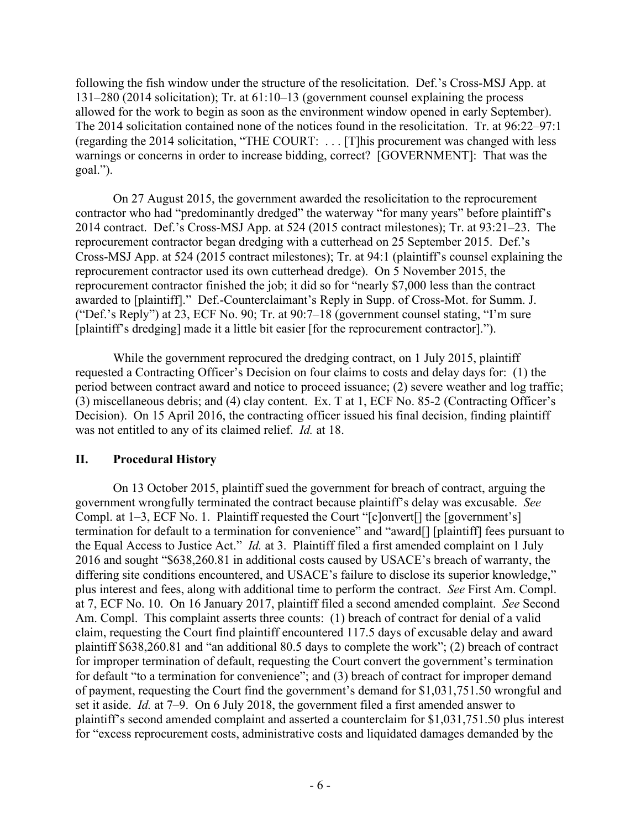following the fish window under the structure of the resolicitation. Def.'s Cross-MSJ App. at 131–280 (2014 solicitation); Tr. at 61:10–13 (government counsel explaining the process allowed for the work to begin as soon as the environment window opened in early September). The 2014 solicitation contained none of the notices found in the resolicitation. Tr. at 96:22–97:1 (regarding the 2014 solicitation, "THE COURT: . . . [T]his procurement was changed with less warnings or concerns in order to increase bidding, correct? [GOVERNMENT]: That was the goal.").

On 27 August 2015, the government awarded the resolicitation to the reprocurement contractor who had "predominantly dredged" the waterway "for many years" before plaintiff's 2014 contract. Def.'s Cross-MSJ App. at 524 (2015 contract milestones); Tr. at 93:21–23. The reprocurement contractor began dredging with a cutterhead on 25 September 2015. Def.'s Cross-MSJ App. at 524 (2015 contract milestones); Tr. at 94:1 (plaintiff's counsel explaining the reprocurement contractor used its own cutterhead dredge). On 5 November 2015, the reprocurement contractor finished the job; it did so for "nearly \$7,000 less than the contract awarded to [plaintiff]." Def.-Counterclaimant's Reply in Supp. of Cross-Mot. for Summ. J. ("Def.'s Reply") at 23, ECF No. 90; Tr. at 90:7–18 (government counsel stating, "I'm sure [plaintiff's dredging] made it a little bit easier [for the reprocurement contractor].").

While the government reprocured the dredging contract, on 1 July 2015, plaintiff requested a Contracting Officer's Decision on four claims to costs and delay days for: (1) the period between contract award and notice to proceed issuance; (2) severe weather and log traffic; (3) miscellaneous debris; and (4) clay content. Ex. T at 1, ECF No. 85-2 (Contracting Officer's Decision). On 15 April 2016, the contracting officer issued his final decision, finding plaintiff was not entitled to any of its claimed relief. *Id.* at 18.

# **II. Procedural History**

On 13 October 2015, plaintiff sued the government for breach of contract, arguing the government wrongfully terminated the contract because plaintiff's delay was excusable. *See*  Compl. at 1–3, ECF No. 1. Plaintiff requested the Court "[c]onvert[] the [government's] termination for default to a termination for convenience" and "award[] [plaintiff] fees pursuant to the Equal Access to Justice Act." *Id.* at 3. Plaintiff filed a first amended complaint on 1 July 2016 and sought "\$638,260.81 in additional costs caused by USACE's breach of warranty, the differing site conditions encountered, and USACE's failure to disclose its superior knowledge," plus interest and fees, along with additional time to perform the contract. *See* First Am. Compl. at 7, ECF No. 10. On 16 January 2017, plaintiff filed a second amended complaint. *See* Second Am. Compl. This complaint asserts three counts: (1) breach of contract for denial of a valid claim, requesting the Court find plaintiff encountered 117.5 days of excusable delay and award plaintiff \$638,260.81 and "an additional 80.5 days to complete the work"; (2) breach of contract for improper termination of default, requesting the Court convert the government's termination for default "to a termination for convenience"; and (3) breach of contract for improper demand of payment, requesting the Court find the government's demand for \$1,031,751.50 wrongful and set it aside. *Id.* at 7–9. On 6 July 2018, the government filed a first amended answer to plaintiff's second amended complaint and asserted a counterclaim for \$1,031,751.50 plus interest for "excess reprocurement costs, administrative costs and liquidated damages demanded by the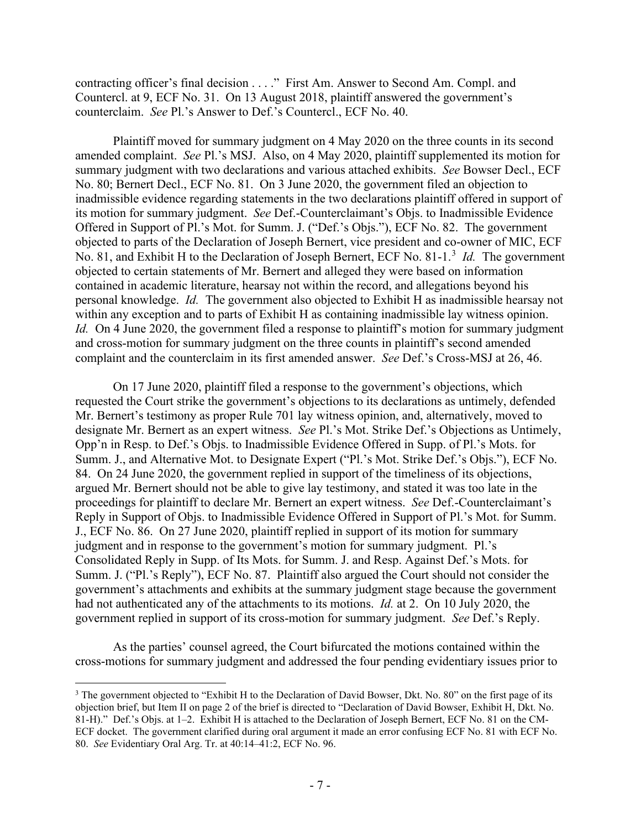contracting officer's final decision . . . ." First Am. Answer to Second Am. Compl. and Countercl. at 9, ECF No. 31. On 13 August 2018, plaintiff answered the government's counterclaim. *See* Pl.'s Answer to Def.'s Countercl., ECF No. 40.

Plaintiff moved for summary judgment on 4 May 2020 on the three counts in its second amended complaint. *See* Pl.'s MSJ. Also, on 4 May 2020, plaintiff supplemented its motion for summary judgment with two declarations and various attached exhibits. *See* Bowser Decl., ECF No. 80; Bernert Decl., ECF No. 81. On 3 June 2020, the government filed an objection to inadmissible evidence regarding statements in the two declarations plaintiff offered in support of its motion for summary judgment. *See* Def.-Counterclaimant's Objs. to Inadmissible Evidence Offered in Support of Pl.'s Mot. for Summ. J. ("Def.'s Objs."), ECF No. 82. The government objected to parts of the Declaration of Joseph Bernert, vice president and co-owner of MIC, ECF No. 81, and Exhibit H to the Declaration of Joseph Bernert, ECF No. 81-1. [3](#page-6-0) *Id.* The government objected to certain statements of Mr. Bernert and alleged they were based on information contained in academic literature, hearsay not within the record, and allegations beyond his personal knowledge. *Id.* The government also objected to Exhibit H as inadmissible hearsay not within any exception and to parts of Exhibit H as containing inadmissible lay witness opinion. *Id.* On 4 June 2020, the government filed a response to plaintiff's motion for summary judgment and cross-motion for summary judgment on the three counts in plaintiff's second amended complaint and the counterclaim in its first amended answer. *See* Def.'s Cross-MSJ at 26, 46.

On 17 June 2020, plaintiff filed a response to the government's objections, which requested the Court strike the government's objections to its declarations as untimely, defended Mr. Bernert's testimony as proper Rule 701 lay witness opinion, and, alternatively, moved to designate Mr. Bernert as an expert witness. *See* Pl.'s Mot. Strike Def.'s Objections as Untimely, Opp'n in Resp. to Def.'s Objs. to Inadmissible Evidence Offered in Supp. of Pl.'s Mots. for Summ. J., and Alternative Mot. to Designate Expert ("Pl.'s Mot. Strike Def.'s Objs."), ECF No. 84. On 24 June 2020, the government replied in support of the timeliness of its objections, argued Mr. Bernert should not be able to give lay testimony, and stated it was too late in the proceedings for plaintiff to declare Mr. Bernert an expert witness. *See* Def.-Counterclaimant's Reply in Support of Objs. to Inadmissible Evidence Offered in Support of Pl.'s Mot. for Summ. J., ECF No. 86. On 27 June 2020, plaintiff replied in support of its motion for summary judgment and in response to the government's motion for summary judgment. Pl.'s Consolidated Reply in Supp. of Its Mots. for Summ. J. and Resp. Against Def.'s Mots. for Summ. J. ("Pl.'s Reply"), ECF No. 87. Plaintiff also argued the Court should not consider the government's attachments and exhibits at the summary judgment stage because the government had not authenticated any of the attachments to its motions. *Id.* at 2. On 10 July 2020, the government replied in support of its cross-motion for summary judgment. *See* Def.'s Reply.

As the parties' counsel agreed, the Court bifurcated the motions contained within the cross-motions for summary judgment and addressed the four pending evidentiary issues prior to

<span id="page-6-0"></span><sup>&</sup>lt;sup>3</sup> The government objected to "Exhibit H to the Declaration of David Bowser, Dkt. No. 80" on the first page of its objection brief, but Item II on page 2 of the brief is directed to "Declaration of David Bowser, Exhibit H, Dkt. No. 81-H)." Def.'s Objs. at 1–2. Exhibit H is attached to the Declaration of Joseph Bernert, ECF No. 81 on the CM-ECF docket. The government clarified during oral argument it made an error confusing ECF No. 81 with ECF No. 80. *See* Evidentiary Oral Arg. Tr. at 40:14–41:2, ECF No. 96.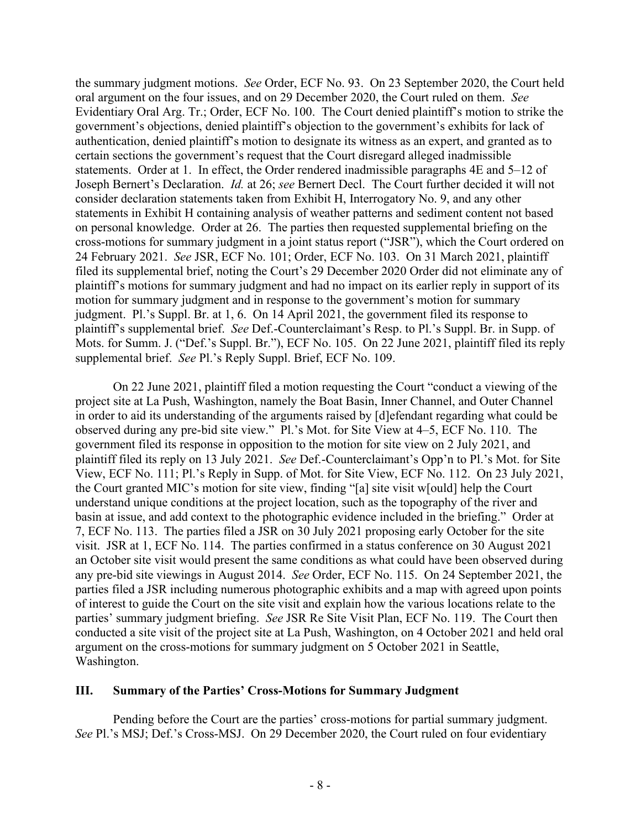the summary judgment motions. *See* Order, ECF No. 93. On 23 September 2020, the Court held oral argument on the four issues, and on 29 December 2020, the Court ruled on them. *See*  Evidentiary Oral Arg. Tr.; Order, ECF No. 100. The Court denied plaintiff's motion to strike the government's objections, denied plaintiff's objection to the government's exhibits for lack of authentication, denied plaintiff's motion to designate its witness as an expert, and granted as to certain sections the government's request that the Court disregard alleged inadmissible statements. Order at 1. In effect, the Order rendered inadmissible paragraphs 4E and 5–12 of Joseph Bernert's Declaration. *Id.* at 26; *see* Bernert Decl. The Court further decided it will not consider declaration statements taken from Exhibit H, Interrogatory No. 9, and any other statements in Exhibit H containing analysis of weather patterns and sediment content not based on personal knowledge. Order at 26. The parties then requested supplemental briefing on the cross-motions for summary judgment in a joint status report ("JSR"), which the Court ordered on 24 February 2021. *See* JSR, ECF No. 101; Order, ECF No. 103. On 31 March 2021, plaintiff filed its supplemental brief, noting the Court's 29 December 2020 Order did not eliminate any of plaintiff's motions for summary judgment and had no impact on its earlier reply in support of its motion for summary judgment and in response to the government's motion for summary judgment. Pl.'s Suppl. Br. at 1, 6. On 14 April 2021, the government filed its response to plaintiff's supplemental brief. *See* Def.-Counterclaimant's Resp. to Pl.'s Suppl. Br. in Supp. of Mots. for Summ. J. ("Def.'s Suppl. Br."), ECF No. 105. On 22 June 2021, plaintiff filed its reply supplemental brief. *See* Pl.'s Reply Suppl. Brief, ECF No. 109.

On 22 June 2021, plaintiff filed a motion requesting the Court "conduct a viewing of the project site at La Push, Washington, namely the Boat Basin, Inner Channel, and Outer Channel in order to aid its understanding of the arguments raised by [d]efendant regarding what could be observed during any pre-bid site view." Pl.'s Mot. for Site View at 4–5, ECF No. 110. The government filed its response in opposition to the motion for site view on 2 July 2021, and plaintiff filed its reply on 13 July 2021. *See* Def.-Counterclaimant's Opp'n to Pl.'s Mot. for Site View, ECF No. 111; Pl.'s Reply in Supp. of Mot. for Site View, ECF No. 112. On 23 July 2021, the Court granted MIC's motion for site view, finding "[a] site visit w[ould] help the Court understand unique conditions at the project location, such as the topography of the river and basin at issue, and add context to the photographic evidence included in the briefing." Order at 7, ECF No. 113. The parties filed a JSR on 30 July 2021 proposing early October for the site visit. JSR at 1, ECF No. 114. The parties confirmed in a status conference on 30 August 2021 an October site visit would present the same conditions as what could have been observed during any pre-bid site viewings in August 2014. *See* Order, ECF No. 115. On 24 September 2021, the parties filed a JSR including numerous photographic exhibits and a map with agreed upon points of interest to guide the Court on the site visit and explain how the various locations relate to the parties' summary judgment briefing. *See* JSR Re Site Visit Plan, ECF No. 119. The Court then conducted a site visit of the project site at La Push, Washington, on 4 October 2021 and held oral argument on the cross-motions for summary judgment on 5 October 2021 in Seattle, Washington.

#### **III. Summary of the Parties' Cross-Motions for Summary Judgment**

Pending before the Court are the parties' cross-motions for partial summary judgment. *See* Pl.'s MSJ; Def.'s Cross-MSJ. On 29 December 2020, the Court ruled on four evidentiary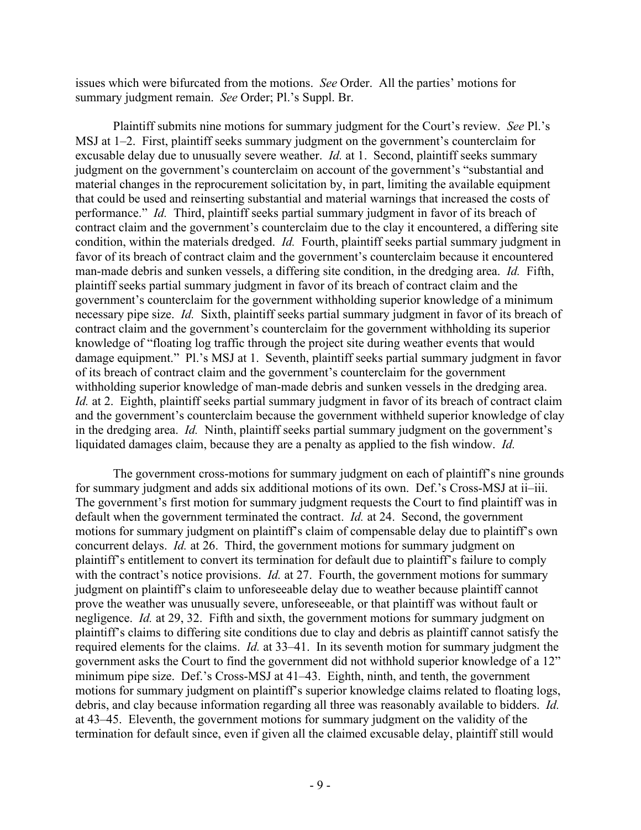issues which were bifurcated from the motions. *See* Order. All the parties' motions for summary judgment remain. *See* Order; Pl.'s Suppl. Br.

Plaintiff submits nine motions for summary judgment for the Court's review. *See* Pl.'s MSJ at 1–2. First, plaintiff seeks summary judgment on the government's counterclaim for excusable delay due to unusually severe weather. *Id.* at 1. Second, plaintiff seeks summary judgment on the government's counterclaim on account of the government's "substantial and material changes in the reprocurement solicitation by, in part, limiting the available equipment that could be used and reinserting substantial and material warnings that increased the costs of performance." *Id.* Third, plaintiff seeks partial summary judgment in favor of its breach of contract claim and the government's counterclaim due to the clay it encountered, a differing site condition, within the materials dredged. *Id.* Fourth, plaintiff seeks partial summary judgment in favor of its breach of contract claim and the government's counterclaim because it encountered man-made debris and sunken vessels, a differing site condition, in the dredging area. *Id.* Fifth, plaintiff seeks partial summary judgment in favor of its breach of contract claim and the government's counterclaim for the government withholding superior knowledge of a minimum necessary pipe size. *Id.* Sixth, plaintiff seeks partial summary judgment in favor of its breach of contract claim and the government's counterclaim for the government withholding its superior knowledge of "floating log traffic through the project site during weather events that would damage equipment." Pl.'s MSJ at 1. Seventh, plaintiff seeks partial summary judgment in favor of its breach of contract claim and the government's counterclaim for the government withholding superior knowledge of man-made debris and sunken vessels in the dredging area. *Id.* at 2. Eighth, plaintiff seeks partial summary judgment in favor of its breach of contract claim and the government's counterclaim because the government withheld superior knowledge of clay in the dredging area. *Id.* Ninth, plaintiff seeks partial summary judgment on the government's liquidated damages claim, because they are a penalty as applied to the fish window. *Id.*

The government cross-motions for summary judgment on each of plaintiff's nine grounds for summary judgment and adds six additional motions of its own. Def.'s Cross-MSJ at ii–iii. The government's first motion for summary judgment requests the Court to find plaintiff was in default when the government terminated the contract. *Id.* at 24. Second, the government motions for summary judgment on plaintiff's claim of compensable delay due to plaintiff's own concurrent delays. *Id.* at 26. Third, the government motions for summary judgment on plaintiff's entitlement to convert its termination for default due to plaintiff's failure to comply with the contract's notice provisions. *Id.* at 27. Fourth, the government motions for summary judgment on plaintiff's claim to unforeseeable delay due to weather because plaintiff cannot prove the weather was unusually severe, unforeseeable, or that plaintiff was without fault or negligence. *Id.* at 29, 32. Fifth and sixth, the government motions for summary judgment on plaintiff's claims to differing site conditions due to clay and debris as plaintiff cannot satisfy the required elements for the claims. *Id.* at 33–41. In its seventh motion for summary judgment the government asks the Court to find the government did not withhold superior knowledge of a 12" minimum pipe size. Def.'s Cross-MSJ at 41–43. Eighth, ninth, and tenth, the government motions for summary judgment on plaintiff's superior knowledge claims related to floating logs, debris, and clay because information regarding all three was reasonably available to bidders. *Id.* at 43–45. Eleventh, the government motions for summary judgment on the validity of the termination for default since, even if given all the claimed excusable delay, plaintiff still would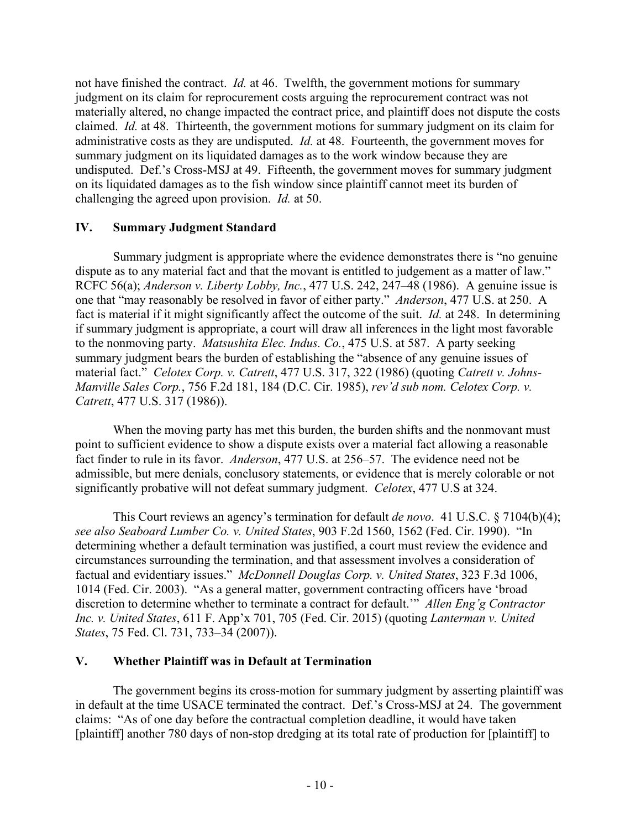not have finished the contract. *Id.* at 46. Twelfth, the government motions for summary judgment on its claim for reprocurement costs arguing the reprocurement contract was not materially altered, no change impacted the contract price, and plaintiff does not dispute the costs claimed. *Id.* at 48. Thirteenth, the government motions for summary judgment on its claim for administrative costs as they are undisputed. *Id.* at 48. Fourteenth, the government moves for summary judgment on its liquidated damages as to the work window because they are undisputed. Def.'s Cross-MSJ at 49. Fifteenth, the government moves for summary judgment on its liquidated damages as to the fish window since plaintiff cannot meet its burden of challenging the agreed upon provision. *Id.* at 50.

# **IV. Summary Judgment Standard**

Summary judgment is appropriate where the evidence demonstrates there is "no genuine dispute as to any material fact and that the movant is entitled to judgement as a matter of law." RCFC 56(a); *Anderson v. Liberty Lobby, Inc.*, 477 U.S. 242, 247–48 (1986). A genuine issue is one that "may reasonably be resolved in favor of either party." *Anderson*, 477 U.S. at 250. A fact is material if it might significantly affect the outcome of the suit. *Id.* at 248. In determining if summary judgment is appropriate, a court will draw all inferences in the light most favorable to the nonmoving party. *Matsushita Elec. Indus. Co.*, 475 U.S. at 587. A party seeking summary judgment bears the burden of establishing the "absence of any genuine issues of material fact." *Celotex Corp. v. Catrett*, 477 U.S. 317, 322 (1986) (quoting *Catrett v. Johns-Manville Sales Corp.*, 756 F.2d 181, 184 (D.C. Cir. 1985), *rev'd sub nom. Celotex Corp. v. Catrett*, 477 U.S. 317 (1986)).

When the moving party has met this burden, the burden shifts and the nonmovant must point to sufficient evidence to show a dispute exists over a material fact allowing a reasonable fact finder to rule in its favor. *Anderson*, 477 U.S. at 256–57. The evidence need not be admissible, but mere denials, conclusory statements, or evidence that is merely colorable or not significantly probative will not defeat summary judgment. *Celotex*, 477 U.S at 324.

This Court reviews an agency's termination for default *de novo*. 41 U.S.C. § 7104(b)(4); *see also Seaboard Lumber Co. v. United States*, 903 F.2d 1560, 1562 (Fed. Cir. 1990). "In determining whether a default termination was justified, a court must review the evidence and circumstances surrounding the termination, and that assessment involves a consideration of factual and evidentiary issues." *McDonnell Douglas Corp. v. United States*, 323 F.3d 1006, 1014 (Fed. Cir. 2003). "As a general matter, government contracting officers have 'broad discretion to determine whether to terminate a contract for default.'" *Allen Eng'g Contractor Inc. v. United States*, 611 F. App'x 701, 705 (Fed. Cir. 2015) (quoting *Lanterman v. United States*, 75 Fed. Cl. 731, 733–34 (2007)).

#### **V. Whether Plaintiff was in Default at Termination**

The government begins its cross-motion for summary judgment by asserting plaintiff was in default at the time USACE terminated the contract. Def.'s Cross-MSJ at 24. The government claims: "As of one day before the contractual completion deadline, it would have taken [plaintiff] another 780 days of non-stop dredging at its total rate of production for [plaintiff] to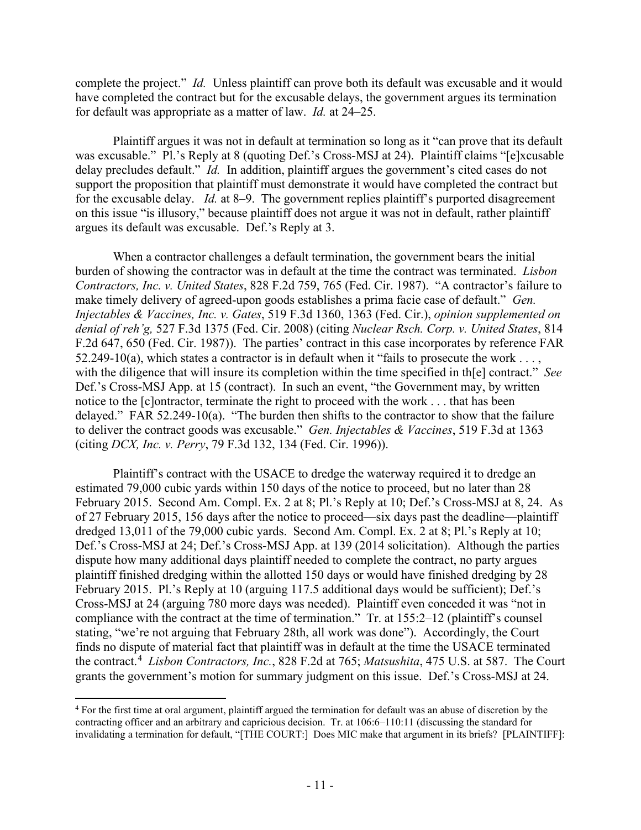complete the project." *Id.* Unless plaintiff can prove both its default was excusable and it would have completed the contract but for the excusable delays, the government argues its termination for default was appropriate as a matter of law. *Id.* at 24–25.

Plaintiff argues it was not in default at termination so long as it "can prove that its default was excusable." Pl.'s Reply at 8 (quoting Def.'s Cross-MSJ at 24). Plaintiff claims "[e]xcusable delay precludes default." *Id.* In addition, plaintiff argues the government's cited cases do not support the proposition that plaintiff must demonstrate it would have completed the contract but for the excusable delay. *Id.* at 8–9. The government replies plaintiff's purported disagreement on this issue "is illusory," because plaintiff does not argue it was not in default, rather plaintiff argues its default was excusable. Def.'s Reply at 3.

When a contractor challenges a default termination, the government bears the initial burden of showing the contractor was in default at the time the contract was terminated. *Lisbon Contractors, Inc. v. United States*, 828 F.2d 759, 765 (Fed. Cir. 1987). "A contractor's failure to make timely delivery of agreed-upon goods establishes a prima facie case of default." *Gen. Injectables & Vaccines, Inc. v. Gates*, 519 F.3d 1360, 1363 (Fed. Cir.), *opinion supplemented on denial of reh'g,* 527 F.3d 1375 (Fed. Cir. 2008) (citing *Nuclear Rsch. Corp. v. United States*, 814 F.2d 647, 650 (Fed. Cir. 1987)). The parties' contract in this case incorporates by reference FAR 52.249-10(a), which states a contractor is in default when it "fails to prosecute the work . . . , with the diligence that will insure its completion within the time specified in th[e] contract." *See*  Def.'s Cross-MSJ App. at 15 (contract). In such an event, "the Government may, by written notice to the [c]ontractor, terminate the right to proceed with the work . . . that has been delayed." FAR 52.249-10(a). "The burden then shifts to the contractor to show that the failure to deliver the contract goods was excusable." *Gen. Injectables & Vaccines*, 519 F.3d at 1363 (citing *DCX, Inc. v. Perry*, 79 F.3d 132, 134 (Fed. Cir. 1996)).

Plaintiff's contract with the USACE to dredge the waterway required it to dredge an estimated 79,000 cubic yards within 150 days of the notice to proceed, but no later than 28 February 2015. Second Am. Compl. Ex. 2 at 8; Pl.'s Reply at 10; Def.'s Cross-MSJ at 8, 24. As of 27 February 2015, 156 days after the notice to proceed—six days past the deadline—plaintiff dredged 13,011 of the 79,000 cubic yards. Second Am. Compl. Ex. 2 at 8; Pl.'s Reply at 10; Def.'s Cross-MSJ at 24; Def.'s Cross-MSJ App. at 139 (2014 solicitation). Although the parties dispute how many additional days plaintiff needed to complete the contract, no party argues plaintiff finished dredging within the allotted 150 days or would have finished dredging by 28 February 2015. Pl.'s Reply at 10 (arguing 117.5 additional days would be sufficient); Def.'s Cross-MSJ at 24 (arguing 780 more days was needed). Plaintiff even conceded it was "not in compliance with the contract at the time of termination." Tr. at 155:2–12 (plaintiff's counsel stating, "we're not arguing that February 28th, all work was done"). Accordingly, the Court finds no dispute of material fact that plaintiff was in default at the time the USACE terminated the contract.[4](#page-10-0) *Lisbon Contractors, Inc.*, 828 F.2d at 765; *Matsushita*, 475 U.S. at 587. The Court grants the government's motion for summary judgment on this issue. Def.'s Cross-MSJ at 24.

<span id="page-10-0"></span><sup>4</sup> For the first time at oral argument, plaintiff argued the termination for default was an abuse of discretion by the contracting officer and an arbitrary and capricious decision. Tr. at 106:6–110:11 (discussing the standard for invalidating a termination for default, "[THE COURT:] Does MIC make that argument in its briefs? [PLAINTIFF]: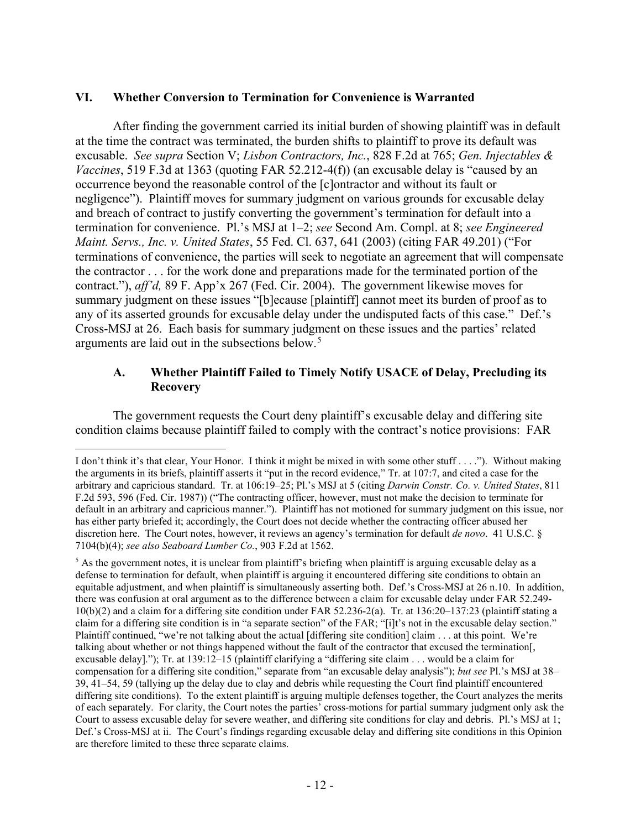#### **VI. Whether Conversion to Termination for Convenience is Warranted**

After finding the government carried its initial burden of showing plaintiff was in default at the time the contract was terminated, the burden shifts to plaintiff to prove its default was excusable. *See supra* Section V; *Lisbon Contractors, Inc.*, 828 F.2d at 765; *Gen. Injectables & Vaccines*, 519 F.3d at 1363 (quoting FAR 52.212-4(f)) (an excusable delay is "caused by an occurrence beyond the reasonable control of the [c]ontractor and without its fault or negligence"). Plaintiff moves for summary judgment on various grounds for excusable delay and breach of contract to justify converting the government's termination for default into a termination for convenience. Pl.'s MSJ at 1–2; *see* Second Am. Compl. at 8; *see Engineered Maint. Servs., Inc. v. United States*, 55 Fed. Cl. 637, 641 (2003) (citing FAR 49.201) ("For terminations of convenience, the parties will seek to negotiate an agreement that will compensate the contractor . . . for the work done and preparations made for the terminated portion of the contract."), *aff'd,* 89 F. App'x 267 (Fed. Cir. 2004). The government likewise moves for summary judgment on these issues "[b]ecause [plaintiff] cannot meet its burden of proof as to any of its asserted grounds for excusable delay under the undisputed facts of this case." Def.'s Cross-MSJ at 26. Each basis for summary judgment on these issues and the parties' related arguments are laid out in the subsections below.[5](#page-11-0)

#### **A. Whether Plaintiff Failed to Timely Notify USACE of Delay, Precluding its Recovery**

The government requests the Court deny plaintiff's excusable delay and differing site condition claims because plaintiff failed to comply with the contract's notice provisions: FAR

I don't think it's that clear, Your Honor. I think it might be mixed in with some other stuff . . . ."). Without making the arguments in its briefs, plaintiff asserts it "put in the record evidence," Tr. at 107:7, and cited a case for the arbitrary and capricious standard. Tr. at 106:19–25; Pl.'s MSJ at 5 (citing *Darwin Constr. Co. v. United States*, 811 F.2d 593, 596 (Fed. Cir. 1987)) ("The contracting officer, however, must not make the decision to terminate for default in an arbitrary and capricious manner."). Plaintiff has not motioned for summary judgment on this issue, nor has either party briefed it; accordingly, the Court does not decide whether the contracting officer abused her discretion here. The Court notes, however, it reviews an agency's termination for default *de novo*. 41 U.S.C. § 7104(b)(4); *see also Seaboard Lumber Co.*, 903 F.2d at 1562.

<span id="page-11-0"></span> $<sup>5</sup>$  As the government notes, it is unclear from plaintiff's briefing when plaintiff is arguing excusable delay as a</sup> defense to termination for default, when plaintiff is arguing it encountered differing site conditions to obtain an equitable adjustment, and when plaintiff is simultaneously asserting both. Def.'s Cross-MSJ at 26 n.10. In addition, there was confusion at oral argument as to the difference between a claim for excusable delay under FAR 52.249-  $10(b)(2)$  and a claim for a differing site condition under FAR 52.236-2(a). Tr. at  $136:20-137:23$  (plaintiff stating a claim for a differing site condition is in "a separate section" of the FAR; "[i]t's not in the excusable delay section." Plaintiff continued, "we're not talking about the actual [differing site condition] claim . . . at this point. We're talking about whether or not things happened without the fault of the contractor that excused the termination[, excusable delay]."); Tr. at 139:12–15 (plaintiff clarifying a "differing site claim . . . would be a claim for compensation for a differing site condition," separate from "an excusable delay analysis"); *but see* Pl.'s MSJ at 38– 39, 41–54, 59 (tallying up the delay due to clay and debris while requesting the Court find plaintiff encountered differing site conditions). To the extent plaintiff is arguing multiple defenses together, the Court analyzes the merits of each separately. For clarity, the Court notes the parties' cross-motions for partial summary judgment only ask the Court to assess excusable delay for severe weather, and differing site conditions for clay and debris. Pl.'s MSJ at 1; Def.'s Cross-MSJ at ii. The Court's findings regarding excusable delay and differing site conditions in this Opinion are therefore limited to these three separate claims.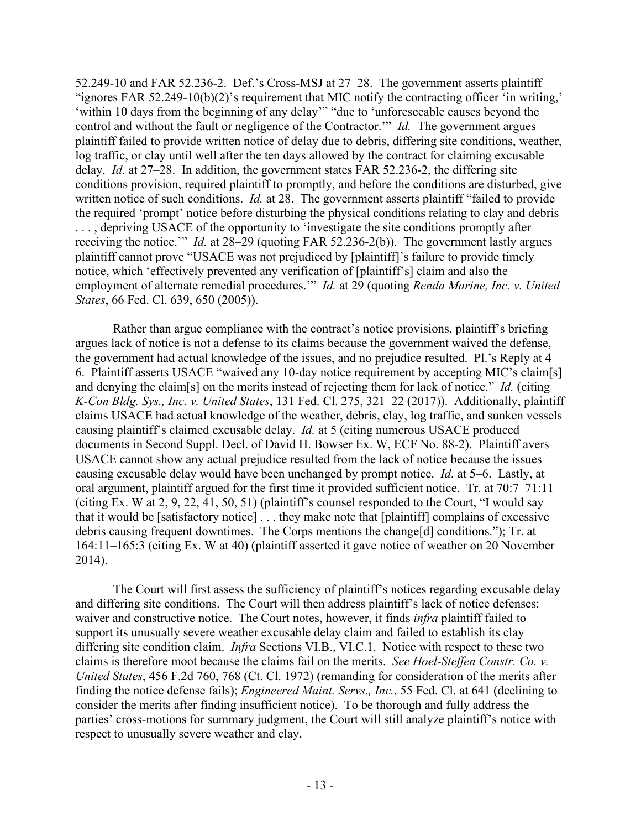52.249-10 and FAR 52.236-2. Def.'s Cross-MSJ at 27–28. The government asserts plaintiff "ignores FAR 52.249-10(b)(2)'s requirement that MIC notify the contracting officer 'in writing,' 'within 10 days from the beginning of any delay'" "due to 'unforeseeable causes beyond the control and without the fault or negligence of the Contractor.'" *Id.* The government argues plaintiff failed to provide written notice of delay due to debris, differing site conditions, weather, log traffic, or clay until well after the ten days allowed by the contract for claiming excusable delay. *Id.* at 27–28. In addition, the government states FAR 52.236-2, the differing site conditions provision, required plaintiff to promptly, and before the conditions are disturbed, give written notice of such conditions. *Id.* at 28. The government asserts plaintiff "failed to provide the required 'prompt' notice before disturbing the physical conditions relating to clay and debris . . . , depriving USACE of the opportunity to 'investigate the site conditions promptly after receiving the notice.'" *Id.* at 28–29 (quoting FAR 52.236-2(b)). The government lastly argues plaintiff cannot prove "USACE was not prejudiced by [plaintiff]'s failure to provide timely notice, which 'effectively prevented any verification of [plaintiff's] claim and also the employment of alternate remedial procedures.'" *Id.* at 29 (quoting *Renda Marine, Inc. v. United States*, 66 Fed. Cl. 639, 650 (2005)).

Rather than argue compliance with the contract's notice provisions, plaintiff's briefing argues lack of notice is not a defense to its claims because the government waived the defense, the government had actual knowledge of the issues, and no prejudice resulted. Pl.'s Reply at 4– 6. Plaintiff asserts USACE "waived any 10-day notice requirement by accepting MIC's claim[s] and denying the claim[s] on the merits instead of rejecting them for lack of notice." *Id.* (citing *K-Con Bldg. Sys., Inc. v. United States*, 131 Fed. Cl. 275, 321–22 (2017)). Additionally, plaintiff claims USACE had actual knowledge of the weather, debris, clay, log traffic, and sunken vessels causing plaintiff's claimed excusable delay. *Id.* at 5 (citing numerous USACE produced documents in Second Suppl. Decl. of David H. Bowser Ex. W, ECF No. 88-2). Plaintiff avers USACE cannot show any actual prejudice resulted from the lack of notice because the issues causing excusable delay would have been unchanged by prompt notice. *Id.* at 5–6. Lastly, at oral argument, plaintiff argued for the first time it provided sufficient notice. Tr. at 70:7–71:11 (citing Ex. W at 2, 9, 22, 41, 50, 51) (plaintiff's counsel responded to the Court, "I would say that it would be [satisfactory notice] . . . they make note that [plaintiff] complains of excessive debris causing frequent downtimes. The Corps mentions the change[d] conditions."); Tr. at 164:11–165:3 (citing Ex. W at 40) (plaintiff asserted it gave notice of weather on 20 November 2014).

The Court will first assess the sufficiency of plaintiff's notices regarding excusable delay and differing site conditions. The Court will then address plaintiff's lack of notice defenses: waiver and constructive notice. The Court notes, however, it finds *infra* plaintiff failed to support its unusually severe weather excusable delay claim and failed to establish its clay differing site condition claim. *Infra* Sections VI.B., VI.C.1. Notice with respect to these two claims is therefore moot because the claims fail on the merits. *See Hoel-Steffen Constr. Co. v. United States*, 456 F.2d 760, 768 (Ct. Cl. 1972) (remanding for consideration of the merits after finding the notice defense fails); *Engineered Maint. Servs., Inc.*, 55 Fed. Cl. at 641 (declining to consider the merits after finding insufficient notice). To be thorough and fully address the parties' cross-motions for summary judgment, the Court will still analyze plaintiff's notice with respect to unusually severe weather and clay.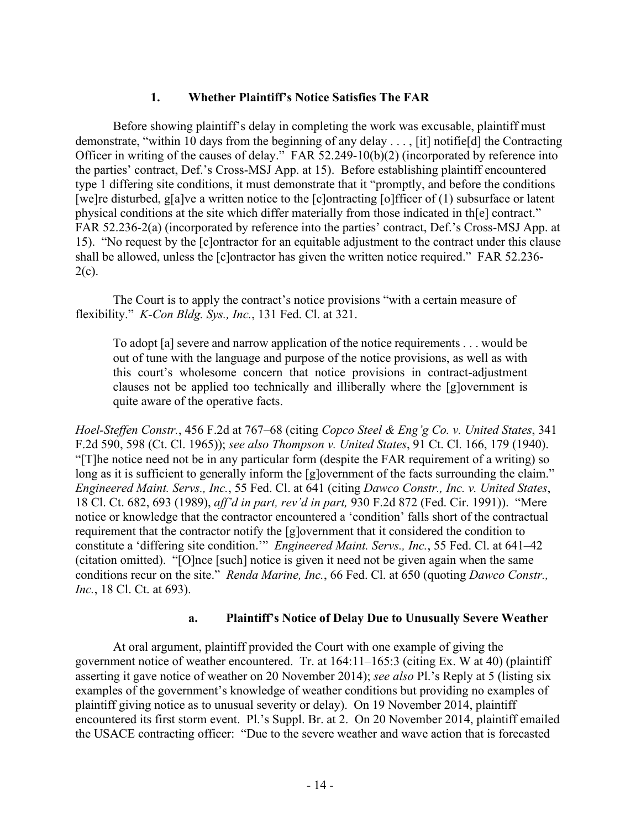#### **1. Whether Plaintiff's Notice Satisfies The FAR**

Before showing plaintiff's delay in completing the work was excusable, plaintiff must demonstrate, "within 10 days from the beginning of any delay . . . , [it] notifie[d] the Contracting Officer in writing of the causes of delay." FAR 52.249-10(b)(2) (incorporated by reference into the parties' contract, Def.'s Cross-MSJ App. at 15). Before establishing plaintiff encountered type 1 differing site conditions, it must demonstrate that it "promptly, and before the conditions [we]re disturbed, g[a]ve a written notice to the [c]ontracting [o]fficer of (1) subsurface or latent physical conditions at the site which differ materially from those indicated in th[e] contract." FAR 52.236-2(a) (incorporated by reference into the parties' contract, Def.'s Cross-MSJ App. at 15). "No request by the [c]ontractor for an equitable adjustment to the contract under this clause shall be allowed, unless the [c]ontractor has given the written notice required." FAR 52.236-  $2(c)$ .

The Court is to apply the contract's notice provisions "with a certain measure of flexibility." *K-Con Bldg. Sys., Inc.*, 131 Fed. Cl. at 321.

To adopt [a] severe and narrow application of the notice requirements . . . would be out of tune with the language and purpose of the notice provisions, as well as with this court's wholesome concern that notice provisions in contract-adjustment clauses not be applied too technically and illiberally where the [g]overnment is quite aware of the operative facts.

*Hoel-Steffen Constr.*, 456 F.2d at 767–68 (citing *Copco Steel & Eng'g Co. v. United States*, 341 F.2d 590, 598 (Ct. Cl. 1965)); *see also Thompson v. United States*, 91 Ct. Cl. 166, 179 (1940). "[T]he notice need not be in any particular form (despite the FAR requirement of a writing) so long as it is sufficient to generally inform the [g]overnment of the facts surrounding the claim." *Engineered Maint. Servs., Inc.*, 55 Fed. Cl. at 641 (citing *Dawco Constr., Inc. v. United States*, 18 Cl. Ct. 682, 693 (1989), *aff'd in part, rev'd in part,* 930 F.2d 872 (Fed. Cir. 1991)). "Mere notice or knowledge that the contractor encountered a 'condition' falls short of the contractual requirement that the contractor notify the [g]overnment that it considered the condition to constitute a 'differing site condition.'" *Engineered Maint. Servs., Inc.*, 55 Fed. Cl. at 641–42 (citation omitted). "[O]nce [such] notice is given it need not be given again when the same conditions recur on the site." *Renda Marine, Inc.*, 66 Fed. Cl. at 650 (quoting *Dawco Constr., Inc.*, 18 Cl. Ct. at 693).

#### **a. Plaintiff's Notice of Delay Due to Unusually Severe Weather**

At oral argument, plaintiff provided the Court with one example of giving the government notice of weather encountered. Tr. at 164:11–165:3 (citing Ex. W at 40) (plaintiff asserting it gave notice of weather on 20 November 2014); *see also* Pl.'s Reply at 5 (listing six examples of the government's knowledge of weather conditions but providing no examples of plaintiff giving notice as to unusual severity or delay). On 19 November 2014, plaintiff encountered its first storm event. Pl.'s Suppl. Br. at 2. On 20 November 2014, plaintiff emailed the USACE contracting officer: "Due to the severe weather and wave action that is forecasted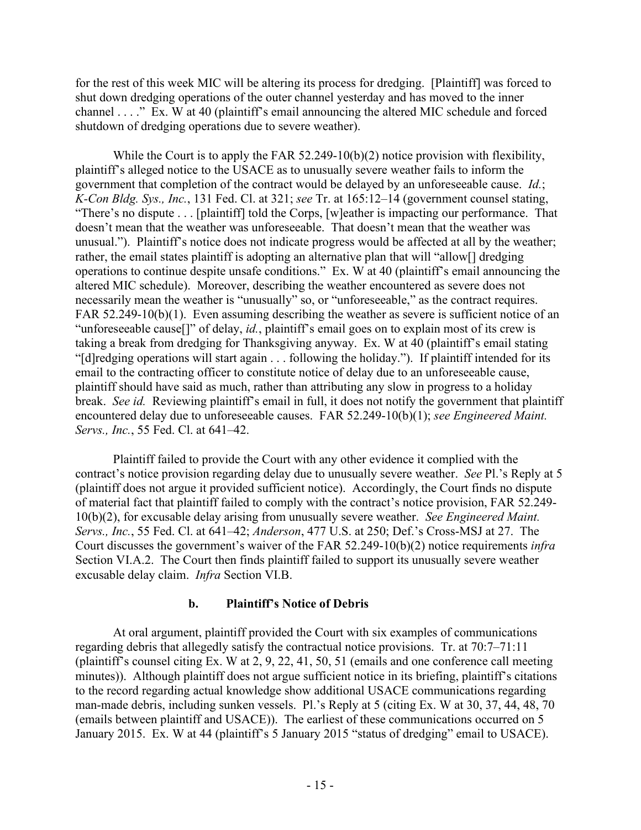for the rest of this week MIC will be altering its process for dredging. [Plaintiff] was forced to shut down dredging operations of the outer channel yesterday and has moved to the inner channel . . . ." Ex. W at 40 (plaintiff's email announcing the altered MIC schedule and forced shutdown of dredging operations due to severe weather).

While the Court is to apply the FAR 52.249-10(b)(2) notice provision with flexibility, plaintiff's alleged notice to the USACE as to unusually severe weather fails to inform the government that completion of the contract would be delayed by an unforeseeable cause. *Id.*; *K-Con Bldg. Sys., Inc.*, 131 Fed. Cl. at 321; *see* Tr. at 165:12–14 (government counsel stating, "There's no dispute . . . [plaintiff] told the Corps, [w]eather is impacting our performance. That doesn't mean that the weather was unforeseeable. That doesn't mean that the weather was unusual."). Plaintiff's notice does not indicate progress would be affected at all by the weather; rather, the email states plaintiff is adopting an alternative plan that will "allow[] dredging operations to continue despite unsafe conditions." Ex. W at 40 (plaintiff's email announcing the altered MIC schedule). Moreover, describing the weather encountered as severe does not necessarily mean the weather is "unusually" so, or "unforeseeable," as the contract requires. FAR 52.249-10(b)(1). Even assuming describing the weather as severe is sufficient notice of an "unforeseeable cause[]" of delay, *id.*, plaintiff's email goes on to explain most of its crew is taking a break from dredging for Thanksgiving anyway. Ex. W at 40 (plaintiff's email stating "[d]redging operations will start again . . . following the holiday."). If plaintiff intended for its email to the contracting officer to constitute notice of delay due to an unforeseeable cause, plaintiff should have said as much, rather than attributing any slow in progress to a holiday break. *See id.* Reviewing plaintiff's email in full, it does not notify the government that plaintiff encountered delay due to unforeseeable causes. FAR 52.249-10(b)(1); *see Engineered Maint. Servs., Inc.*, 55 Fed. Cl. at 641–42.

Plaintiff failed to provide the Court with any other evidence it complied with the contract's notice provision regarding delay due to unusually severe weather. *See* Pl.'s Reply at 5 (plaintiff does not argue it provided sufficient notice). Accordingly, the Court finds no dispute of material fact that plaintiff failed to comply with the contract's notice provision, FAR 52.249- 10(b)(2), for excusable delay arising from unusually severe weather. *See Engineered Maint. Servs., Inc.*, 55 Fed. Cl. at 641–42; *Anderson*, 477 U.S. at 250; Def.'s Cross-MSJ at 27. The Court discusses the government's waiver of the FAR 52.249-10(b)(2) notice requirements *infra* Section VI.A.2. The Court then finds plaintiff failed to support its unusually severe weather excusable delay claim. *Infra* Section VI.B.

# **b. Plaintiff's Notice of Debris**

At oral argument, plaintiff provided the Court with six examples of communications regarding debris that allegedly satisfy the contractual notice provisions. Tr. at 70:7–71:11 (plaintiff's counsel citing Ex. W at 2, 9, 22, 41, 50, 51 (emails and one conference call meeting minutes)). Although plaintiff does not argue sufficient notice in its briefing, plaintiff's citations to the record regarding actual knowledge show additional USACE communications regarding man-made debris, including sunken vessels. Pl.'s Reply at 5 (citing Ex. W at 30, 37, 44, 48, 70 (emails between plaintiff and USACE)). The earliest of these communications occurred on 5 January 2015. Ex. W at 44 (plaintiff's 5 January 2015 "status of dredging" email to USACE).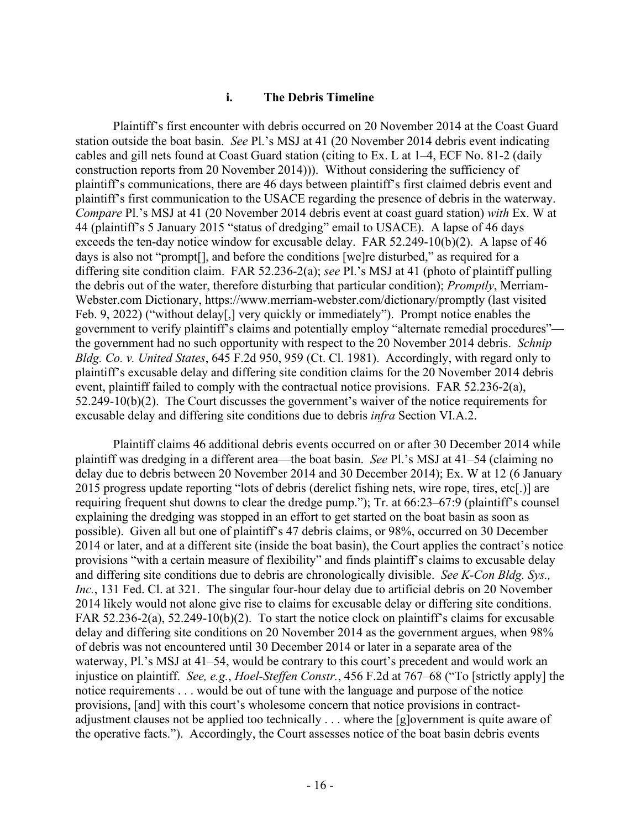#### **i. The Debris Timeline**

Plaintiff's first encounter with debris occurred on 20 November 2014 at the Coast Guard station outside the boat basin. *See* Pl.'s MSJ at 41 (20 November 2014 debris event indicating cables and gill nets found at Coast Guard station (citing to Ex. L at 1–4, ECF No. 81-2 (daily construction reports from 20 November 2014))). Without considering the sufficiency of plaintiff's communications, there are 46 days between plaintiff's first claimed debris event and plaintiff's first communication to the USACE regarding the presence of debris in the waterway. *Compare* Pl.'s MSJ at 41 (20 November 2014 debris event at coast guard station) *with* Ex. W at 44 (plaintiff's 5 January 2015 "status of dredging" email to USACE). A lapse of 46 days exceeds the ten-day notice window for excusable delay. FAR 52.249-10(b)(2). A lapse of 46 days is also not "prompt[], and before the conditions [we]re disturbed," as required for a differing site condition claim. FAR 52.236-2(a); *see* Pl.'s MSJ at 41 (photo of plaintiff pulling the debris out of the water, therefore disturbing that particular condition); *Promptly*, Merriam-Webster.com Dictionary, https://www.merriam-webster.com/dictionary/promptly (last visited Feb. 9, 2022) ("without delay[,] very quickly or immediately"). Prompt notice enables the government to verify plaintiff's claims and potentially employ "alternate remedial procedures" the government had no such opportunity with respect to the 20 November 2014 debris. *Schnip Bldg. Co. v. United States*, 645 F.2d 950, 959 (Ct. Cl. 1981). Accordingly, with regard only to plaintiff's excusable delay and differing site condition claims for the 20 November 2014 debris event, plaintiff failed to comply with the contractual notice provisions. FAR 52.236-2(a), 52.249-10(b)(2). The Court discusses the government's waiver of the notice requirements for excusable delay and differing site conditions due to debris *infra* Section VI.A.2.

Plaintiff claims 46 additional debris events occurred on or after 30 December 2014 while plaintiff was dredging in a different area—the boat basin. *See* Pl.'s MSJ at 41–54 (claiming no delay due to debris between 20 November 2014 and 30 December 2014); Ex. W at 12 (6 January 2015 progress update reporting "lots of debris (derelict fishing nets, wire rope, tires, etc[.)] are requiring frequent shut downs to clear the dredge pump."); Tr. at 66:23–67:9 (plaintiff's counsel explaining the dredging was stopped in an effort to get started on the boat basin as soon as possible). Given all but one of plaintiff's 47 debris claims, or 98%, occurred on 30 December 2014 or later, and at a different site (inside the boat basin), the Court applies the contract's notice provisions "with a certain measure of flexibility" and finds plaintiff's claims to excusable delay and differing site conditions due to debris are chronologically divisible. *See K-Con Bldg. Sys., Inc.*, 131 Fed. Cl. at 321. The singular four-hour delay due to artificial debris on 20 November 2014 likely would not alone give rise to claims for excusable delay or differing site conditions. FAR 52.236-2(a), 52.249-10(b)(2). To start the notice clock on plaintiff's claims for excusable delay and differing site conditions on 20 November 2014 as the government argues, when 98% of debris was not encountered until 30 December 2014 or later in a separate area of the waterway, Pl.'s MSJ at 41–54, would be contrary to this court's precedent and would work an injustice on plaintiff. *See, e.g.*, *Hoel-Steffen Constr.*, 456 F.2d at 767–68 ("To [strictly apply] the notice requirements . . . would be out of tune with the language and purpose of the notice provisions, [and] with this court's wholesome concern that notice provisions in contractadjustment clauses not be applied too technically . . . where the [g]overnment is quite aware of the operative facts."). Accordingly, the Court assesses notice of the boat basin debris events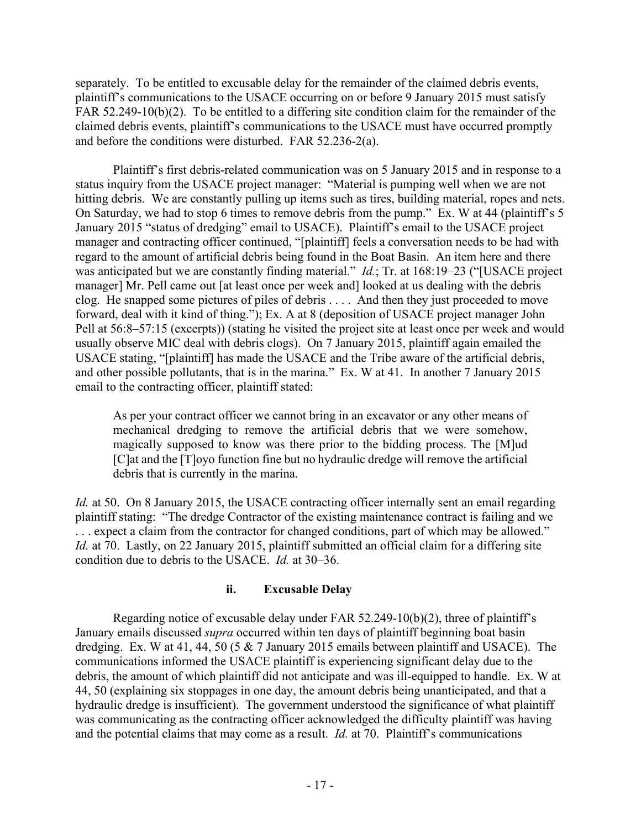separately. To be entitled to excusable delay for the remainder of the claimed debris events, plaintiff's communications to the USACE occurring on or before 9 January 2015 must satisfy FAR 52.249-10(b)(2). To be entitled to a differing site condition claim for the remainder of the claimed debris events, plaintiff's communications to the USACE must have occurred promptly and before the conditions were disturbed. FAR 52.236-2(a).

Plaintiff's first debris-related communication was on 5 January 2015 and in response to a status inquiry from the USACE project manager: "Material is pumping well when we are not hitting debris. We are constantly pulling up items such as tires, building material, ropes and nets. On Saturday, we had to stop 6 times to remove debris from the pump." Ex. W at 44 (plaintiff's 5 January 2015 "status of dredging" email to USACE). Plaintiff's email to the USACE project manager and contracting officer continued, "[plaintiff] feels a conversation needs to be had with regard to the amount of artificial debris being found in the Boat Basin. An item here and there was anticipated but we are constantly finding material." *Id.*; Tr. at 168:19–23 ("[USACE project manager] Mr. Pell came out [at least once per week and] looked at us dealing with the debris clog. He snapped some pictures of piles of debris . . . . And then they just proceeded to move forward, deal with it kind of thing."); Ex. A at 8 (deposition of USACE project manager John Pell at 56:8–57:15 (excerpts)) (stating he visited the project site at least once per week and would usually observe MIC deal with debris clogs). On 7 January 2015, plaintiff again emailed the USACE stating, "[plaintiff] has made the USACE and the Tribe aware of the artificial debris, and other possible pollutants, that is in the marina." Ex. W at 41. In another 7 January 2015 email to the contracting officer, plaintiff stated:

As per your contract officer we cannot bring in an excavator or any other means of mechanical dredging to remove the artificial debris that we were somehow, magically supposed to know was there prior to the bidding process. The [M]ud [C]at and the [T]oyo function fine but no hydraulic dredge will remove the artificial debris that is currently in the marina.

*Id.* at 50. On 8 January 2015, the USACE contracting officer internally sent an email regarding plaintiff stating: "The dredge Contractor of the existing maintenance contract is failing and we ... expect a claim from the contractor for changed conditions, part of which may be allowed." *Id.* at 70. Lastly, on 22 January 2015, plaintiff submitted an official claim for a differing site condition due to debris to the USACE. *Id.* at 30–36.

#### **ii. Excusable Delay**

Regarding notice of excusable delay under FAR 52.249-10(b)(2), three of plaintiff's January emails discussed *supra* occurred within ten days of plaintiff beginning boat basin dredging. Ex. W at 41, 44, 50 (5 & 7 January 2015 emails between plaintiff and USACE). The communications informed the USACE plaintiff is experiencing significant delay due to the debris, the amount of which plaintiff did not anticipate and was ill-equipped to handle. Ex. W at 44, 50 (explaining six stoppages in one day, the amount debris being unanticipated, and that a hydraulic dredge is insufficient). The government understood the significance of what plaintiff was communicating as the contracting officer acknowledged the difficulty plaintiff was having and the potential claims that may come as a result. *Id.* at 70. Plaintiff's communications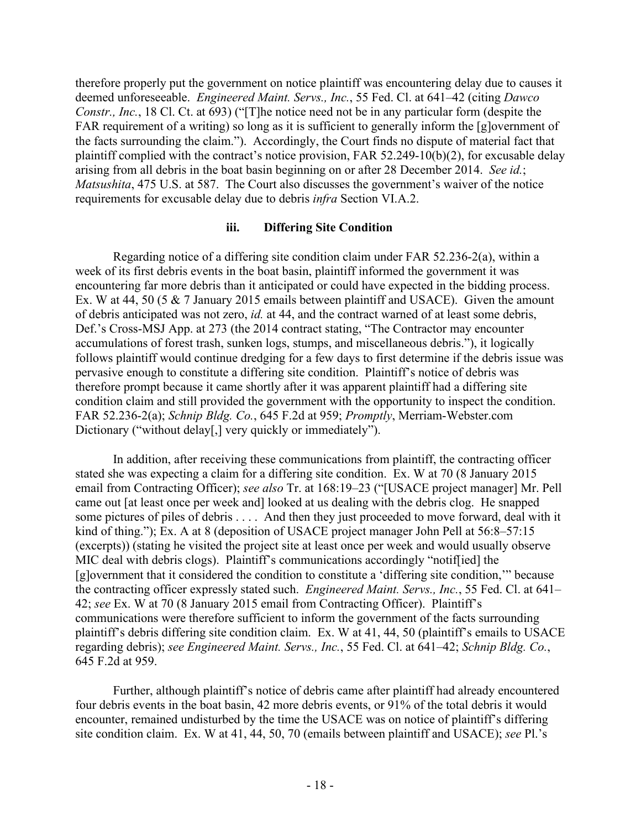therefore properly put the government on notice plaintiff was encountering delay due to causes it deemed unforeseeable. *Engineered Maint. Servs., Inc.*, 55 Fed. Cl. at 641–42 (citing *Dawco Constr., Inc.*, 18 Cl. Ct. at 693) ("[T]he notice need not be in any particular form (despite the FAR requirement of a writing) so long as it is sufficient to generally inform the [g]overnment of the facts surrounding the claim."). Accordingly, the Court finds no dispute of material fact that plaintiff complied with the contract's notice provision, FAR 52.249-10(b)(2), for excusable delay arising from all debris in the boat basin beginning on or after 28 December 2014. *See id.*; *Matsushita*, 475 U.S. at 587. The Court also discusses the government's waiver of the notice requirements for excusable delay due to debris *infra* Section VI.A.2.

#### **iii. Differing Site Condition**

Regarding notice of a differing site condition claim under FAR 52.236-2(a), within a week of its first debris events in the boat basin, plaintiff informed the government it was encountering far more debris than it anticipated or could have expected in the bidding process. Ex. W at 44, 50 (5 & 7 January 2015 emails between plaintiff and USACE). Given the amount of debris anticipated was not zero, *id.* at 44, and the contract warned of at least some debris, Def.'s Cross-MSJ App. at 273 (the 2014 contract stating, "The Contractor may encounter accumulations of forest trash, sunken logs, stumps, and miscellaneous debris."), it logically follows plaintiff would continue dredging for a few days to first determine if the debris issue was pervasive enough to constitute a differing site condition. Plaintiff's notice of debris was therefore prompt because it came shortly after it was apparent plaintiff had a differing site condition claim and still provided the government with the opportunity to inspect the condition. FAR 52.236-2(a); *Schnip Bldg. Co.*, 645 F.2d at 959; *Promptly*, Merriam-Webster.com Dictionary ("without delay[,] very quickly or immediately").

In addition, after receiving these communications from plaintiff, the contracting officer stated she was expecting a claim for a differing site condition. Ex. W at 70 (8 January 2015 email from Contracting Officer); *see also* Tr. at 168:19–23 ("[USACE project manager] Mr. Pell came out [at least once per week and] looked at us dealing with the debris clog. He snapped some pictures of piles of debris . . . . And then they just proceeded to move forward, deal with it kind of thing."); Ex. A at 8 (deposition of USACE project manager John Pell at 56:8–57:15 (excerpts)) (stating he visited the project site at least once per week and would usually observe MIC deal with debris clogs). Plaintiff's communications accordingly "notif[ied] the [g]overnment that it considered the condition to constitute a 'differing site condition,'" because the contracting officer expressly stated such. *Engineered Maint. Servs., Inc.*, 55 Fed. Cl. at 641– 42; *see* Ex. W at 70 (8 January 2015 email from Contracting Officer). Plaintiff's communications were therefore sufficient to inform the government of the facts surrounding plaintiff's debris differing site condition claim. Ex. W at 41, 44, 50 (plaintiff's emails to USACE regarding debris); *see Engineered Maint. Servs., Inc.*, 55 Fed. Cl. at 641–42; *Schnip Bldg. Co.*, 645 F.2d at 959.

Further, although plaintiff's notice of debris came after plaintiff had already encountered four debris events in the boat basin, 42 more debris events, or 91% of the total debris it would encounter, remained undisturbed by the time the USACE was on notice of plaintiff's differing site condition claim. Ex. W at 41, 44, 50, 70 (emails between plaintiff and USACE); *see* Pl.'s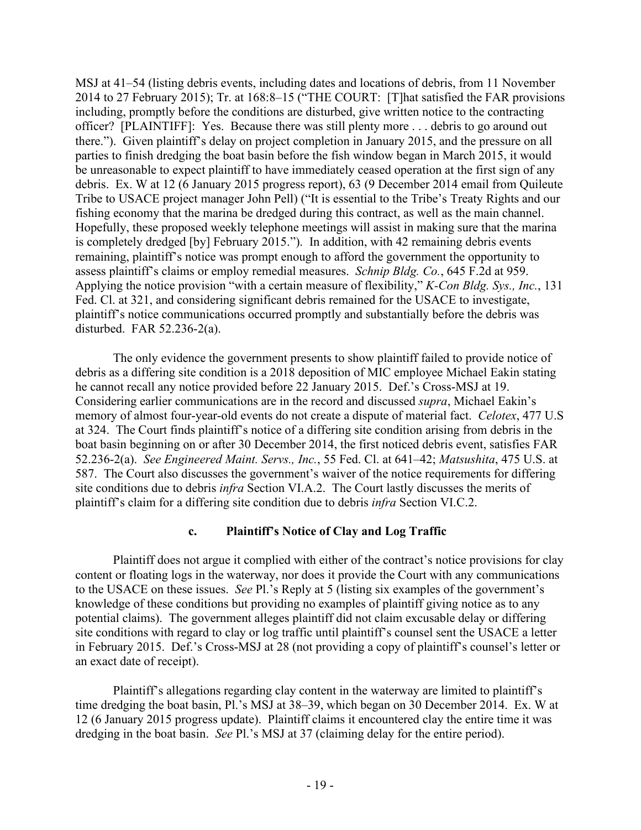MSJ at 41–54 (listing debris events, including dates and locations of debris, from 11 November 2014 to 27 February 2015); Tr. at 168:8–15 ("THE COURT: [T]hat satisfied the FAR provisions including, promptly before the conditions are disturbed, give written notice to the contracting officer? [PLAINTIFF]: Yes. Because there was still plenty more . . . debris to go around out there."). Given plaintiff's delay on project completion in January 2015, and the pressure on all parties to finish dredging the boat basin before the fish window began in March 2015, it would be unreasonable to expect plaintiff to have immediately ceased operation at the first sign of any debris. Ex. W at 12 (6 January 2015 progress report), 63 (9 December 2014 email from Quileute Tribe to USACE project manager John Pell) ("It is essential to the Tribe's Treaty Rights and our fishing economy that the marina be dredged during this contract, as well as the main channel. Hopefully, these proposed weekly telephone meetings will assist in making sure that the marina is completely dredged [by] February 2015."). In addition, with 42 remaining debris events remaining, plaintiff's notice was prompt enough to afford the government the opportunity to assess plaintiff's claims or employ remedial measures. *Schnip Bldg. Co.*, 645 F.2d at 959. Applying the notice provision "with a certain measure of flexibility," *K-Con Bldg. Sys., Inc.*, 131 Fed. Cl. at 321, and considering significant debris remained for the USACE to investigate, plaintiff's notice communications occurred promptly and substantially before the debris was disturbed. FAR 52.236-2(a).

The only evidence the government presents to show plaintiff failed to provide notice of debris as a differing site condition is a 2018 deposition of MIC employee Michael Eakin stating he cannot recall any notice provided before 22 January 2015. Def.'s Cross-MSJ at 19. Considering earlier communications are in the record and discussed *supra*, Michael Eakin's memory of almost four-year-old events do not create a dispute of material fact. *Celotex*, 477 U.S at 324. The Court finds plaintiff's notice of a differing site condition arising from debris in the boat basin beginning on or after 30 December 2014, the first noticed debris event, satisfies FAR 52.236-2(a). *See Engineered Maint. Servs., Inc.*, 55 Fed. Cl. at 641–42; *Matsushita*, 475 U.S. at 587. The Court also discusses the government's waiver of the notice requirements for differing site conditions due to debris *infra* Section VI.A.2. The Court lastly discusses the merits of plaintiff's claim for a differing site condition due to debris *infra* Section VI.C.2.

# **c. Plaintiff's Notice of Clay and Log Traffic**

Plaintiff does not argue it complied with either of the contract's notice provisions for clay content or floating logs in the waterway, nor does it provide the Court with any communications to the USACE on these issues. *See* Pl.'s Reply at 5 (listing six examples of the government's knowledge of these conditions but providing no examples of plaintiff giving notice as to any potential claims). The government alleges plaintiff did not claim excusable delay or differing site conditions with regard to clay or log traffic until plaintiff's counsel sent the USACE a letter in February 2015. Def.'s Cross-MSJ at 28 (not providing a copy of plaintiff's counsel's letter or an exact date of receipt).

Plaintiff's allegations regarding clay content in the waterway are limited to plaintiff's time dredging the boat basin, Pl.'s MSJ at 38–39, which began on 30 December 2014. Ex. W at 12 (6 January 2015 progress update). Plaintiff claims it encountered clay the entire time it was dredging in the boat basin. *See* Pl.'s MSJ at 37 (claiming delay for the entire period).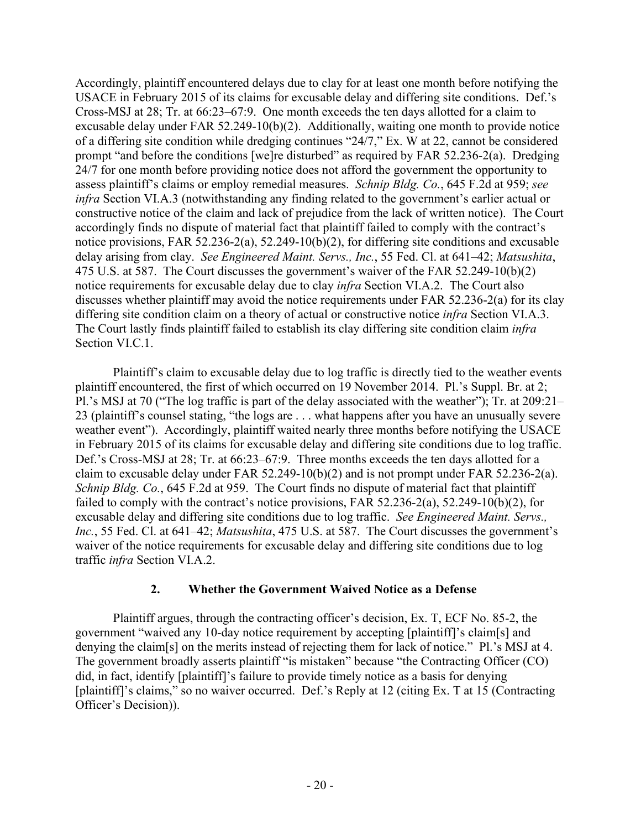Accordingly, plaintiff encountered delays due to clay for at least one month before notifying the USACE in February 2015 of its claims for excusable delay and differing site conditions. Def.'s Cross-MSJ at 28; Tr. at 66:23–67:9. One month exceeds the ten days allotted for a claim to excusable delay under FAR 52.249-10(b)(2). Additionally, waiting one month to provide notice of a differing site condition while dredging continues "24/7," Ex. W at 22, cannot be considered prompt "and before the conditions [we]re disturbed" as required by FAR 52.236-2(a). Dredging 24/7 for one month before providing notice does not afford the government the opportunity to assess plaintiff's claims or employ remedial measures. *Schnip Bldg. Co.*, 645 F.2d at 959; *see infra* Section VI.A.3 (notwithstanding any finding related to the government's earlier actual or constructive notice of the claim and lack of prejudice from the lack of written notice). The Court accordingly finds no dispute of material fact that plaintiff failed to comply with the contract's notice provisions, FAR 52.236-2(a), 52.249-10(b)(2), for differing site conditions and excusable delay arising from clay. *See Engineered Maint. Servs., Inc.*, 55 Fed. Cl. at 641–42; *Matsushita*, 475 U.S. at 587. The Court discusses the government's waiver of the FAR 52.249-10(b)(2) notice requirements for excusable delay due to clay *infra* Section VI.A.2. The Court also discusses whether plaintiff may avoid the notice requirements under FAR 52.236-2(a) for its clay differing site condition claim on a theory of actual or constructive notice *infra* Section VI.A.3. The Court lastly finds plaintiff failed to establish its clay differing site condition claim *infra* Section VI.C.1.

Plaintiff's claim to excusable delay due to log traffic is directly tied to the weather events plaintiff encountered, the first of which occurred on 19 November 2014. Pl.'s Suppl. Br. at 2; Pl.'s MSJ at 70 ("The log traffic is part of the delay associated with the weather"); Tr. at 209:21– 23 (plaintiff's counsel stating, "the logs are . . . what happens after you have an unusually severe weather event"). Accordingly, plaintiff waited nearly three months before notifying the USACE in February 2015 of its claims for excusable delay and differing site conditions due to log traffic. Def.'s Cross-MSJ at 28; Tr. at 66:23–67:9. Three months exceeds the ten days allotted for a claim to excusable delay under FAR 52.249-10(b)(2) and is not prompt under FAR 52.236-2(a). *Schnip Bldg. Co.*, 645 F.2d at 959. The Court finds no dispute of material fact that plaintiff failed to comply with the contract's notice provisions, FAR 52.236-2(a), 52.249-10(b)(2), for excusable delay and differing site conditions due to log traffic. *See Engineered Maint. Servs., Inc.*, 55 Fed. Cl. at 641–42; *Matsushita*, 475 U.S. at 587. The Court discusses the government's waiver of the notice requirements for excusable delay and differing site conditions due to log traffic *infra* Section VI.A.2.

# **2. Whether the Government Waived Notice as a Defense**

Plaintiff argues, through the contracting officer's decision, Ex. T, ECF No. 85-2, the government "waived any 10-day notice requirement by accepting [plaintiff]'s claim[s] and denying the claim[s] on the merits instead of rejecting them for lack of notice." Pl.'s MSJ at 4. The government broadly asserts plaintiff "is mistaken" because "the Contracting Officer (CO) did, in fact, identify [plaintiff]'s failure to provide timely notice as a basis for denying [plaintiff]'s claims," so no waiver occurred. Def.'s Reply at 12 (citing Ex. T at 15 (Contracting Officer's Decision)).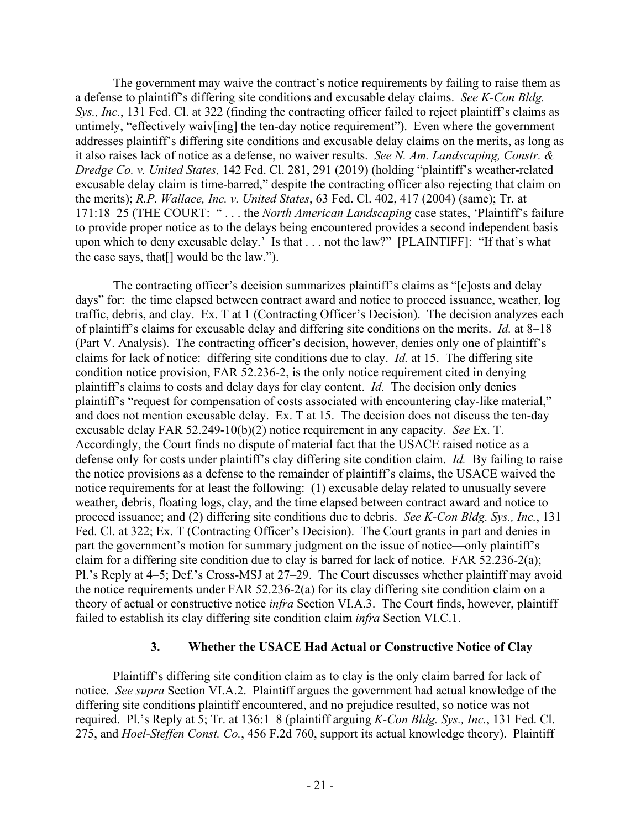The government may waive the contract's notice requirements by failing to raise them as a defense to plaintiff's differing site conditions and excusable delay claims. *See K-Con Bldg. Sys., Inc.*, 131 Fed. Cl. at 322 (finding the contracting officer failed to reject plaintiff's claims as untimely, "effectively waiv[ing] the ten-day notice requirement"). Even where the government addresses plaintiff's differing site conditions and excusable delay claims on the merits, as long as it also raises lack of notice as a defense, no waiver results. *See N. Am. Landscaping, Constr. & Dredge Co. v. United States,* 142 Fed. Cl. 281, 291 (2019) (holding "plaintiff's weather-related excusable delay claim is time-barred," despite the contracting officer also rejecting that claim on the merits); *R.P. Wallace, Inc. v. United States*, 63 Fed. Cl. 402, 417 (2004) (same); Tr. at 171:18–25 (THE COURT: " . . . the *North American Landscaping* case states, 'Plaintiff's failure to provide proper notice as to the delays being encountered provides a second independent basis upon which to deny excusable delay.' Is that . . . not the law?" [PLAINTIFF]: "If that's what the case says, that[] would be the law.").

The contracting officer's decision summarizes plaintiff's claims as "[c]osts and delay days" for: the time elapsed between contract award and notice to proceed issuance, weather, log traffic, debris, and clay. Ex. T at 1 (Contracting Officer's Decision). The decision analyzes each of plaintiff's claims for excusable delay and differing site conditions on the merits. *Id.* at 8–18 (Part V. Analysis). The contracting officer's decision, however, denies only one of plaintiff's claims for lack of notice: differing site conditions due to clay. *Id.* at 15. The differing site condition notice provision, FAR 52.236-2, is the only notice requirement cited in denying plaintiff's claims to costs and delay days for clay content. *Id.* The decision only denies plaintiff's "request for compensation of costs associated with encountering clay-like material," and does not mention excusable delay. Ex. T at 15. The decision does not discuss the ten-day excusable delay FAR 52.249-10(b)(2) notice requirement in any capacity. *See* Ex. T. Accordingly, the Court finds no dispute of material fact that the USACE raised notice as a defense only for costs under plaintiff's clay differing site condition claim. *Id.* By failing to raise the notice provisions as a defense to the remainder of plaintiff's claims, the USACE waived the notice requirements for at least the following: (1) excusable delay related to unusually severe weather, debris, floating logs, clay, and the time elapsed between contract award and notice to proceed issuance; and (2) differing site conditions due to debris. *See K-Con Bldg. Sys., Inc.*, 131 Fed. Cl. at 322; Ex. T (Contracting Officer's Decision). The Court grants in part and denies in part the government's motion for summary judgment on the issue of notice—only plaintiff's claim for a differing site condition due to clay is barred for lack of notice. FAR 52.236-2(a); Pl.'s Reply at 4–5; Def.'s Cross-MSJ at 27–29. The Court discusses whether plaintiff may avoid the notice requirements under FAR 52.236-2(a) for its clay differing site condition claim on a theory of actual or constructive notice *infra* Section VI.A.3. The Court finds, however, plaintiff failed to establish its clay differing site condition claim *infra* Section VI.C.1.

#### **3. Whether the USACE Had Actual or Constructive Notice of Clay**

Plaintiff's differing site condition claim as to clay is the only claim barred for lack of notice. *See supra* Section VI.A.2. Plaintiff argues the government had actual knowledge of the differing site conditions plaintiff encountered, and no prejudice resulted, so notice was not required. Pl.'s Reply at 5; Tr. at 136:1–8 (plaintiff arguing *K-Con Bldg. Sys., Inc.*, 131 Fed. Cl. 275, and *Hoel-Steffen Const. Co.*, 456 F.2d 760, support its actual knowledge theory). Plaintiff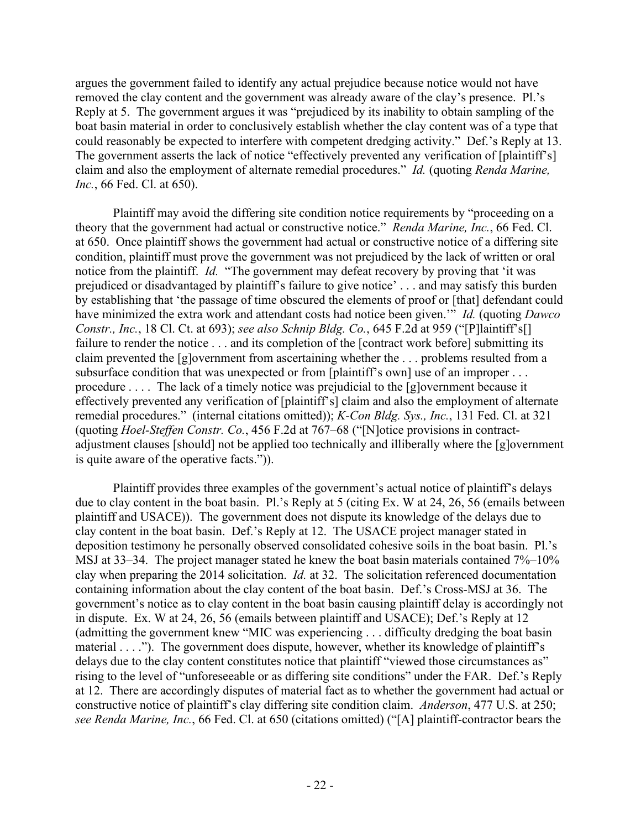argues the government failed to identify any actual prejudice because notice would not have removed the clay content and the government was already aware of the clay's presence. Pl.'s Reply at 5. The government argues it was "prejudiced by its inability to obtain sampling of the boat basin material in order to conclusively establish whether the clay content was of a type that could reasonably be expected to interfere with competent dredging activity." Def.'s Reply at 13. The government asserts the lack of notice "effectively prevented any verification of [plaintiff's] claim and also the employment of alternate remedial procedures." *Id.* (quoting *Renda Marine, Inc.*, 66 Fed. Cl. at 650).

Plaintiff may avoid the differing site condition notice requirements by "proceeding on a theory that the government had actual or constructive notice." *Renda Marine, Inc.*, 66 Fed. Cl. at 650. Once plaintiff shows the government had actual or constructive notice of a differing site condition, plaintiff must prove the government was not prejudiced by the lack of written or oral notice from the plaintiff. *Id.* "The government may defeat recovery by proving that 'it was prejudiced or disadvantaged by plaintiff's failure to give notice' . . . and may satisfy this burden by establishing that 'the passage of time obscured the elements of proof or [that] defendant could have minimized the extra work and attendant costs had notice been given.'" *Id.* (quoting *Dawco Constr., Inc.*, 18 Cl. Ct. at 693); *see also Schnip Bldg. Co.*, 645 F.2d at 959 ("[P]laintiff's[] failure to render the notice . . . and its completion of the [contract work before] submitting its claim prevented the [g]overnment from ascertaining whether the . . . problems resulted from a subsurface condition that was unexpected or from [plaintiff's own] use of an improper ... procedure . . . . The lack of a timely notice was prejudicial to the [g]overnment because it effectively prevented any verification of [plaintiff's] claim and also the employment of alternate remedial procedures." (internal citations omitted)); *K-Con Bldg. Sys., Inc.*, 131 Fed. Cl. at 321 (quoting *Hoel-Steffen Constr. Co.*, 456 F.2d at 767–68 ("[N]otice provisions in contractadjustment clauses [should] not be applied too technically and illiberally where the [g]overnment is quite aware of the operative facts.")).

Plaintiff provides three examples of the government's actual notice of plaintiff's delays due to clay content in the boat basin. Pl.'s Reply at 5 (citing Ex. W at 24, 26, 56 (emails between plaintiff and USACE)). The government does not dispute its knowledge of the delays due to clay content in the boat basin. Def.'s Reply at 12. The USACE project manager stated in deposition testimony he personally observed consolidated cohesive soils in the boat basin. Pl.'s MSJ at 33–34. The project manager stated he knew the boat basin materials contained 7%–10% clay when preparing the 2014 solicitation. *Id.* at 32. The solicitation referenced documentation containing information about the clay content of the boat basin. Def.'s Cross-MSJ at 36. The government's notice as to clay content in the boat basin causing plaintiff delay is accordingly not in dispute. Ex. W at 24, 26, 56 (emails between plaintiff and USACE); Def.'s Reply at 12 (admitting the government knew "MIC was experiencing . . . difficulty dredging the boat basin material . . . ."). The government does dispute, however, whether its knowledge of plaintiff's delays due to the clay content constitutes notice that plaintiff "viewed those circumstances as" rising to the level of "unforeseeable or as differing site conditions" under the FAR. Def.'s Reply at 12. There are accordingly disputes of material fact as to whether the government had actual or constructive notice of plaintiff's clay differing site condition claim. *Anderson*, 477 U.S. at 250; *see Renda Marine, Inc.*, 66 Fed. Cl. at 650 (citations omitted) ("[A] plaintiff-contractor bears the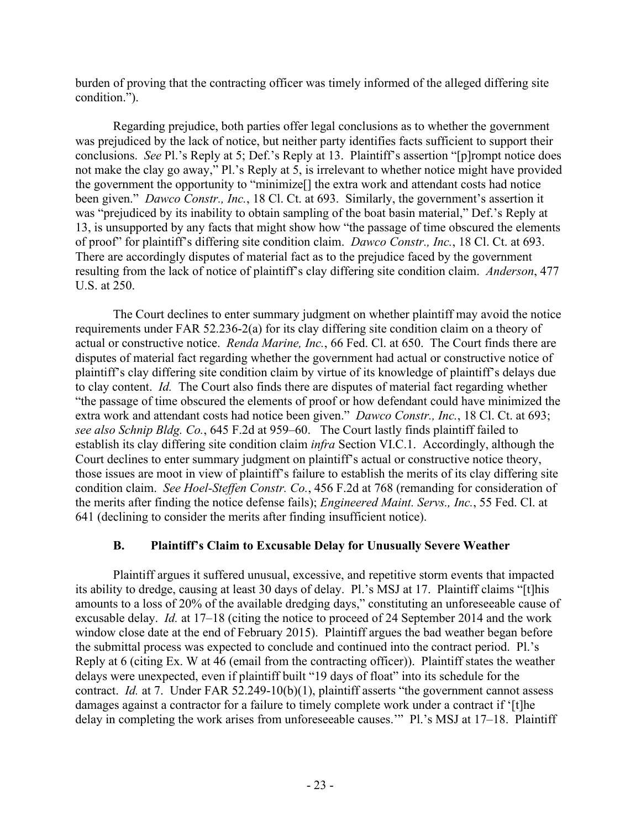burden of proving that the contracting officer was timely informed of the alleged differing site condition.").

Regarding prejudice, both parties offer legal conclusions as to whether the government was prejudiced by the lack of notice, but neither party identifies facts sufficient to support their conclusions. *See* Pl.'s Reply at 5; Def.'s Reply at 13. Plaintiff's assertion "[p]rompt notice does not make the clay go away," Pl.'s Reply at 5, is irrelevant to whether notice might have provided the government the opportunity to "minimize[] the extra work and attendant costs had notice been given." *Dawco Constr., Inc.*, 18 Cl. Ct. at 693. Similarly, the government's assertion it was "prejudiced by its inability to obtain sampling of the boat basin material," Def.'s Reply at 13, is unsupported by any facts that might show how "the passage of time obscured the elements of proof" for plaintiff's differing site condition claim. *Dawco Constr., Inc.*, 18 Cl. Ct. at 693. There are accordingly disputes of material fact as to the prejudice faced by the government resulting from the lack of notice of plaintiff's clay differing site condition claim. *Anderson*, 477 U.S. at 250.

The Court declines to enter summary judgment on whether plaintiff may avoid the notice requirements under FAR 52.236-2(a) for its clay differing site condition claim on a theory of actual or constructive notice. *Renda Marine, Inc.*, 66 Fed. Cl. at 650. The Court finds there are disputes of material fact regarding whether the government had actual or constructive notice of plaintiff's clay differing site condition claim by virtue of its knowledge of plaintiff's delays due to clay content. *Id.* The Court also finds there are disputes of material fact regarding whether "the passage of time obscured the elements of proof or how defendant could have minimized the extra work and attendant costs had notice been given." *Dawco Constr., Inc.*, 18 Cl. Ct. at 693; *see also Schnip Bldg. Co.*, 645 F.2d at 959–60. The Court lastly finds plaintiff failed to establish its clay differing site condition claim *infra* Section VI.C.1. Accordingly, although the Court declines to enter summary judgment on plaintiff's actual or constructive notice theory, those issues are moot in view of plaintiff's failure to establish the merits of its clay differing site condition claim. *See Hoel-Steffen Constr. Co.*, 456 F.2d at 768 (remanding for consideration of the merits after finding the notice defense fails); *Engineered Maint. Servs., Inc.*, 55 Fed. Cl. at 641 (declining to consider the merits after finding insufficient notice).

# **B. Plaintiff's Claim to Excusable Delay for Unusually Severe Weather**

Plaintiff argues it suffered unusual, excessive, and repetitive storm events that impacted its ability to dredge, causing at least 30 days of delay. Pl.'s MSJ at 17. Plaintiff claims "[t]his amounts to a loss of 20% of the available dredging days," constituting an unforeseeable cause of excusable delay. *Id.* at 17–18 (citing the notice to proceed of 24 September 2014 and the work window close date at the end of February 2015). Plaintiff argues the bad weather began before the submittal process was expected to conclude and continued into the contract period. Pl.'s Reply at 6 (citing Ex. W at 46 (email from the contracting officer)). Plaintiff states the weather delays were unexpected, even if plaintiff built "19 days of float" into its schedule for the contract. *Id.* at 7. Under FAR 52.249-10(b)(1), plaintiff asserts "the government cannot assess damages against a contractor for a failure to timely complete work under a contract if '[t]he delay in completing the work arises from unforeseeable causes.'" Pl.'s MSJ at 17–18. Plaintiff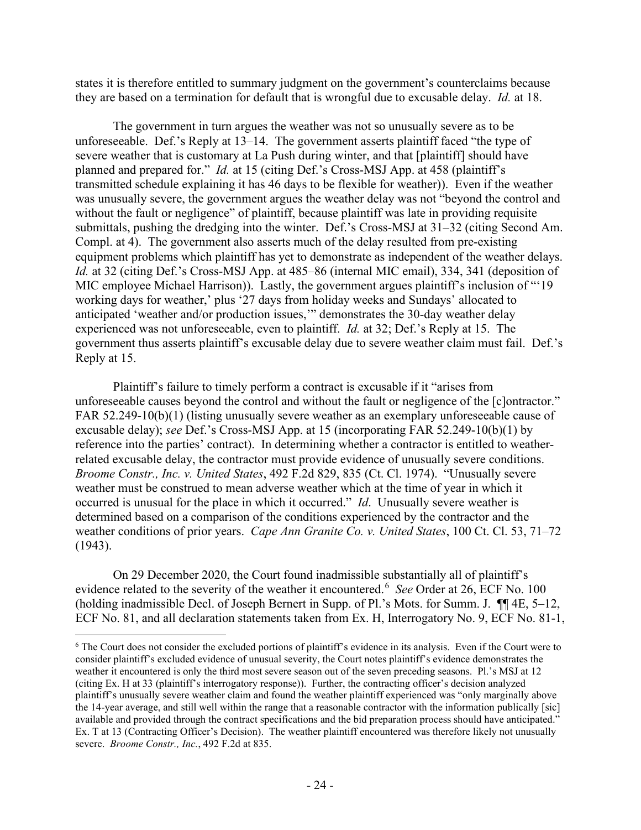states it is therefore entitled to summary judgment on the government's counterclaims because they are based on a termination for default that is wrongful due to excusable delay. *Id.* at 18.

The government in turn argues the weather was not so unusually severe as to be unforeseeable. Def.'s Reply at 13–14. The government asserts plaintiff faced "the type of severe weather that is customary at La Push during winter, and that [plaintiff] should have planned and prepared for." *Id.* at 15 (citing Def.'s Cross-MSJ App. at 458 (plaintiff's transmitted schedule explaining it has 46 days to be flexible for weather)). Even if the weather was unusually severe, the government argues the weather delay was not "beyond the control and without the fault or negligence" of plaintiff, because plaintiff was late in providing requisite submittals, pushing the dredging into the winter. Def.'s Cross-MSJ at 31–32 (citing Second Am. Compl. at 4). The government also asserts much of the delay resulted from pre-existing equipment problems which plaintiff has yet to demonstrate as independent of the weather delays. *Id.* at 32 (citing Def.'s Cross-MSJ App. at 485–86 (internal MIC email), 334, 341 (deposition of MIC employee Michael Harrison)). Lastly, the government argues plaintiff's inclusion of "'19 working days for weather,' plus '27 days from holiday weeks and Sundays' allocated to anticipated 'weather and/or production issues,'" demonstrates the 30-day weather delay experienced was not unforeseeable, even to plaintiff. *Id.* at 32; Def.'s Reply at 15. The government thus asserts plaintiff's excusable delay due to severe weather claim must fail. Def.'s Reply at 15.

Plaintiff's failure to timely perform a contract is excusable if it "arises from unforeseeable causes beyond the control and without the fault or negligence of the [c]ontractor." FAR 52.249-10(b)(1) (listing unusually severe weather as an exemplary unforeseeable cause of excusable delay); *see* Def.'s Cross-MSJ App. at 15 (incorporating FAR 52.249-10(b)(1) by reference into the parties' contract). In determining whether a contractor is entitled to weatherrelated excusable delay, the contractor must provide evidence of unusually severe conditions. *Broome Constr., Inc. v. United States*, 492 F.2d 829, 835 (Ct. Cl. 1974). "Unusually severe weather must be construed to mean adverse weather which at the time of year in which it occurred is unusual for the place in which it occurred." *Id*. Unusually severe weather is determined based on a comparison of the conditions experienced by the contractor and the weather conditions of prior years. *Cape Ann Granite Co. v. United States*, 100 Ct. Cl. 53, 71–72 (1943).

On 29 December 2020, the Court found inadmissible substantially all of plaintiff's evidence related to the severity of the weather it encountered.<sup>[6](#page-23-0)</sup> See Order at 26, ECF No. 100 (holding inadmissible Decl. of Joseph Bernert in Supp. of Pl.'s Mots. for Summ. J. ¶¶ 4E, 5–12, ECF No. 81, and all declaration statements taken from Ex. H, Interrogatory No. 9, ECF No. 81-1,

<span id="page-23-0"></span> $6$  The Court does not consider the excluded portions of plaintiff's evidence in its analysis. Even if the Court were to consider plaintiff's excluded evidence of unusual severity, the Court notes plaintiff's evidence demonstrates the weather it encountered is only the third most severe season out of the seven preceding seasons. Pl.'s MSJ at 12 (citing Ex. H at 33 (plaintiff's interrogatory response)). Further, the contracting officer's decision analyzed plaintiff's unusually severe weather claim and found the weather plaintiff experienced was "only marginally above the 14-year average, and still well within the range that a reasonable contractor with the information publically [sic] available and provided through the contract specifications and the bid preparation process should have anticipated." Ex. T at 13 (Contracting Officer's Decision). The weather plaintiff encountered was therefore likely not unusually severe. *Broome Constr., Inc.*, 492 F.2d at 835.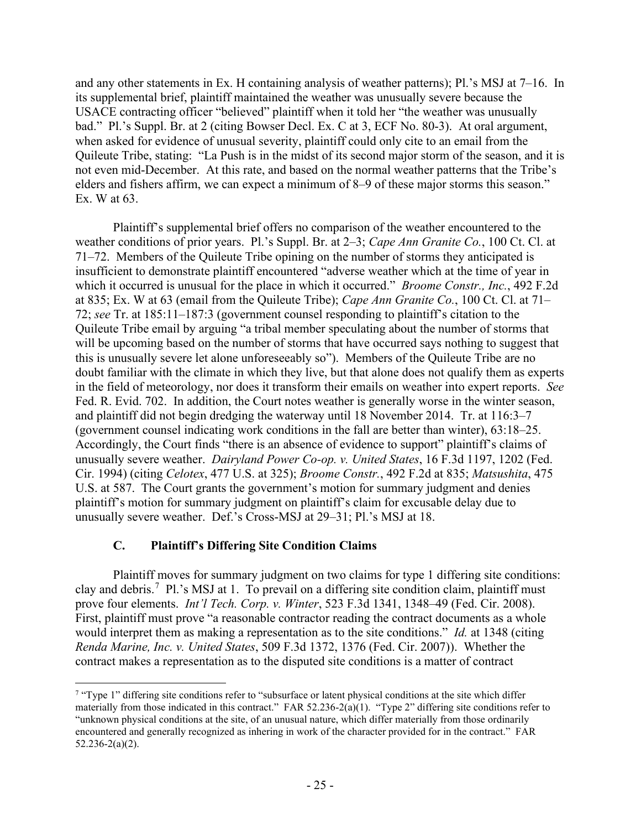and any other statements in Ex. H containing analysis of weather patterns); Pl.'s MSJ at 7–16. In its supplemental brief, plaintiff maintained the weather was unusually severe because the USACE contracting officer "believed" plaintiff when it told her "the weather was unusually bad." Pl.'s Suppl. Br. at 2 (citing Bowser Decl. Ex. C at 3, ECF No. 80-3). At oral argument, when asked for evidence of unusual severity, plaintiff could only cite to an email from the Quileute Tribe, stating: "La Push is in the midst of its second major storm of the season, and it is not even mid-December. At this rate, and based on the normal weather patterns that the Tribe's elders and fishers affirm, we can expect a minimum of 8–9 of these major storms this season." Ex. W at 63.

Plaintiff's supplemental brief offers no comparison of the weather encountered to the weather conditions of prior years. Pl.'s Suppl. Br. at 2–3; *Cape Ann Granite Co.*, 100 Ct. Cl. at 71–72. Members of the Quileute Tribe opining on the number of storms they anticipated is insufficient to demonstrate plaintiff encountered "adverse weather which at the time of year in which it occurred is unusual for the place in which it occurred." *Broome Constr., Inc.*, 492 F.2d at 835; Ex. W at 63 (email from the Quileute Tribe); *Cape Ann Granite Co.*, 100 Ct. Cl. at 71– 72; *see* Tr. at 185:11–187:3 (government counsel responding to plaintiff's citation to the Quileute Tribe email by arguing "a tribal member speculating about the number of storms that will be upcoming based on the number of storms that have occurred says nothing to suggest that this is unusually severe let alone unforeseeably so"). Members of the Quileute Tribe are no doubt familiar with the climate in which they live, but that alone does not qualify them as experts in the field of meteorology, nor does it transform their emails on weather into expert reports. *See*  Fed. R. Evid. 702. In addition, the Court notes weather is generally worse in the winter season, and plaintiff did not begin dredging the waterway until 18 November 2014. Tr. at 116:3–7 (government counsel indicating work conditions in the fall are better than winter), 63:18–25. Accordingly, the Court finds "there is an absence of evidence to support" plaintiff's claims of unusually severe weather. *Dairyland Power Co-op. v. United States*, 16 F.3d 1197, 1202 (Fed. Cir. 1994) (citing *Celotex*, 477 U.S. at 325); *Broome Constr.*, 492 F.2d at 835; *Matsushita*, 475 U.S. at 587. The Court grants the government's motion for summary judgment and denies plaintiff's motion for summary judgment on plaintiff's claim for excusable delay due to unusually severe weather. Def.'s Cross-MSJ at 29–31; Pl.'s MSJ at 18.

# **C. Plaintiff's Differing Site Condition Claims**

Plaintiff moves for summary judgment on two claims for type 1 differing site conditions: clay and debris.<sup>[7](#page-24-0)</sup> Pl.'s MSJ at 1. To prevail on a differing site condition claim, plaintiff must prove four elements. *Int'l Tech. Corp. v. Winter*, 523 F.3d 1341, 1348–49 (Fed. Cir. 2008). First, plaintiff must prove "a reasonable contractor reading the contract documents as a whole would interpret them as making a representation as to the site conditions." *Id.* at 1348 (citing *Renda Marine, Inc. v. United States*, 509 F.3d 1372, 1376 (Fed. Cir. 2007)). Whether the contract makes a representation as to the disputed site conditions is a matter of contract

<span id="page-24-0"></span><sup>&</sup>lt;sup>7</sup> "Type 1" differing site conditions refer to "subsurface or latent physical conditions at the site which differ materially from those indicated in this contract." FAR 52.236-2(a)(1). "Type 2" differing site conditions refer to "unknown physical conditions at the site, of an unusual nature, which differ materially from those ordinarily encountered and generally recognized as inhering in work of the character provided for in the contract." FAR 52.236-2(a)(2).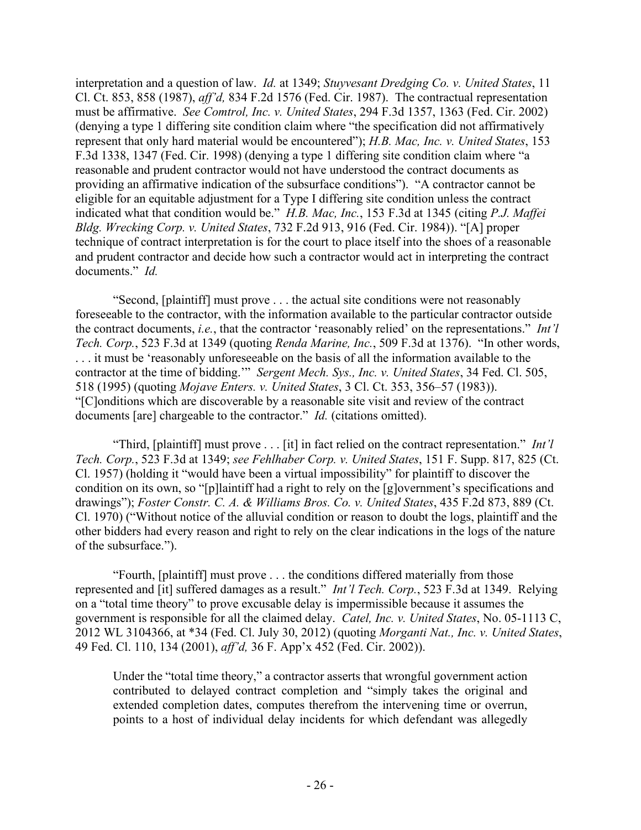interpretation and a question of law. *Id.* at 1349; *Stuyvesant Dredging Co. v. United States*, 11 Cl. Ct. 853, 858 (1987), *aff'd,* 834 F.2d 1576 (Fed. Cir. 1987). The contractual representation must be affirmative. *See Comtrol, Inc. v. United States*, 294 F.3d 1357, 1363 (Fed. Cir. 2002) (denying a type 1 differing site condition claim where "the specification did not affirmatively represent that only hard material would be encountered"); *H.B. Mac, Inc. v. United States*, 153 F.3d 1338, 1347 (Fed. Cir. 1998) (denying a type 1 differing site condition claim where "a reasonable and prudent contractor would not have understood the contract documents as providing an affirmative indication of the subsurface conditions"). "A contractor cannot be eligible for an equitable adjustment for a Type I differing site condition unless the contract indicated what that condition would be." *H.B. Mac, Inc.*, 153 F.3d at 1345 (citing *P.J. Maffei Bldg. Wrecking Corp. v. United States*, 732 F.2d 913, 916 (Fed. Cir. 1984)). "[A] proper technique of contract interpretation is for the court to place itself into the shoes of a reasonable and prudent contractor and decide how such a contractor would act in interpreting the contract documents." *Id.*

"Second, [plaintiff] must prove . . . the actual site conditions were not reasonably foreseeable to the contractor, with the information available to the particular contractor outside the contract documents, *i.e.*, that the contractor 'reasonably relied' on the representations." *Int'l Tech. Corp.*, 523 F.3d at 1349 (quoting *Renda Marine, Inc.*, 509 F.3d at 1376). "In other words, . . . it must be 'reasonably unforeseeable on the basis of all the information available to the contractor at the time of bidding.'" *Sergent Mech. Sys., Inc. v. United States*, 34 Fed. Cl. 505, 518 (1995) (quoting *Mojave Enters. v. United States*, 3 Cl. Ct. 353, 356–57 (1983)). "[C]onditions which are discoverable by a reasonable site visit and review of the contract documents [are] chargeable to the contractor." *Id.* (citations omitted).

"Third, [plaintiff] must prove . . . [it] in fact relied on the contract representation." *Int'l Tech. Corp.*, 523 F.3d at 1349; *see Fehlhaber Corp. v. United States*, 151 F. Supp. 817, 825 (Ct. Cl. 1957) (holding it "would have been a virtual impossibility" for plaintiff to discover the condition on its own, so "[p]laintiff had a right to rely on the [g]overnment's specifications and drawings"); *Foster Constr. C. A. & Williams Bros. Co. v. United States*, 435 F.2d 873, 889 (Ct. Cl. 1970) ("Without notice of the alluvial condition or reason to doubt the logs, plaintiff and the other bidders had every reason and right to rely on the clear indications in the logs of the nature of the subsurface.").

"Fourth, [plaintiff] must prove . . . the conditions differed materially from those represented and [it] suffered damages as a result." *Int'l Tech. Corp.*, 523 F.3d at 1349. Relying on a "total time theory" to prove excusable delay is impermissible because it assumes the government is responsible for all the claimed delay. *Catel, Inc. v. United States*, No. 05-1113 C, 2012 WL 3104366, at \*34 (Fed. Cl. July 30, 2012) (quoting *Morganti Nat., Inc. v. United States*, 49 Fed. Cl. 110, 134 (2001), *aff'd,* 36 F. App'x 452 (Fed. Cir. 2002)).

Under the "total time theory," a contractor asserts that wrongful government action contributed to delayed contract completion and "simply takes the original and extended completion dates, computes therefrom the intervening time or overrun, points to a host of individual delay incidents for which defendant was allegedly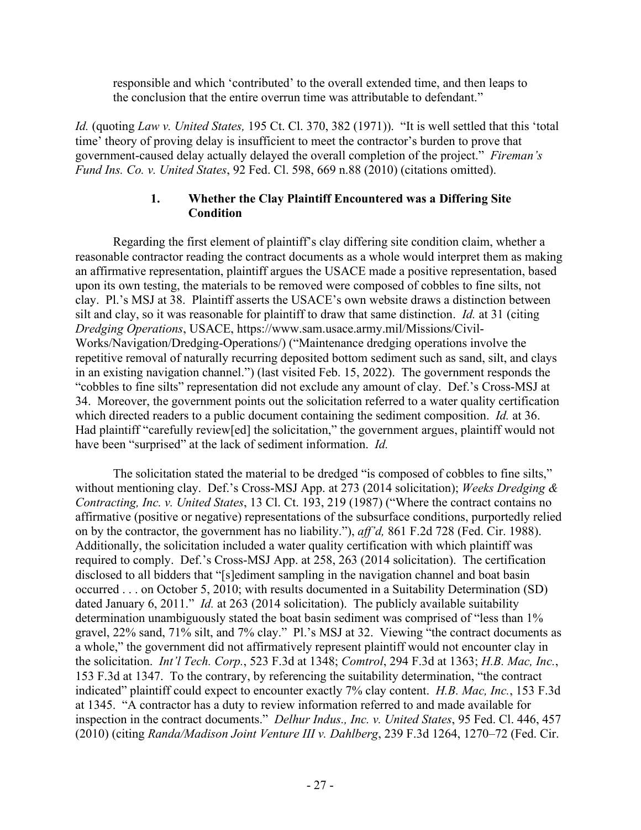responsible and which 'contributed' to the overall extended time, and then leaps to the conclusion that the entire overrun time was attributable to defendant."

*Id.* (quoting *Law v. United States,* 195 Ct. Cl. 370, 382 (1971)). "It is well settled that this 'total time' theory of proving delay is insufficient to meet the contractor's burden to prove that government-caused delay actually delayed the overall completion of the project." *Fireman's Fund Ins. Co. v. United States*, 92 Fed. Cl. 598, 669 n.88 (2010) (citations omitted).

# **1. Whether the Clay Plaintiff Encountered was a Differing Site Condition**

Regarding the first element of plaintiff's clay differing site condition claim, whether a reasonable contractor reading the contract documents as a whole would interpret them as making an affirmative representation, plaintiff argues the USACE made a positive representation, based upon its own testing, the materials to be removed were composed of cobbles to fine silts, not clay. Pl.'s MSJ at 38. Plaintiff asserts the USACE's own website draws a distinction between silt and clay, so it was reasonable for plaintiff to draw that same distinction. *Id.* at 31 (citing *Dredging Operations*, USACE, https://www.sam.usace.army.mil/Missions/Civil-Works/Navigation/Dredging-Operations/) ("Maintenance dredging operations involve the repetitive removal of naturally recurring deposited bottom sediment such as sand, silt, and clays in an existing navigation channel.") (last visited Feb. 15, 2022). The government responds the "cobbles to fine silts" representation did not exclude any amount of clay. Def.'s Cross-MSJ at 34. Moreover, the government points out the solicitation referred to a water quality certification which directed readers to a public document containing the sediment composition. *Id.* at 36. Had plaintiff "carefully review[ed] the solicitation," the government argues, plaintiff would not have been "surprised" at the lack of sediment information. *Id.*

The solicitation stated the material to be dredged "is composed of cobbles to fine silts," without mentioning clay. Def.'s Cross-MSJ App. at 273 (2014 solicitation); *Weeks Dredging & Contracting, Inc. v. United States*, 13 Cl. Ct. 193, 219 (1987) ("Where the contract contains no affirmative (positive or negative) representations of the subsurface conditions, purportedly relied on by the contractor, the government has no liability."), *aff'd,* 861 F.2d 728 (Fed. Cir. 1988). Additionally, the solicitation included a water quality certification with which plaintiff was required to comply. Def.'s Cross-MSJ App. at 258, 263 (2014 solicitation). The certification disclosed to all bidders that "[s]ediment sampling in the navigation channel and boat basin occurred . . . on October 5, 2010; with results documented in a Suitability Determination (SD) dated January 6, 2011." *Id.* at 263 (2014 solicitation). The publicly available suitability determination unambiguously stated the boat basin sediment was comprised of "less than 1% gravel, 22% sand, 71% silt, and 7% clay." Pl.'s MSJ at 32. Viewing "the contract documents as a whole," the government did not affirmatively represent plaintiff would not encounter clay in the solicitation. *Int'l Tech. Corp.*, 523 F.3d at 1348; *Comtrol*, 294 F.3d at 1363; *H.B. Mac, Inc.*, 153 F.3d at 1347. To the contrary, by referencing the suitability determination, "the contract indicated" plaintiff could expect to encounter exactly 7% clay content. *H.B. Mac, Inc.*, 153 F.3d at 1345. "A contractor has a duty to review information referred to and made available for inspection in the contract documents." *Delhur Indus., Inc. v. United States*, 95 Fed. Cl. 446, 457 (2010) (citing *Randa/Madison Joint Venture III v. Dahlberg*, 239 F.3d 1264, 1270–72 (Fed. Cir.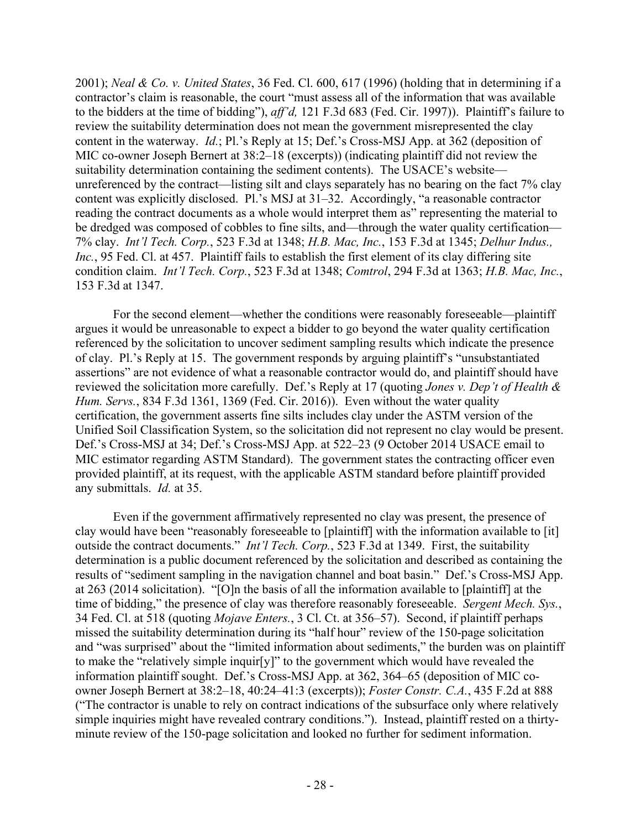2001); *Neal & Co. v. United States*, 36 Fed. Cl. 600, 617 (1996) (holding that in determining if a contractor's claim is reasonable, the court "must assess all of the information that was available to the bidders at the time of bidding"), *aff'd,* 121 F.3d 683 (Fed. Cir. 1997)). Plaintiff's failure to review the suitability determination does not mean the government misrepresented the clay content in the waterway. *Id.*; Pl.'s Reply at 15; Def.'s Cross-MSJ App. at 362 (deposition of MIC co-owner Joseph Bernert at 38:2–18 (excerpts)) (indicating plaintiff did not review the suitability determination containing the sediment contents). The USACE's website unreferenced by the contract—listing silt and clays separately has no bearing on the fact 7% clay content was explicitly disclosed. Pl.'s MSJ at 31–32. Accordingly, "a reasonable contractor reading the contract documents as a whole would interpret them as" representing the material to be dredged was composed of cobbles to fine silts, and—through the water quality certification— 7% clay. *Int'l Tech. Corp.*, 523 F.3d at 1348; *H.B. Mac, Inc.*, 153 F.3d at 1345; *Delhur Indus., Inc.*, 95 Fed. Cl. at 457. Plaintiff fails to establish the first element of its clay differing site condition claim. *Int'l Tech. Corp.*, 523 F.3d at 1348; *Comtrol*, 294 F.3d at 1363; *H.B. Mac, Inc.*, 153 F.3d at 1347.

For the second element—whether the conditions were reasonably foreseeable—plaintiff argues it would be unreasonable to expect a bidder to go beyond the water quality certification referenced by the solicitation to uncover sediment sampling results which indicate the presence of clay. Pl.'s Reply at 15. The government responds by arguing plaintiff's "unsubstantiated assertions" are not evidence of what a reasonable contractor would do, and plaintiff should have reviewed the solicitation more carefully. Def.'s Reply at 17 (quoting *Jones v. Dep't of Health & Hum. Servs.*, 834 F.3d 1361, 1369 (Fed. Cir. 2016)). Even without the water quality certification, the government asserts fine silts includes clay under the ASTM version of the Unified Soil Classification System, so the solicitation did not represent no clay would be present. Def.'s Cross-MSJ at 34; Def.'s Cross-MSJ App. at 522–23 (9 October 2014 USACE email to MIC estimator regarding ASTM Standard). The government states the contracting officer even provided plaintiff, at its request, with the applicable ASTM standard before plaintiff provided any submittals. *Id.* at 35.

Even if the government affirmatively represented no clay was present, the presence of clay would have been "reasonably foreseeable to [plaintiff] with the information available to [it] outside the contract documents." *Int'l Tech. Corp.*, 523 F.3d at 1349. First, the suitability determination is a public document referenced by the solicitation and described as containing the results of "sediment sampling in the navigation channel and boat basin." Def.'s Cross-MSJ App. at 263 (2014 solicitation). "[O]n the basis of all the information available to [plaintiff] at the time of bidding," the presence of clay was therefore reasonably foreseeable. *Sergent Mech. Sys.*, 34 Fed. Cl. at 518 (quoting *Mojave Enters.*, 3 Cl. Ct. at 356–57). Second, if plaintiff perhaps missed the suitability determination during its "half hour" review of the 150-page solicitation and "was surprised" about the "limited information about sediments," the burden was on plaintiff to make the "relatively simple inquir[y]" to the government which would have revealed the information plaintiff sought. Def.'s Cross-MSJ App. at 362, 364–65 (deposition of MIC coowner Joseph Bernert at 38:2–18, 40:24–41:3 (excerpts)); *Foster Constr. C.A.*, 435 F.2d at 888 ("The contractor is unable to rely on contract indications of the subsurface only where relatively simple inquiries might have revealed contrary conditions."). Instead, plaintiff rested on a thirtyminute review of the 150-page solicitation and looked no further for sediment information.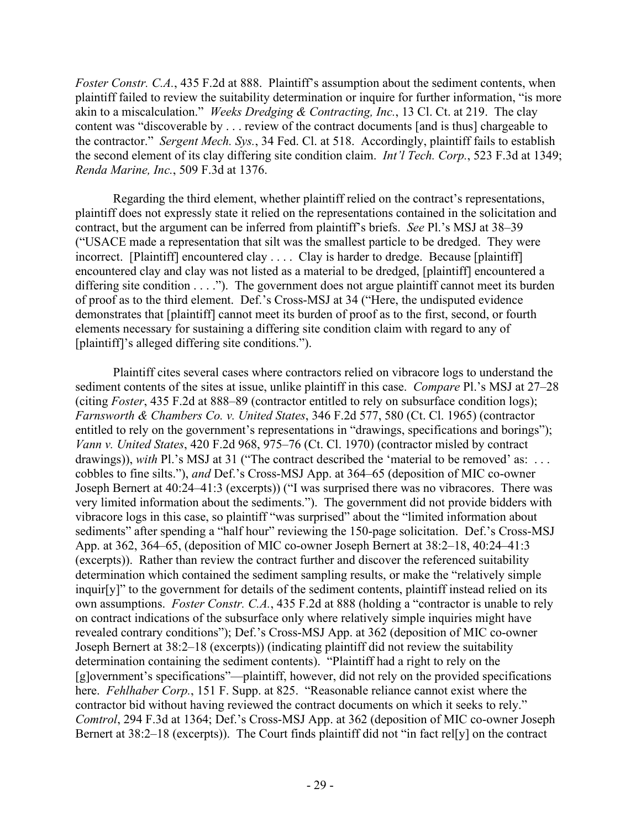*Foster Constr. C.A.*, 435 F.2d at 888. Plaintiff's assumption about the sediment contents, when plaintiff failed to review the suitability determination or inquire for further information, "is more akin to a miscalculation." *Weeks Dredging & Contracting, Inc.*, 13 Cl. Ct. at 219. The clay content was "discoverable by . . . review of the contract documents [and is thus] chargeable to the contractor." *Sergent Mech. Sys.*, 34 Fed. Cl. at 518. Accordingly, plaintiff fails to establish the second element of its clay differing site condition claim. *Int'l Tech. Corp.*, 523 F.3d at 1349; *Renda Marine, Inc.*, 509 F.3d at 1376.

Regarding the third element, whether plaintiff relied on the contract's representations, plaintiff does not expressly state it relied on the representations contained in the solicitation and contract, but the argument can be inferred from plaintiff's briefs. *See* Pl.'s MSJ at 38–39 ("USACE made a representation that silt was the smallest particle to be dredged. They were incorrect. [Plaintiff] encountered clay .... Clay is harder to dredge. Because [plaintiff] encountered clay and clay was not listed as a material to be dredged, [plaintiff] encountered a differing site condition  $\dots$  ."). The government does not argue plaintiff cannot meet its burden of proof as to the third element. Def.'s Cross-MSJ at 34 ("Here, the undisputed evidence demonstrates that [plaintiff] cannot meet its burden of proof as to the first, second, or fourth elements necessary for sustaining a differing site condition claim with regard to any of [plaintiff]'s alleged differing site conditions.").

Plaintiff cites several cases where contractors relied on vibracore logs to understand the sediment contents of the sites at issue, unlike plaintiff in this case. *Compare* Pl.'s MSJ at 27–28 (citing *Foster*, 435 F.2d at 888–89 (contractor entitled to rely on subsurface condition logs); *Farnsworth & Chambers Co. v. United States*, 346 F.2d 577, 580 (Ct. Cl. 1965) (contractor entitled to rely on the government's representations in "drawings, specifications and borings"); *Vann v. United States*, 420 F.2d 968, 975–76 (Ct. Cl. 1970) (contractor misled by contract drawings)), *with* Pl.'s MSJ at 31 ("The contract described the 'material to be removed' as: ... cobbles to fine silts."), *and* Def.'s Cross-MSJ App. at 364–65 (deposition of MIC co-owner Joseph Bernert at 40:24–41:3 (excerpts)) ("I was surprised there was no vibracores. There was very limited information about the sediments."). The government did not provide bidders with vibracore logs in this case, so plaintiff "was surprised" about the "limited information about sediments" after spending a "half hour" reviewing the 150-page solicitation. Def.'s Cross-MSJ App. at 362, 364–65, (deposition of MIC co-owner Joseph Bernert at 38:2–18, 40:24–41:3 (excerpts)). Rather than review the contract further and discover the referenced suitability determination which contained the sediment sampling results, or make the "relatively simple inquir[y]" to the government for details of the sediment contents, plaintiff instead relied on its own assumptions. *Foster Constr. C.A.*, 435 F.2d at 888 (holding a "contractor is unable to rely on contract indications of the subsurface only where relatively simple inquiries might have revealed contrary conditions"); Def.'s Cross-MSJ App. at 362 (deposition of MIC co-owner Joseph Bernert at 38:2–18 (excerpts)) (indicating plaintiff did not review the suitability determination containing the sediment contents). "Plaintiff had a right to rely on the [g]overnment's specifications"—plaintiff, however, did not rely on the provided specifications here. *Fehlhaber Corp.*, 151 F. Supp. at 825. "Reasonable reliance cannot exist where the contractor bid without having reviewed the contract documents on which it seeks to rely." *Comtrol*, 294 F.3d at 1364; Def.'s Cross-MSJ App. at 362 (deposition of MIC co-owner Joseph Bernert at 38:2–18 (excerpts)). The Court finds plaintiff did not "in fact rel[y] on the contract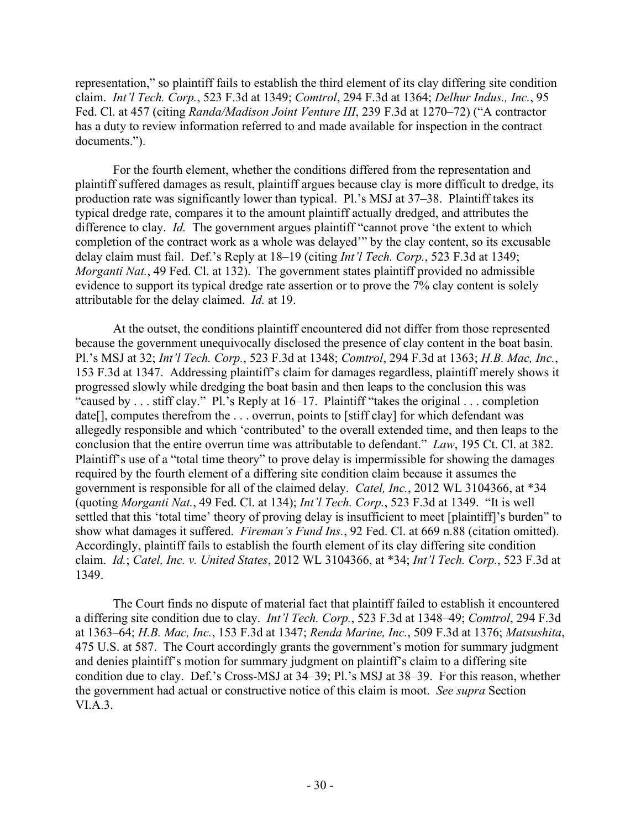representation," so plaintiff fails to establish the third element of its clay differing site condition claim. *Int'l Tech. Corp.*, 523 F.3d at 1349; *Comtrol*, 294 F.3d at 1364; *Delhur Indus., Inc.*, 95 Fed. Cl. at 457 (citing *Randa/Madison Joint Venture III*, 239 F.3d at 1270–72) ("A contractor has a duty to review information referred to and made available for inspection in the contract documents.").

For the fourth element, whether the conditions differed from the representation and plaintiff suffered damages as result, plaintiff argues because clay is more difficult to dredge, its production rate was significantly lower than typical. Pl.'s MSJ at 37–38. Plaintiff takes its typical dredge rate, compares it to the amount plaintiff actually dredged, and attributes the difference to clay. *Id.* The government argues plaintiff "cannot prove 'the extent to which completion of the contract work as a whole was delayed'" by the clay content, so its excusable delay claim must fail. Def.'s Reply at 18–19 (citing *Int'l Tech. Corp.*, 523 F.3d at 1349; *Morganti Nat.*, 49 Fed. Cl. at 132). The government states plaintiff provided no admissible evidence to support its typical dredge rate assertion or to prove the 7% clay content is solely attributable for the delay claimed. *Id.* at 19.

At the outset, the conditions plaintiff encountered did not differ from those represented because the government unequivocally disclosed the presence of clay content in the boat basin. Pl.'s MSJ at 32; *Int'l Tech. Corp.*, 523 F.3d at 1348; *Comtrol*, 294 F.3d at 1363; *H.B. Mac, Inc.*, 153 F.3d at 1347. Addressing plaintiff's claim for damages regardless, plaintiff merely shows it progressed slowly while dredging the boat basin and then leaps to the conclusion this was "caused by . . . stiff clay." Pl.'s Reply at 16–17. Plaintiff "takes the original . . . completion date[], computes therefrom the . . . overrun, points to [stiff clay] for which defendant was allegedly responsible and which 'contributed' to the overall extended time, and then leaps to the conclusion that the entire overrun time was attributable to defendant." *Law*, 195 Ct. Cl. at 382. Plaintiff's use of a "total time theory" to prove delay is impermissible for showing the damages required by the fourth element of a differing site condition claim because it assumes the government is responsible for all of the claimed delay. *Catel, Inc.*, 2012 WL 3104366, at \*34 (quoting *Morganti Nat.*, 49 Fed. Cl. at 134); *Int'l Tech. Corp.*, 523 F.3d at 1349. "It is well settled that this 'total time' theory of proving delay is insufficient to meet [plaintiff]'s burden" to show what damages it suffered. *Fireman's Fund Ins.*, 92 Fed. Cl. at 669 n.88 (citation omitted). Accordingly, plaintiff fails to establish the fourth element of its clay differing site condition claim. *Id.*; *Catel, Inc. v. United States*, 2012 WL 3104366, at \*34; *Int'l Tech. Corp.*, 523 F.3d at 1349.

The Court finds no dispute of material fact that plaintiff failed to establish it encountered a differing site condition due to clay. *Int'l Tech. Corp.*, 523 F.3d at 1348–49; *Comtrol*, 294 F.3d at 1363–64; *H.B. Mac, Inc.*, 153 F.3d at 1347; *Renda Marine, Inc.*, 509 F.3d at 1376; *Matsushita*, 475 U.S. at 587. The Court accordingly grants the government's motion for summary judgment and denies plaintiff's motion for summary judgment on plaintiff's claim to a differing site condition due to clay. Def.'s Cross-MSJ at 34–39; Pl.'s MSJ at 38–39. For this reason, whether the government had actual or constructive notice of this claim is moot. *See supra* Section VI.A.3.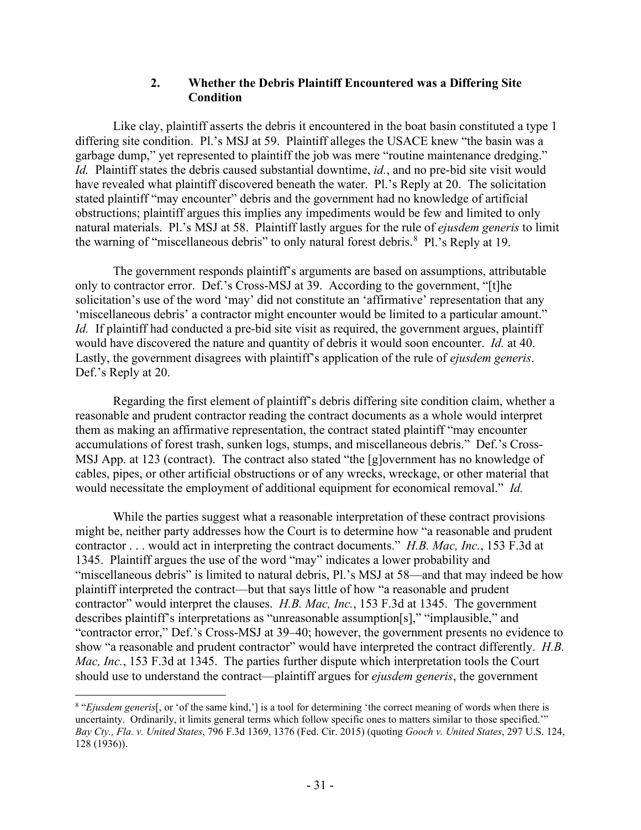#### **2. Whether the Debris Plaintiff Encountered was a Differing Site Condition**

Like clay, plaintiff asserts the debris it encountered in the boat basin constituted a type 1 differing site condition. Pl.'s MSJ at 59. Plaintiff alleges the USACE knew "the basin was a garbage dump," yet represented to plaintiff the job was mere "routine maintenance dredging." *Id.* Plaintiff states the debris caused substantial downtime, *id.*, and no pre-bid site visit would have revealed what plaintiff discovered beneath the water. Pl.'s Reply at 20. The solicitation stated plaintiff "may encounter" debris and the government had no knowledge of artificial obstructions; plaintiff argues this implies any impediments would be few and limited to only natural materials. Pl.'s MSJ at 58. Plaintiff lastly argues for the rule of *ejusdem generis* to limit the warning of "miscellaneous debris" to only natural forest debris. <sup>[8](#page-30-0)</sup> Pl.'s Reply at 19.

The government responds plaintiff's arguments are based on assumptions, attributable only to contractor error. Def.'s Cross-MSJ at 39. According to the government, "[t]he solicitation's use of the word 'may' did not constitute an 'affirmative' representation that any 'miscellaneous debris' a contractor might encounter would be limited to a particular amount." *Id.* If plaintiff had conducted a pre-bid site visit as required, the government argues, plaintiff would have discovered the nature and quantity of debris it would soon encounter. *Id.* at 40. Lastly, the government disagrees with plaintiff's application of the rule of *ejusdem generis*. Def.'s Reply at 20.

Regarding the first element of plaintiff's debris differing site condition claim, whether a reasonable and prudent contractor reading the contract documents as a whole would interpret them as making an affirmative representation, the contract stated plaintiff "may encounter accumulations of forest trash, sunken logs, stumps, and miscellaneous debris." Def.'s Cross-MSJ App. at 123 (contract). The contract also stated "the [g]overnment has no knowledge of cables, pipes, or other artificial obstructions or of any wrecks, wreckage, or other material that would necessitate the employment of additional equipment for economical removal." *Id.*

While the parties suggest what a reasonable interpretation of these contract provisions might be, neither party addresses how the Court is to determine how "a reasonable and prudent contractor . . . would act in interpreting the contract documents." *H.B. Mac, Inc.*, 153 F.3d at 1345. Plaintiff argues the use of the word "may" indicates a lower probability and "miscellaneous debris" is limited to natural debris, Pl.'s MSJ at 58—and that may indeed be how plaintiff interpreted the contract—but that says little of how "a reasonable and prudent contractor" would interpret the clauses. *H.B. Mac, Inc.*, 153 F.3d at 1345. The government describes plaintiff's interpretations as "unreasonable assumption[s]," "implausible," and "contractor error," Def.'s Cross-MSJ at 39–40; however, the government presents no evidence to show "a reasonable and prudent contractor" would have interpreted the contract differently. *H.B. Mac, Inc.*, 153 F.3d at 1345. The parties further dispute which interpretation tools the Court should use to understand the contract—plaintiff argues for *ejusdem generis*, the government

<span id="page-30-0"></span><sup>8</sup> "*Ejusdem generis*[, or 'of the same kind,'] is a tool for determining 'the correct meaning of words when there is uncertainty. Ordinarily, it limits general terms which follow specific ones to matters similar to those specified.'" *Bay Cty., Fla. v. United States*, 796 F.3d 1369, 1376 (Fed. Cir. 2015) (quoting *Gooch v. United States*, 297 U.S. 124, 128 (1936)).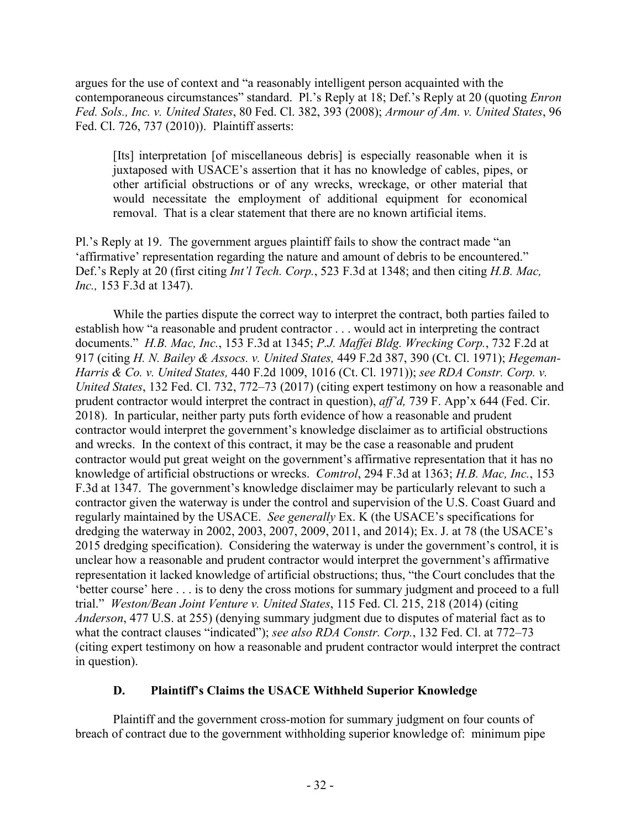argues for the use of context and "a reasonably intelligent person acquainted with the contemporaneous circumstances" standard. Pl.'s Reply at 18; Def.'s Reply at 20 (quoting *Enron Fed. Sols., Inc. v. United States*, 80 Fed. Cl. 382, 393 (2008); *Armour of Am. v. United States*, 96 Fed. Cl. 726, 737 (2010)). Plaintiff asserts:

[Its] interpretation [of miscellaneous debris] is especially reasonable when it is juxtaposed with USACE's assertion that it has no knowledge of cables, pipes, or other artificial obstructions or of any wrecks, wreckage, or other material that would necessitate the employment of additional equipment for economical removal. That is a clear statement that there are no known artificial items.

Pl.'s Reply at 19. The government argues plaintiff fails to show the contract made "an 'affirmative' representation regarding the nature and amount of debris to be encountered." Def.'s Reply at 20 (first citing *Int'l Tech. Corp.*, 523 F.3d at 1348; and then citing *H.B. Mac, Inc.,* 153 F.3d at 1347).

While the parties dispute the correct way to interpret the contract, both parties failed to establish how "a reasonable and prudent contractor . . . would act in interpreting the contract documents." *H.B. Mac, Inc.*, 153 F.3d at 1345; *P.J. Maffei Bldg. Wrecking Corp.*, 732 F.2d at 917 (citing *H. N. Bailey & Assocs. v. United States,* 449 F.2d 387, 390 (Ct. Cl. 1971); *Hegeman-Harris & Co. v. United States,* 440 F.2d 1009, 1016 (Ct. Cl. 1971)); *see RDA Constr. Corp. v. United States*, 132 Fed. Cl. 732, 772–73 (2017) (citing expert testimony on how a reasonable and prudent contractor would interpret the contract in question), *aff'd,* 739 F. App'x 644 (Fed. Cir. 2018). In particular, neither party puts forth evidence of how a reasonable and prudent contractor would interpret the government's knowledge disclaimer as to artificial obstructions and wrecks. In the context of this contract, it may be the case a reasonable and prudent contractor would put great weight on the government's affirmative representation that it has no knowledge of artificial obstructions or wrecks. *Comtrol*, 294 F.3d at 1363; *H.B. Mac, Inc.*, 153 F.3d at 1347. The government's knowledge disclaimer may be particularly relevant to such a contractor given the waterway is under the control and supervision of the U.S. Coast Guard and regularly maintained by the USACE. *See generally* Ex. K (the USACE's specifications for dredging the waterway in 2002, 2003, 2007, 2009, 2011, and 2014); Ex. J. at 78 (the USACE's 2015 dredging specification). Considering the waterway is under the government's control, it is unclear how a reasonable and prudent contractor would interpret the government's affirmative representation it lacked knowledge of artificial obstructions; thus, "the Court concludes that the 'better course' here . . . is to deny the cross motions for summary judgment and proceed to a full trial." *Weston/Bean Joint Venture v. United States*, 115 Fed. Cl. 215, 218 (2014) (citing *Anderson*, 477 U.S. at 255) (denying summary judgment due to disputes of material fact as to what the contract clauses "indicated"); *see also RDA Constr. Corp.*, 132 Fed. Cl. at 772–73 (citing expert testimony on how a reasonable and prudent contractor would interpret the contract in question).

# **D. Plaintiff's Claims the USACE Withheld Superior Knowledge**

Plaintiff and the government cross-motion for summary judgment on four counts of breach of contract due to the government withholding superior knowledge of: minimum pipe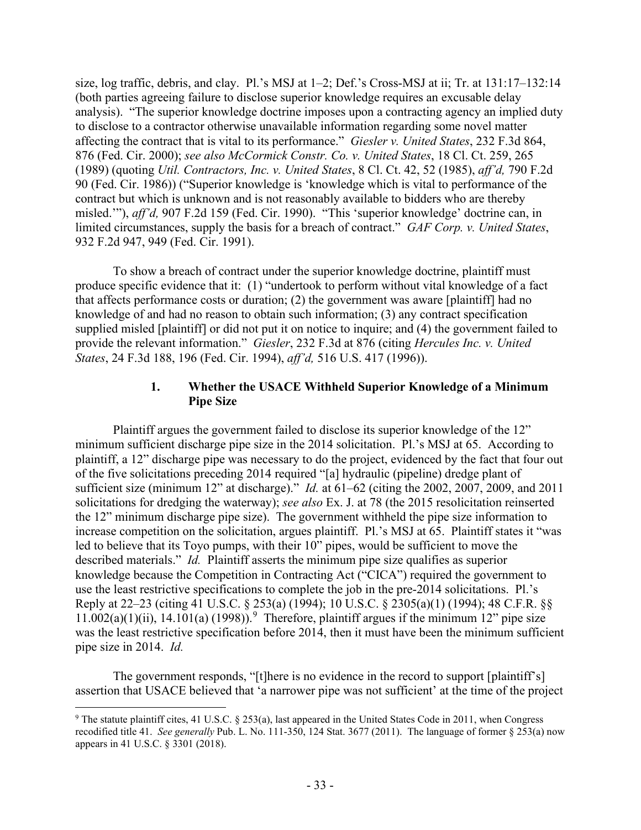size, log traffic, debris, and clay. Pl.'s MSJ at  $1-2$ ; Def.'s Cross-MSJ at ii; Tr. at  $131:17-132:14$ (both parties agreeing failure to disclose superior knowledge requires an excusable delay analysis). "The superior knowledge doctrine imposes upon a contracting agency an implied duty to disclose to a contractor otherwise unavailable information regarding some novel matter affecting the contract that is vital to its performance." *Giesler v. United States*, 232 F.3d 864, 876 (Fed. Cir. 2000); *see also McCormick Constr. Co. v. United States*, 18 Cl. Ct. 259, 265 (1989) (quoting *Util. Contractors, Inc. v. United States*, 8 Cl. Ct. 42, 52 (1985), *aff'd,* 790 F.2d 90 (Fed. Cir. 1986)) ("Superior knowledge is 'knowledge which is vital to performance of the contract but which is unknown and is not reasonably available to bidders who are thereby misled.'"), *aff'd,* 907 F.2d 159 (Fed. Cir. 1990). "This 'superior knowledge' doctrine can, in limited circumstances, supply the basis for a breach of contract." *GAF Corp. v. United States*, 932 F.2d 947, 949 (Fed. Cir. 1991).

To show a breach of contract under the superior knowledge doctrine, plaintiff must produce specific evidence that it: (1) "undertook to perform without vital knowledge of a fact that affects performance costs or duration; (2) the government was aware [plaintiff] had no knowledge of and had no reason to obtain such information; (3) any contract specification supplied misled [plaintiff] or did not put it on notice to inquire; and (4) the government failed to provide the relevant information." *Giesler*, 232 F.3d at 876 (citing *Hercules Inc. v. United States*, 24 F.3d 188, 196 (Fed. Cir. 1994), *aff'd,* 516 U.S. 417 (1996)).

#### **1. Whether the USACE Withheld Superior Knowledge of a Minimum Pipe Size**

Plaintiff argues the government failed to disclose its superior knowledge of the 12" minimum sufficient discharge pipe size in the 2014 solicitation. Pl.'s MSJ at 65. According to plaintiff, a 12" discharge pipe was necessary to do the project, evidenced by the fact that four out of the five solicitations preceding 2014 required "[a] hydraulic (pipeline) dredge plant of sufficient size (minimum 12" at discharge)." *Id.* at 61–62 (citing the 2002, 2007, 2009, and 2011 solicitations for dredging the waterway); *see also* Ex. J. at 78 (the 2015 resolicitation reinserted the 12" minimum discharge pipe size). The government withheld the pipe size information to increase competition on the solicitation, argues plaintiff. Pl.'s MSJ at 65. Plaintiff states it "was led to believe that its Toyo pumps, with their 10" pipes, would be sufficient to move the described materials." *Id.* Plaintiff asserts the minimum pipe size qualifies as superior knowledge because the Competition in Contracting Act ("CICA") required the government to use the least restrictive specifications to complete the job in the pre-2014 solicitations. Pl.'s Reply at 22–23 (citing 41 U.S.C. § 253(a) (1994); 10 U.S.C. § 2305(a)(1) (1994); 48 C.F.R. §§ 11.002(a)(1)(ii), 14.101(a) (1[9](#page-32-0)98)).<sup>9</sup> Therefore, plaintiff argues if the minimum 12" pipe size was the least restrictive specification before 2014, then it must have been the minimum sufficient pipe size in 2014. *Id.*

The government responds, "[t]here is no evidence in the record to support [plaintiff's] assertion that USACE believed that 'a narrower pipe was not sufficient' at the time of the project

<span id="page-32-0"></span> $9$  The statute plaintiff cites, 41 U.S.C. § 253(a), last appeared in the United States Code in 2011, when Congress recodified title 41. *See generally* Pub. L. No. 111-350, 124 Stat. 3677 (2011). The language of former § 253(a) now appears in 41 U.S.C. § 3301 (2018).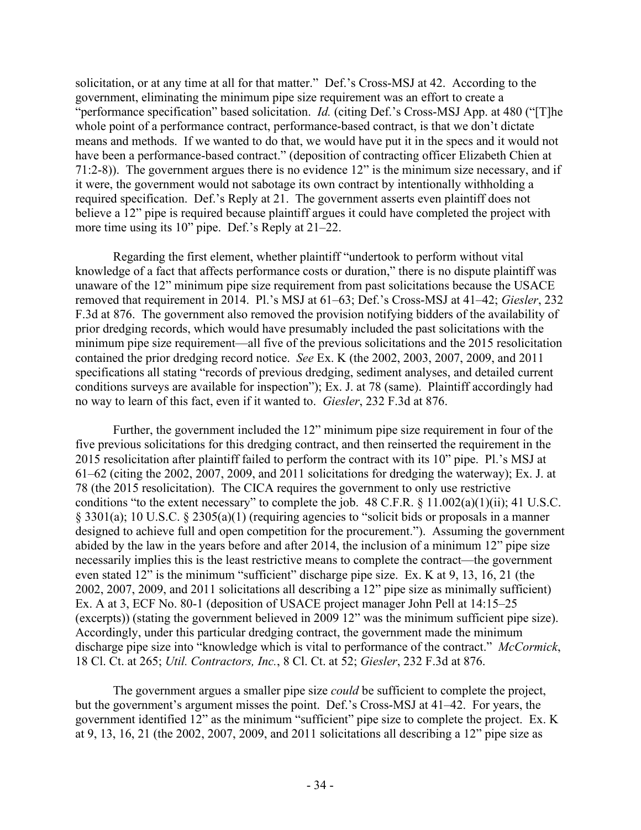solicitation, or at any time at all for that matter." Def.'s Cross-MSJ at 42. According to the government, eliminating the minimum pipe size requirement was an effort to create a "performance specification" based solicitation. *Id.* (citing Def.'s Cross-MSJ App. at 480 ("[T]he whole point of a performance contract, performance-based contract, is that we don't dictate means and methods. If we wanted to do that, we would have put it in the specs and it would not have been a performance-based contract." (deposition of contracting officer Elizabeth Chien at 71:2-8)). The government argues there is no evidence 12" is the minimum size necessary, and if it were, the government would not sabotage its own contract by intentionally withholding a required specification. Def.'s Reply at 21. The government asserts even plaintiff does not believe a 12" pipe is required because plaintiff argues it could have completed the project with more time using its 10" pipe. Def.'s Reply at 21–22.

Regarding the first element, whether plaintiff "undertook to perform without vital knowledge of a fact that affects performance costs or duration," there is no dispute plaintiff was unaware of the 12" minimum pipe size requirement from past solicitations because the USACE removed that requirement in 2014. Pl.'s MSJ at 61–63; Def.'s Cross-MSJ at 41–42; *Giesler*, 232 F.3d at 876. The government also removed the provision notifying bidders of the availability of prior dredging records, which would have presumably included the past solicitations with the minimum pipe size requirement—all five of the previous solicitations and the 2015 resolicitation contained the prior dredging record notice. *See* Ex. K (the 2002, 2003, 2007, 2009, and 2011 specifications all stating "records of previous dredging, sediment analyses, and detailed current conditions surveys are available for inspection"); Ex. J. at 78 (same). Plaintiff accordingly had no way to learn of this fact, even if it wanted to. *Giesler*, 232 F.3d at 876.

Further, the government included the 12" minimum pipe size requirement in four of the five previous solicitations for this dredging contract, and then reinserted the requirement in the 2015 resolicitation after plaintiff failed to perform the contract with its 10" pipe. Pl.'s MSJ at 61–62 (citing the 2002, 2007, 2009, and 2011 solicitations for dredging the waterway); Ex. J. at 78 (the 2015 resolicitation). The CICA requires the government to only use restrictive conditions "to the extent necessary" to complete the job. 48 C.F.R. § 11.002(a)(1)(ii); 41 U.S.C. § 3301(a); 10 U.S.C. § 2305(a)(1) (requiring agencies to "solicit bids or proposals in a manner designed to achieve full and open competition for the procurement."). Assuming the government abided by the law in the years before and after 2014, the inclusion of a minimum 12" pipe size necessarily implies this is the least restrictive means to complete the contract—the government even stated 12" is the minimum "sufficient" discharge pipe size. Ex. K at 9, 13, 16, 21 (the 2002, 2007, 2009, and 2011 solicitations all describing a 12" pipe size as minimally sufficient) Ex. A at 3, ECF No. 80-1 (deposition of USACE project manager John Pell at 14:15–25 (excerpts)) (stating the government believed in 2009 12" was the minimum sufficient pipe size). Accordingly, under this particular dredging contract, the government made the minimum discharge pipe size into "knowledge which is vital to performance of the contract." *McCormick*, 18 Cl. Ct. at 265; *Util. Contractors, Inc.*, 8 Cl. Ct. at 52; *Giesler*, 232 F.3d at 876.

The government argues a smaller pipe size *could* be sufficient to complete the project, but the government's argument misses the point. Def.'s Cross-MSJ at 41–42. For years, the government identified 12" as the minimum "sufficient" pipe size to complete the project. Ex. K at 9, 13, 16, 21 (the 2002, 2007, 2009, and 2011 solicitations all describing a 12" pipe size as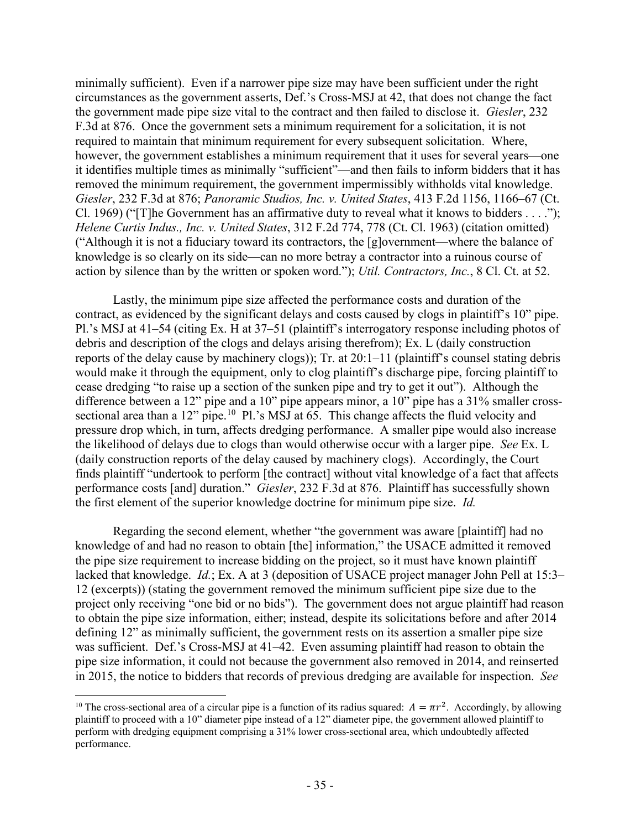minimally sufficient). Even if a narrower pipe size may have been sufficient under the right circumstances as the government asserts, Def.'s Cross-MSJ at 42, that does not change the fact the government made pipe size vital to the contract and then failed to disclose it. *Giesler*, 232 F.3d at 876. Once the government sets a minimum requirement for a solicitation, it is not required to maintain that minimum requirement for every subsequent solicitation. Where, however, the government establishes a minimum requirement that it uses for several years—one it identifies multiple times as minimally "sufficient"—and then fails to inform bidders that it has removed the minimum requirement, the government impermissibly withholds vital knowledge. *Giesler*, 232 F.3d at 876; *Panoramic Studios, Inc. v. United States*, 413 F.2d 1156, 1166–67 (Ct. Cl. 1969) ("[T]he Government has an affirmative duty to reveal what it knows to bidders . . . ."); *Helene Curtis Indus., Inc. v. United States*, 312 F.2d 774, 778 (Ct. Cl. 1963) (citation omitted) ("Although it is not a fiduciary toward its contractors, the [g]overnment—where the balance of knowledge is so clearly on its side—can no more betray a contractor into a ruinous course of action by silence than by the written or spoken word."); *Util. Contractors, Inc.*, 8 Cl. Ct. at 52.

Lastly, the minimum pipe size affected the performance costs and duration of the contract, as evidenced by the significant delays and costs caused by clogs in plaintiff's 10" pipe. Pl.'s MSJ at 41–54 (citing Ex. H at 37–51 (plaintiff's interrogatory response including photos of debris and description of the clogs and delays arising therefrom); Ex. L (daily construction reports of the delay cause by machinery clogs)); Tr. at 20:1–11 (plaintiff's counsel stating debris would make it through the equipment, only to clog plaintiff's discharge pipe, forcing plaintiff to cease dredging "to raise up a section of the sunken pipe and try to get it out"). Although the difference between a 12" pipe and a 10" pipe appears minor, a 10" pipe has a 31% smaller crosssectional area than a  $12$ " pipe.<sup>[10](#page-34-0)</sup> Pl.'s MSJ at  $65$ . This change affects the fluid velocity and pressure drop which, in turn, affects dredging performance. A smaller pipe would also increase the likelihood of delays due to clogs than would otherwise occur with a larger pipe. *See* Ex. L (daily construction reports of the delay caused by machinery clogs). Accordingly, the Court finds plaintiff "undertook to perform [the contract] without vital knowledge of a fact that affects performance costs [and] duration." *Giesler*, 232 F.3d at 876. Plaintiff has successfully shown the first element of the superior knowledge doctrine for minimum pipe size. *Id.*

Regarding the second element, whether "the government was aware [plaintiff] had no knowledge of and had no reason to obtain [the] information," the USACE admitted it removed the pipe size requirement to increase bidding on the project, so it must have known plaintiff lacked that knowledge. *Id.*; Ex. A at 3 (deposition of USACE project manager John Pell at 15:3– 12 (excerpts)) (stating the government removed the minimum sufficient pipe size due to the project only receiving "one bid or no bids"). The government does not argue plaintiff had reason to obtain the pipe size information, either; instead, despite its solicitations before and after 2014 defining 12" as minimally sufficient, the government rests on its assertion a smaller pipe size was sufficient. Def.'s Cross-MSJ at 41–42. Even assuming plaintiff had reason to obtain the pipe size information, it could not because the government also removed in 2014, and reinserted in 2015, the notice to bidders that records of previous dredging are available for inspection. *See* 

<span id="page-34-0"></span><sup>&</sup>lt;sup>10</sup> The cross-sectional area of a circular pipe is a function of its radius squared:  $A = \pi r^2$ . Accordingly, by allowing plaintiff to proceed with a 10" diameter pipe instead of a 12" diameter pipe, the government allowed plaintiff to perform with dredging equipment comprising a 31% lower cross-sectional area, which undoubtedly affected performance.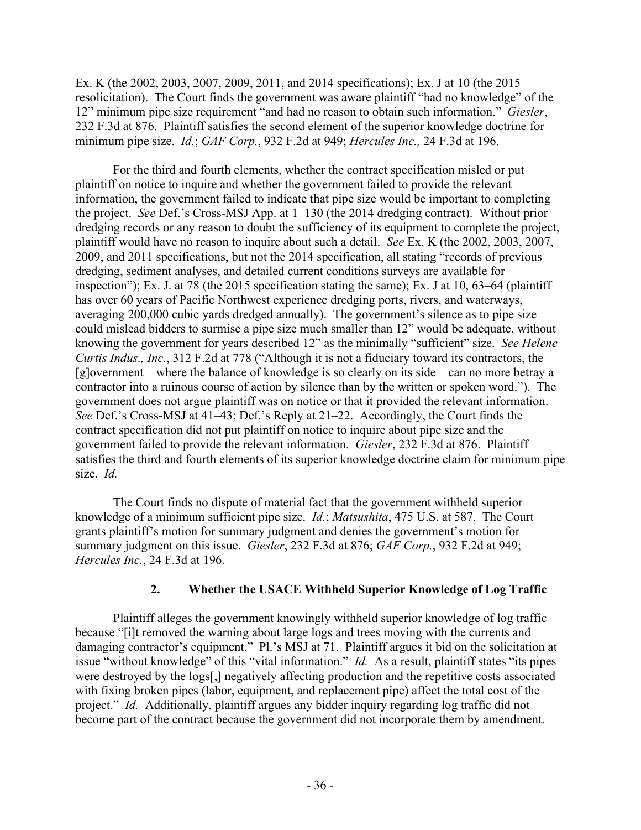Ex. K (the 2002, 2003, 2007, 2009, 2011, and 2014 specifications); Ex. J at 10 (the 2015 resolicitation). The Court finds the government was aware plaintiff "had no knowledge" of the 12" minimum pipe size requirement "and had no reason to obtain such information." *Giesler*, 232 F.3d at 876. Plaintiff satisfies the second element of the superior knowledge doctrine for minimum pipe size. *Id.*; *GAF Corp.*, 932 F.2d at 949; *Hercules Inc.,* 24 F.3d at 196.

For the third and fourth elements, whether the contract specification misled or put plaintiff on notice to inquire and whether the government failed to provide the relevant information, the government failed to indicate that pipe size would be important to completing the project. *See* Def.'s Cross-MSJ App. at 1–130 (the 2014 dredging contract). Without prior dredging records or any reason to doubt the sufficiency of its equipment to complete the project, plaintiff would have no reason to inquire about such a detail. *See* Ex. K (the 2002, 2003, 2007, 2009, and 2011 specifications, but not the 2014 specification, all stating "records of previous dredging, sediment analyses, and detailed current conditions surveys are available for inspection"); Ex. J. at 78 (the 2015 specification stating the same); Ex. J at 10, 63–64 (plaintiff has over 60 years of Pacific Northwest experience dredging ports, rivers, and waterways, averaging 200,000 cubic yards dredged annually). The government's silence as to pipe size could mislead bidders to surmise a pipe size much smaller than 12" would be adequate, without knowing the government for years described 12" as the minimally "sufficient" size. *See Helene Curtis Indus., Inc.*, 312 F.2d at 778 ("Although it is not a fiduciary toward its contractors, the [g]overnment—where the balance of knowledge is so clearly on its side—can no more betray a contractor into a ruinous course of action by silence than by the written or spoken word."). The government does not argue plaintiff was on notice or that it provided the relevant information. *See* Def.'s Cross-MSJ at 41–43; Def.'s Reply at 21–22. Accordingly, the Court finds the contract specification did not put plaintiff on notice to inquire about pipe size and the government failed to provide the relevant information. *Giesler*, 232 F.3d at 876. Plaintiff satisfies the third and fourth elements of its superior knowledge doctrine claim for minimum pipe size. *Id.*

The Court finds no dispute of material fact that the government withheld superior knowledge of a minimum sufficient pipe size. *Id.*; *Matsushita*, 475 U.S. at 587. The Court grants plaintiff's motion for summary judgment and denies the government's motion for summary judgment on this issue. *Giesler*, 232 F.3d at 876; *GAF Corp.*, 932 F.2d at 949; *Hercules Inc.*, 24 F.3d at 196.

# **2. Whether the USACE Withheld Superior Knowledge of Log Traffic**

Plaintiff alleges the government knowingly withheld superior knowledge of log traffic because "[i]t removed the warning about large logs and trees moving with the currents and damaging contractor's equipment." Pl.'s MSJ at 71. Plaintiff argues it bid on the solicitation at issue "without knowledge" of this "vital information." *Id.* As a result, plaintiff states "its pipes were destroyed by the logs[,] negatively affecting production and the repetitive costs associated with fixing broken pipes (labor, equipment, and replacement pipe) affect the total cost of the project." *Id.* Additionally, plaintiff argues any bidder inquiry regarding log traffic did not become part of the contract because the government did not incorporate them by amendment.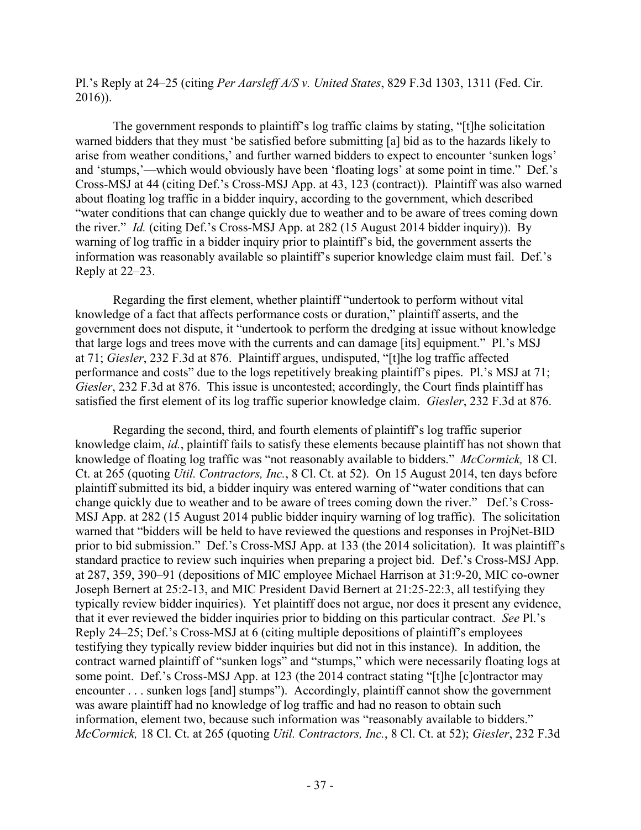Pl.'s Reply at 24–25 (citing *Per Aarsleff A/S v. United States*, 829 F.3d 1303, 1311 (Fed. Cir. 2016)).

The government responds to plaintiff's log traffic claims by stating, "[t]he solicitation warned bidders that they must 'be satisfied before submitting [a] bid as to the hazards likely to arise from weather conditions,' and further warned bidders to expect to encounter 'sunken logs' and 'stumps,'—which would obviously have been 'floating logs' at some point in time." Def.'s Cross-MSJ at 44 (citing Def.'s Cross-MSJ App. at 43, 123 (contract)). Plaintiff was also warned about floating log traffic in a bidder inquiry, according to the government, which described "water conditions that can change quickly due to weather and to be aware of trees coming down the river." *Id.* (citing Def.'s Cross-MSJ App. at 282 (15 August 2014 bidder inquiry)). By warning of log traffic in a bidder inquiry prior to plaintiff's bid, the government asserts the information was reasonably available so plaintiff's superior knowledge claim must fail. Def.'s Reply at 22–23.

Regarding the first element, whether plaintiff "undertook to perform without vital knowledge of a fact that affects performance costs or duration," plaintiff asserts, and the government does not dispute, it "undertook to perform the dredging at issue without knowledge that large logs and trees move with the currents and can damage [its] equipment." Pl.'s MSJ at 71; *Giesler*, 232 F.3d at 876. Plaintiff argues, undisputed, "[t]he log traffic affected performance and costs" due to the logs repetitively breaking plaintiff's pipes. Pl.'s MSJ at 71; *Giesler*, 232 F.3d at 876. This issue is uncontested; accordingly, the Court finds plaintiff has satisfied the first element of its log traffic superior knowledge claim. *Giesler*, 232 F.3d at 876.

Regarding the second, third, and fourth elements of plaintiff's log traffic superior knowledge claim, *id.*, plaintiff fails to satisfy these elements because plaintiff has not shown that knowledge of floating log traffic was "not reasonably available to bidders." *McCormick,* 18 Cl. Ct. at 265 (quoting *Util. Contractors, Inc.*, 8 Cl. Ct. at 52). On 15 August 2014, ten days before plaintiff submitted its bid, a bidder inquiry was entered warning of "water conditions that can change quickly due to weather and to be aware of trees coming down the river." Def.'s Cross-MSJ App. at 282 (15 August 2014 public bidder inquiry warning of log traffic). The solicitation warned that "bidders will be held to have reviewed the questions and responses in ProjNet-BID prior to bid submission." Def.'s Cross-MSJ App. at 133 (the 2014 solicitation). It was plaintiff's standard practice to review such inquiries when preparing a project bid. Def.'s Cross-MSJ App. at 287, 359, 390–91 (depositions of MIC employee Michael Harrison at 31:9-20, MIC co-owner Joseph Bernert at 25:2-13, and MIC President David Bernert at 21:25-22:3, all testifying they typically review bidder inquiries). Yet plaintiff does not argue, nor does it present any evidence, that it ever reviewed the bidder inquiries prior to bidding on this particular contract. *See* Pl.'s Reply 24–25; Def.'s Cross-MSJ at 6 (citing multiple depositions of plaintiff's employees testifying they typically review bidder inquiries but did not in this instance). In addition, the contract warned plaintiff of "sunken logs" and "stumps," which were necessarily floating logs at some point. Def.'s Cross-MSJ App. at 123 (the 2014 contract stating "[t]he [c]ontractor may encounter . . . sunken logs [and] stumps"). Accordingly, plaintiff cannot show the government was aware plaintiff had no knowledge of log traffic and had no reason to obtain such information, element two, because such information was "reasonably available to bidders." *McCormick,* 18 Cl. Ct. at 265 (quoting *Util. Contractors, Inc.*, 8 Cl. Ct. at 52); *Giesler*, 232 F.3d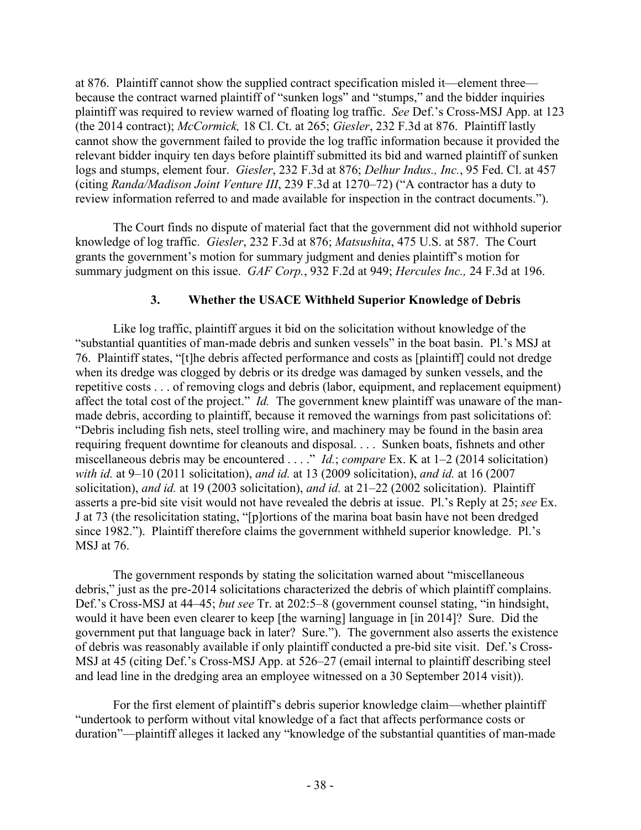at 876. Plaintiff cannot show the supplied contract specification misled it—element three because the contract warned plaintiff of "sunken logs" and "stumps," and the bidder inquiries plaintiff was required to review warned of floating log traffic. *See* Def.'s Cross-MSJ App. at 123 (the 2014 contract); *McCormick,* 18 Cl. Ct. at 265; *Giesler*, 232 F.3d at 876. Plaintiff lastly cannot show the government failed to provide the log traffic information because it provided the relevant bidder inquiry ten days before plaintiff submitted its bid and warned plaintiff of sunken logs and stumps, element four. *Giesler*, 232 F.3d at 876; *Delhur Indus., Inc.*, 95 Fed. Cl. at 457 (citing *Randa/Madison Joint Venture III*, 239 F.3d at 1270–72) ("A contractor has a duty to review information referred to and made available for inspection in the contract documents.").

The Court finds no dispute of material fact that the government did not withhold superior knowledge of log traffic. *Giesler*, 232 F.3d at 876; *Matsushita*, 475 U.S. at 587. The Court grants the government's motion for summary judgment and denies plaintiff's motion for summary judgment on this issue. *GAF Corp.*, 932 F.2d at 949; *Hercules Inc.,* 24 F.3d at 196.

# **3. Whether the USACE Withheld Superior Knowledge of Debris**

Like log traffic, plaintiff argues it bid on the solicitation without knowledge of the "substantial quantities of man-made debris and sunken vessels" in the boat basin. Pl.'s MSJ at 76. Plaintiff states, "[t]he debris affected performance and costs as [plaintiff] could not dredge when its dredge was clogged by debris or its dredge was damaged by sunken vessels, and the repetitive costs . . . of removing clogs and debris (labor, equipment, and replacement equipment) affect the total cost of the project." *Id.* The government knew plaintiff was unaware of the manmade debris, according to plaintiff, because it removed the warnings from past solicitations of: "Debris including fish nets, steel trolling wire, and machinery may be found in the basin area requiring frequent downtime for cleanouts and disposal. . . . Sunken boats, fishnets and other miscellaneous debris may be encountered . . . ." *Id.*; *compare* Ex. K at 1–2 (2014 solicitation) *with id.* at 9–10 (2011 solicitation), *and id.* at 13 (2009 solicitation), *and id.* at 16 (2007 solicitation), *and id.* at 19 (2003 solicitation), *and id.* at 21–22 (2002 solicitation). Plaintiff asserts a pre-bid site visit would not have revealed the debris at issue. Pl.'s Reply at 25; *see* Ex. J at 73 (the resolicitation stating, "[p]ortions of the marina boat basin have not been dredged since 1982."). Plaintiff therefore claims the government withheld superior knowledge. Pl.'s MSJ at 76.

The government responds by stating the solicitation warned about "miscellaneous debris," just as the pre-2014 solicitations characterized the debris of which plaintiff complains. Def.'s Cross-MSJ at 44–45; *but see* Tr. at 202:5–8 (government counsel stating, "in hindsight, would it have been even clearer to keep [the warning] language in [in 2014]? Sure. Did the government put that language back in later? Sure."). The government also asserts the existence of debris was reasonably available if only plaintiff conducted a pre-bid site visit. Def.'s Cross-MSJ at 45 (citing Def.'s Cross-MSJ App. at 526–27 (email internal to plaintiff describing steel and lead line in the dredging area an employee witnessed on a 30 September 2014 visit)).

For the first element of plaintiff's debris superior knowledge claim—whether plaintiff "undertook to perform without vital knowledge of a fact that affects performance costs or duration"—plaintiff alleges it lacked any "knowledge of the substantial quantities of man-made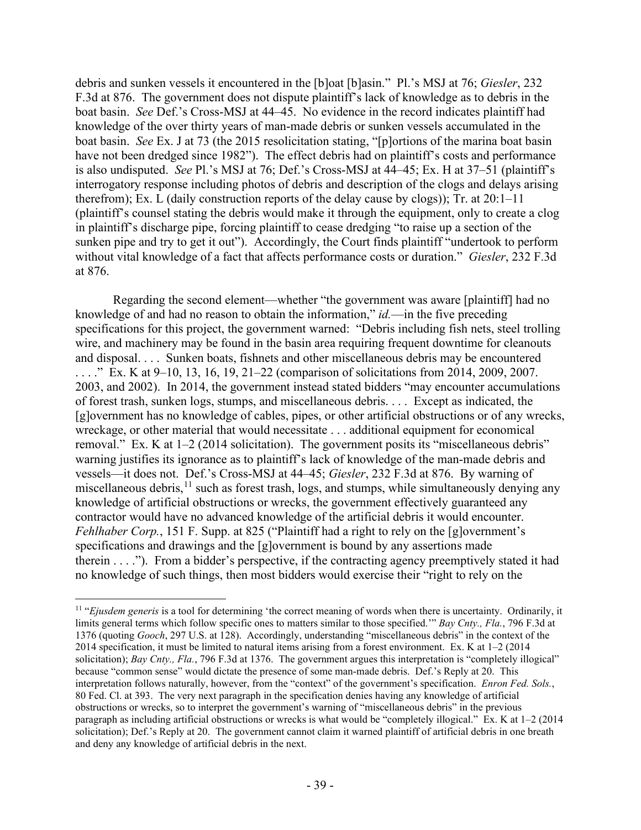debris and sunken vessels it encountered in the [b]oat [b]asin." Pl.'s MSJ at 76; *Giesler*, 232 F.3d at 876. The government does not dispute plaintiff's lack of knowledge as to debris in the boat basin. *See* Def.'s Cross-MSJ at 44–45. No evidence in the record indicates plaintiff had knowledge of the over thirty years of man-made debris or sunken vessels accumulated in the boat basin. *See* Ex. J at 73 (the 2015 resolicitation stating, "[p]ortions of the marina boat basin have not been dredged since 1982"). The effect debris had on plaintiff's costs and performance is also undisputed. *See* Pl.'s MSJ at 76; Def.'s Cross-MSJ at 44–45; Ex. H at 37–51 (plaintiff's interrogatory response including photos of debris and description of the clogs and delays arising therefrom); Ex. L (daily construction reports of the delay cause by clogs)); Tr. at 20:1–11 (plaintiff's counsel stating the debris would make it through the equipment, only to create a clog in plaintiff's discharge pipe, forcing plaintiff to cease dredging "to raise up a section of the sunken pipe and try to get it out"). Accordingly, the Court finds plaintiff "undertook to perform without vital knowledge of a fact that affects performance costs or duration." *Giesler*, 232 F.3d at 876.

Regarding the second element—whether "the government was aware [plaintiff] had no knowledge of and had no reason to obtain the information," *id.*—in the five preceding specifications for this project, the government warned: "Debris including fish nets, steel trolling wire, and machinery may be found in the basin area requiring frequent downtime for cleanouts and disposal. . . . Sunken boats, fishnets and other miscellaneous debris may be encountered . . . ." Ex. K at 9–10, 13, 16, 19, 21–22 (comparison of solicitations from 2014, 2009, 2007. 2003, and 2002). In 2014, the government instead stated bidders "may encounter accumulations of forest trash, sunken logs, stumps, and miscellaneous debris. . . . Except as indicated, the [g]overnment has no knowledge of cables, pipes, or other artificial obstructions or of any wrecks, wreckage, or other material that would necessitate . . . additional equipment for economical removal." Ex. K at 1–2 (2014 solicitation). The government posits its "miscellaneous debris" warning justifies its ignorance as to plaintiff's lack of knowledge of the man-made debris and vessels—it does not. Def.'s Cross-MSJ at 44–45; *Giesler*, 232 F.3d at 876. By warning of miscellaneous debris,  $11$  such as forest trash, logs, and stumps, while simultaneously denying any knowledge of artificial obstructions or wrecks, the government effectively guaranteed any contractor would have no advanced knowledge of the artificial debris it would encounter. *Fehlhaber Corp.*, 151 F. Supp. at 825 ("Plaintiff had a right to rely on the [g]overnment's specifications and drawings and the [g]overnment is bound by any assertions made therein . . . ."). From a bidder's perspective, if the contracting agency preemptively stated it had no knowledge of such things, then most bidders would exercise their "right to rely on the

<span id="page-38-0"></span><sup>&</sup>lt;sup>11</sup> "*Ejusdem generis* is a tool for determining 'the correct meaning of words when there is uncertainty. Ordinarily, it limits general terms which follow specific ones to matters similar to those specified.'" *Bay Cnty., Fla.*, 796 F.3d at 1376 (quoting *Gooch*, 297 U.S. at 128). Accordingly, understanding "miscellaneous debris" in the context of the 2014 specification, it must be limited to natural items arising from a forest environment. Ex. K at 1–2 (2014 solicitation); *Bay Cnty., Fla.*, 796 F.3d at 1376. The government argues this interpretation is "completely illogical" because "common sense" would dictate the presence of some man-made debris. Def.'s Reply at 20. This interpretation follows naturally, however, from the "context" of the government's specification. *Enron Fed. Sols.*, 80 Fed. Cl. at 393. The very next paragraph in the specification denies having any knowledge of artificial obstructions or wrecks, so to interpret the government's warning of "miscellaneous debris" in the previous paragraph as including artificial obstructions or wrecks is what would be "completely illogical." Ex. K at 1–2 (2014 solicitation); Def.'s Reply at 20. The government cannot claim it warned plaintiff of artificial debris in one breath and deny any knowledge of artificial debris in the next.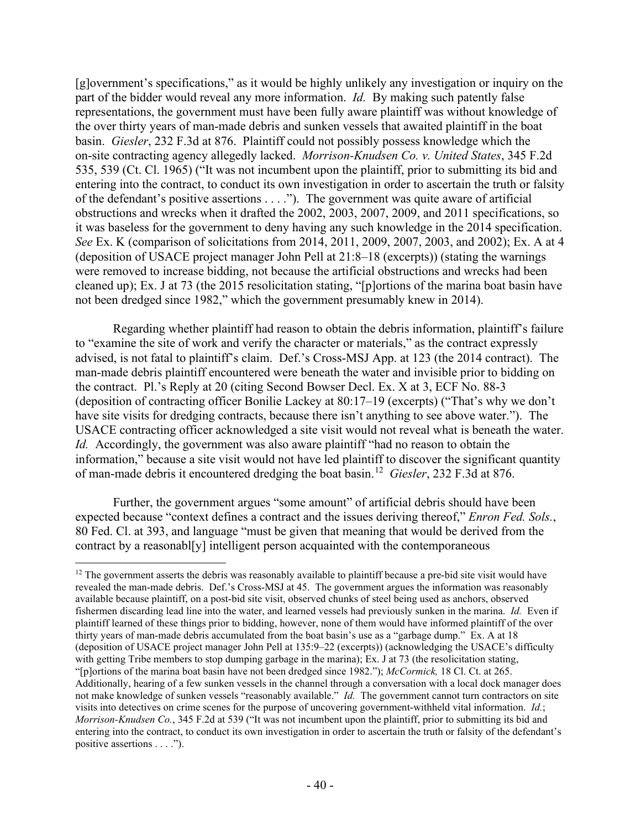[g]overnment's specifications," as it would be highly unlikely any investigation or inquiry on the part of the bidder would reveal any more information. *Id.* By making such patently false representations, the government must have been fully aware plaintiff was without knowledge of the over thirty years of man-made debris and sunken vessels that awaited plaintiff in the boat basin. *Giesler*, 232 F.3d at 876. Plaintiff could not possibly possess knowledge which the on-site contracting agency allegedly lacked. *Morrison-Knudsen Co. v. United States*, 345 F.2d 535, 539 (Ct. Cl. 1965) ("It was not incumbent upon the plaintiff, prior to submitting its bid and entering into the contract, to conduct its own investigation in order to ascertain the truth or falsity of the defendant's positive assertions . . . ."). The government was quite aware of artificial obstructions and wrecks when it drafted the 2002, 2003, 2007, 2009, and 2011 specifications, so it was baseless for the government to deny having any such knowledge in the 2014 specification. *See* Ex. K (comparison of solicitations from 2014, 2011, 2009, 2007, 2003, and 2002); Ex. A at 4 (deposition of USACE project manager John Pell at 21:8–18 (excerpts)) (stating the warnings were removed to increase bidding, not because the artificial obstructions and wrecks had been cleaned up); Ex. J at 73 (the 2015 resolicitation stating, "[p]ortions of the marina boat basin have not been dredged since 1982," which the government presumably knew in 2014).

Regarding whether plaintiff had reason to obtain the debris information, plaintiff's failure to "examine the site of work and verify the character or materials," as the contract expressly advised, is not fatal to plaintiff's claim. Def.'s Cross-MSJ App. at 123 (the 2014 contract). The man-made debris plaintiff encountered were beneath the water and invisible prior to bidding on the contract. Pl.'s Reply at 20 (citing Second Bowser Decl. Ex. X at 3, ECF No. 88-3 (deposition of contracting officer Bonilie Lackey at 80:17–19 (excerpts) ("That's why we don't have site visits for dredging contracts, because there isn't anything to see above water."). The USACE contracting officer acknowledged a site visit would not reveal what is beneath the water. *Id.* Accordingly, the government was also aware plaintiff "had no reason to obtain the information," because a site visit would not have led plaintiff to discover the significant quantity of man-made debris it encountered dredging the boat basin.[12](#page-39-0) *Giesler*, 232 F.3d at 876.

Further, the government argues "some amount" of artificial debris should have been expected because "context defines a contract and the issues deriving thereof," *Enron Fed. Sols.*, 80 Fed. Cl. at 393, and language "must be given that meaning that would be derived from the contract by a reasonabl[y] intelligent person acquainted with the contemporaneous

<span id="page-39-0"></span> $12$  The government asserts the debris was reasonably available to plaintiff because a pre-bid site visit would have revealed the man-made debris. Def.'s Cross-MSJ at 45. The government argues the information was reasonably available because plaintiff, on a post-bid site visit, observed chunks of steel being used as anchors, observed fishermen discarding lead line into the water, and learned vessels had previously sunken in the marina. *Id.* Even if plaintiff learned of these things prior to bidding, however, none of them would have informed plaintiff of the over thirty years of man-made debris accumulated from the boat basin's use as a "garbage dump." Ex. A at 18 (deposition of USACE project manager John Pell at 135:9–22 (excerpts)) (acknowledging the USACE's difficulty with getting Tribe members to stop dumping garbage in the marina); Ex. J at 73 (the resolicitation stating, "[p]ortions of the marina boat basin have not been dredged since 1982."); *McCormick,* 18 Cl. Ct. at 265. Additionally, hearing of a few sunken vessels in the channel through a conversation with a local dock manager does not make knowledge of sunken vessels "reasonably available." *Id.* The government cannot turn contractors on site visits into detectives on crime scenes for the purpose of uncovering government-withheld vital information. *Id.*; *Morrison-Knudsen Co.*, 345 F.2d at 539 ("It was not incumbent upon the plaintiff, prior to submitting its bid and entering into the contract, to conduct its own investigation in order to ascertain the truth or falsity of the defendant's positive assertions . . . .").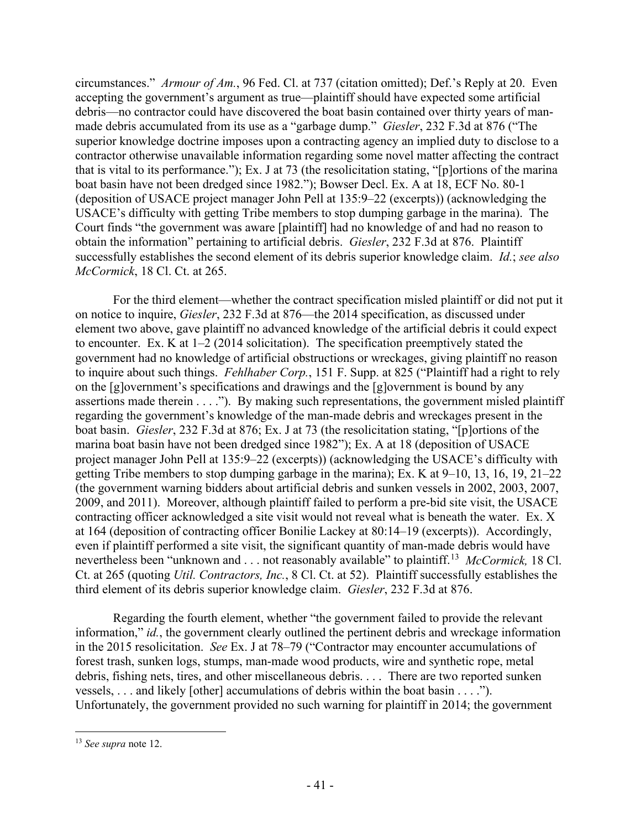circumstances." *Armour of Am.*, 96 Fed. Cl. at 737 (citation omitted); Def.'s Reply at 20. Even accepting the government's argument as true—plaintiff should have expected some artificial debris—no contractor could have discovered the boat basin contained over thirty years of manmade debris accumulated from its use as a "garbage dump." *Giesler*, 232 F.3d at 876 ("The superior knowledge doctrine imposes upon a contracting agency an implied duty to disclose to a contractor otherwise unavailable information regarding some novel matter affecting the contract that is vital to its performance."); Ex. J at 73 (the resolicitation stating, "[p]ortions of the marina boat basin have not been dredged since 1982."); Bowser Decl. Ex. A at 18, ECF No. 80-1 (deposition of USACE project manager John Pell at 135:9–22 (excerpts)) (acknowledging the USACE's difficulty with getting Tribe members to stop dumping garbage in the marina). The Court finds "the government was aware [plaintiff] had no knowledge of and had no reason to obtain the information" pertaining to artificial debris. *Giesler*, 232 F.3d at 876. Plaintiff successfully establishes the second element of its debris superior knowledge claim. *Id.*; *see also McCormick*, 18 Cl. Ct. at 265.

For the third element—whether the contract specification misled plaintiff or did not put it on notice to inquire, *Giesler*, 232 F.3d at 876—the 2014 specification, as discussed under element two above, gave plaintiff no advanced knowledge of the artificial debris it could expect to encounter. Ex. K at 1–2 (2014 solicitation). The specification preemptively stated the government had no knowledge of artificial obstructions or wreckages, giving plaintiff no reason to inquire about such things. *Fehlhaber Corp.*, 151 F. Supp. at 825 ("Plaintiff had a right to rely on the [g]overnment's specifications and drawings and the [g]overnment is bound by any assertions made therein . . . ."). By making such representations, the government misled plaintiff regarding the government's knowledge of the man-made debris and wreckages present in the boat basin. *Giesler*, 232 F.3d at 876; Ex. J at 73 (the resolicitation stating, "[p]ortions of the marina boat basin have not been dredged since 1982"); Ex. A at 18 (deposition of USACE project manager John Pell at 135:9–22 (excerpts)) (acknowledging the USACE's difficulty with getting Tribe members to stop dumping garbage in the marina); Ex. K at 9–10, 13, 16, 19, 21–22 (the government warning bidders about artificial debris and sunken vessels in 2002, 2003, 2007, 2009, and 2011). Moreover, although plaintiff failed to perform a pre-bid site visit, the USACE contracting officer acknowledged a site visit would not reveal what is beneath the water. Ex. X at 164 (deposition of contracting officer Bonilie Lackey at 80:14–19 (excerpts)). Accordingly, even if plaintiff performed a site visit, the significant quantity of man-made debris would have nevertheless been "unknown and . . . not reasonably available" to plaintiff.[13](#page-40-0) *McCormick,* 18 Cl. Ct. at 265 (quoting *Util. Contractors, Inc.*, 8 Cl. Ct. at 52). Plaintiff successfully establishes the third element of its debris superior knowledge claim. *Giesler*, 232 F.3d at 876.

Regarding the fourth element, whether "the government failed to provide the relevant information," *id.*, the government clearly outlined the pertinent debris and wreckage information in the 2015 resolicitation. *See* Ex. J at 78–79 ("Contractor may encounter accumulations of forest trash, sunken logs, stumps, man-made wood products, wire and synthetic rope, metal debris, fishing nets, tires, and other miscellaneous debris. . . . There are two reported sunken vessels, . . . and likely [other] accumulations of debris within the boat basin . . . ."). Unfortunately, the government provided no such warning for plaintiff in 2014; the government

<span id="page-40-0"></span><sup>13</sup> *See supra* note 12.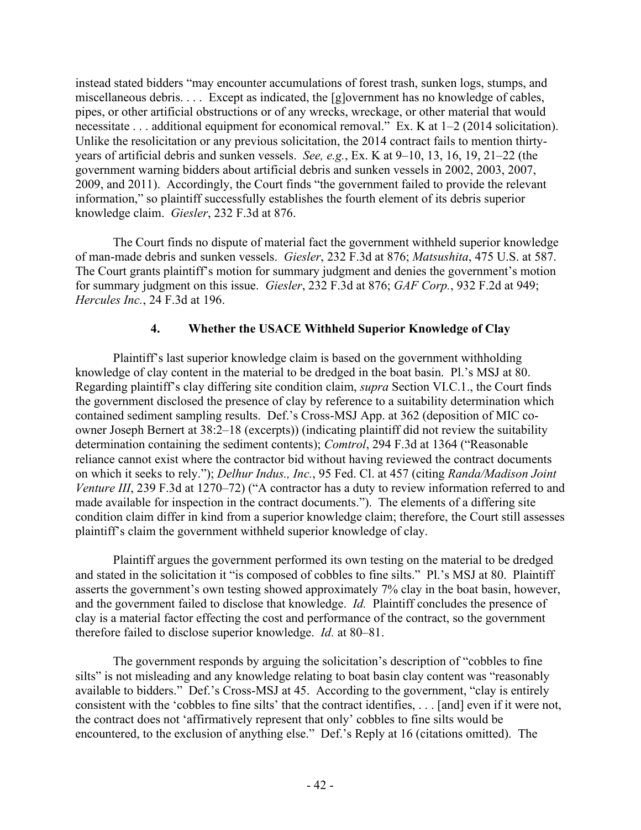instead stated bidders "may encounter accumulations of forest trash, sunken logs, stumps, and miscellaneous debris. . . . Except as indicated, the [g]overnment has no knowledge of cables, pipes, or other artificial obstructions or of any wrecks, wreckage, or other material that would necessitate . . . additional equipment for economical removal." Ex. K at 1–2 (2014 solicitation). Unlike the resolicitation or any previous solicitation, the 2014 contract fails to mention thirtyyears of artificial debris and sunken vessels. *See, e.g.*, Ex. K at 9–10, 13, 16, 19, 21–22 (the government warning bidders about artificial debris and sunken vessels in 2002, 2003, 2007, 2009, and 2011). Accordingly, the Court finds "the government failed to provide the relevant information," so plaintiff successfully establishes the fourth element of its debris superior knowledge claim. *Giesler*, 232 F.3d at 876.

The Court finds no dispute of material fact the government withheld superior knowledge of man-made debris and sunken vessels. *Giesler*, 232 F.3d at 876; *Matsushita*, 475 U.S. at 587. The Court grants plaintiff's motion for summary judgment and denies the government's motion for summary judgment on this issue. *Giesler*, 232 F.3d at 876; *GAF Corp.*, 932 F.2d at 949; *Hercules Inc.*, 24 F.3d at 196.

# **4. Whether the USACE Withheld Superior Knowledge of Clay**

Plaintiff's last superior knowledge claim is based on the government withholding knowledge of clay content in the material to be dredged in the boat basin. Pl.'s MSJ at 80. Regarding plaintiff's clay differing site condition claim, *supra* Section VI.C.1., the Court finds the government disclosed the presence of clay by reference to a suitability determination which contained sediment sampling results. Def.'s Cross-MSJ App. at 362 (deposition of MIC coowner Joseph Bernert at 38:2–18 (excerpts)) (indicating plaintiff did not review the suitability determination containing the sediment contents); *Comtrol*, 294 F.3d at 1364 ("Reasonable reliance cannot exist where the contractor bid without having reviewed the contract documents on which it seeks to rely."); *Delhur Indus., Inc.*, 95 Fed. Cl. at 457 (citing *Randa/Madison Joint Venture III*, 239 F.3d at 1270–72) ("A contractor has a duty to review information referred to and made available for inspection in the contract documents."). The elements of a differing site condition claim differ in kind from a superior knowledge claim; therefore, the Court still assesses plaintiff's claim the government withheld superior knowledge of clay.

Plaintiff argues the government performed its own testing on the material to be dredged and stated in the solicitation it "is composed of cobbles to fine silts." Pl.'s MSJ at 80. Plaintiff asserts the government's own testing showed approximately 7% clay in the boat basin, however, and the government failed to disclose that knowledge. *Id.* Plaintiff concludes the presence of clay is a material factor effecting the cost and performance of the contract, so the government therefore failed to disclose superior knowledge. *Id.* at 80–81.

The government responds by arguing the solicitation's description of "cobbles to fine silts" is not misleading and any knowledge relating to boat basin clay content was "reasonably available to bidders." Def.'s Cross-MSJ at 45. According to the government, "clay is entirely consistent with the 'cobbles to fine silts' that the contract identifies, . . . [and] even if it were not, the contract does not 'affirmatively represent that only' cobbles to fine silts would be encountered, to the exclusion of anything else." Def.'s Reply at 16 (citations omitted). The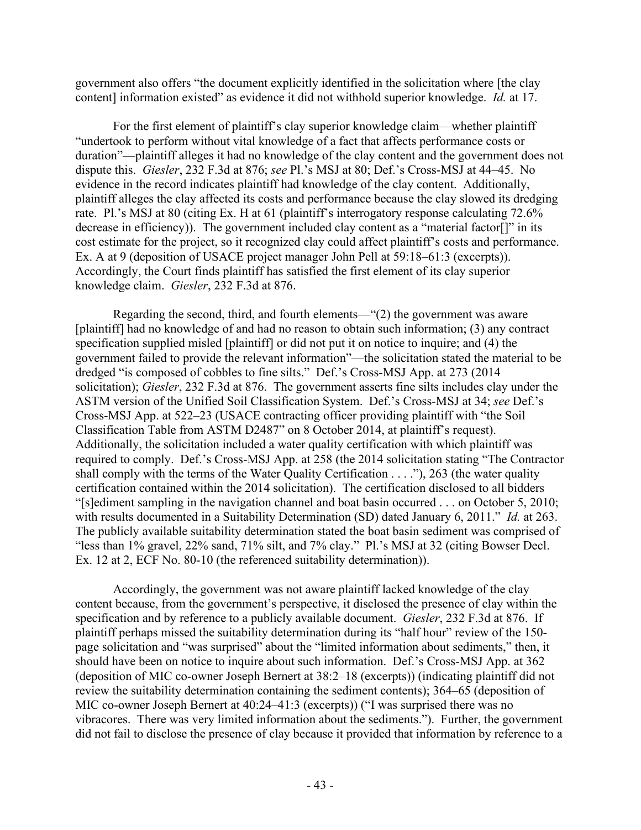government also offers "the document explicitly identified in the solicitation where [the clay content] information existed" as evidence it did not withhold superior knowledge. *Id.* at 17.

For the first element of plaintiff's clay superior knowledge claim—whether plaintiff "undertook to perform without vital knowledge of a fact that affects performance costs or duration"—plaintiff alleges it had no knowledge of the clay content and the government does not dispute this. *Giesler*, 232 F.3d at 876; *see* Pl.'s MSJ at 80; Def.'s Cross-MSJ at 44–45. No evidence in the record indicates plaintiff had knowledge of the clay content. Additionally, plaintiff alleges the clay affected its costs and performance because the clay slowed its dredging rate. Pl.'s MSJ at 80 (citing Ex. H at 61 (plaintiff's interrogatory response calculating 72.6% decrease in efficiency)). The government included clay content as a "material factor[]" in its cost estimate for the project, so it recognized clay could affect plaintiff's costs and performance. Ex. A at 9 (deposition of USACE project manager John Pell at 59:18–61:3 (excerpts)). Accordingly, the Court finds plaintiff has satisfied the first element of its clay superior knowledge claim. *Giesler*, 232 F.3d at 876.

Regarding the second, third, and fourth elements—"(2) the government was aware [plaintiff] had no knowledge of and had no reason to obtain such information; (3) any contract specification supplied misled [plaintiff] or did not put it on notice to inquire; and (4) the government failed to provide the relevant information"—the solicitation stated the material to be dredged "is composed of cobbles to fine silts." Def.'s Cross-MSJ App. at 273 (2014 solicitation); *Giesler*, 232 F.3d at 876. The government asserts fine silts includes clay under the ASTM version of the Unified Soil Classification System. Def.'s Cross-MSJ at 34; *see* Def.'s Cross-MSJ App. at 522–23 (USACE contracting officer providing plaintiff with "the Soil Classification Table from ASTM D2487" on 8 October 2014, at plaintiff's request). Additionally, the solicitation included a water quality certification with which plaintiff was required to comply. Def.'s Cross-MSJ App. at 258 (the 2014 solicitation stating "The Contractor shall comply with the terms of the Water Quality Certification . . . ."), 263 (the water quality certification contained within the 2014 solicitation). The certification disclosed to all bidders "[s]ediment sampling in the navigation channel and boat basin occurred . . . on October 5, 2010; with results documented in a Suitability Determination (SD) dated January 6, 2011." *Id.* at 263. The publicly available suitability determination stated the boat basin sediment was comprised of "less than 1% gravel, 22% sand, 71% silt, and 7% clay." Pl.'s MSJ at 32 (citing Bowser Decl. Ex. 12 at 2, ECF No. 80-10 (the referenced suitability determination)).

Accordingly, the government was not aware plaintiff lacked knowledge of the clay content because, from the government's perspective, it disclosed the presence of clay within the specification and by reference to a publicly available document. *Giesler*, 232 F.3d at 876. If plaintiff perhaps missed the suitability determination during its "half hour" review of the 150 page solicitation and "was surprised" about the "limited information about sediments," then, it should have been on notice to inquire about such information. Def.'s Cross-MSJ App. at 362 (deposition of MIC co-owner Joseph Bernert at 38:2–18 (excerpts)) (indicating plaintiff did not review the suitability determination containing the sediment contents); 364–65 (deposition of MIC co-owner Joseph Bernert at 40:24–41:3 (excerpts)) ("I was surprised there was no vibracores. There was very limited information about the sediments."). Further, the government did not fail to disclose the presence of clay because it provided that information by reference to a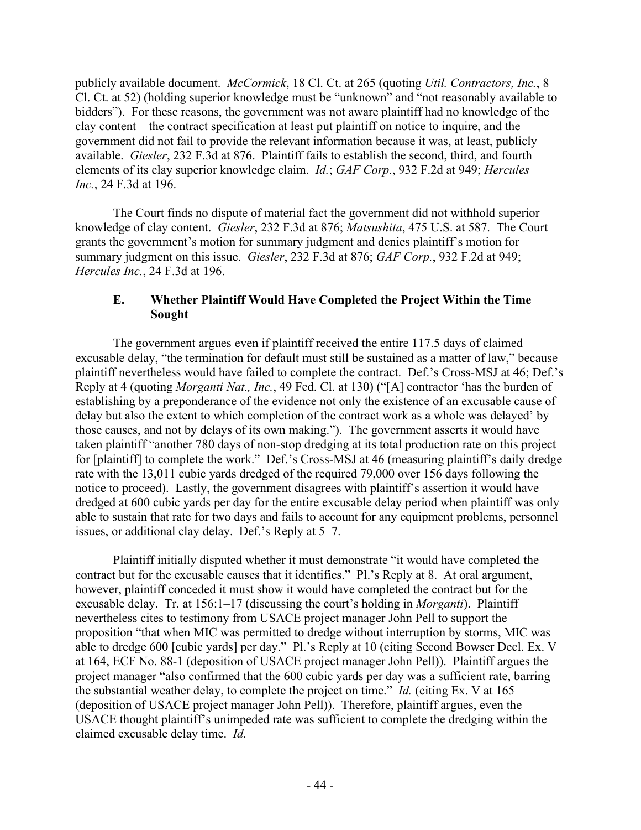publicly available document. *McCormick*, 18 Cl. Ct. at 265 (quoting *Util. Contractors, Inc.*, 8 Cl. Ct. at 52) (holding superior knowledge must be "unknown" and "not reasonably available to bidders"). For these reasons, the government was not aware plaintiff had no knowledge of the clay content—the contract specification at least put plaintiff on notice to inquire, and the government did not fail to provide the relevant information because it was, at least, publicly available. *Giesler*, 232 F.3d at 876. Plaintiff fails to establish the second, third, and fourth elements of its clay superior knowledge claim. *Id.*; *GAF Corp.*, 932 F.2d at 949; *Hercules Inc.*, 24 F.3d at 196.

The Court finds no dispute of material fact the government did not withhold superior knowledge of clay content. *Giesler*, 232 F.3d at 876; *Matsushita*, 475 U.S. at 587. The Court grants the government's motion for summary judgment and denies plaintiff's motion for summary judgment on this issue. *Giesler*, 232 F.3d at 876; *GAF Corp.*, 932 F.2d at 949; *Hercules Inc.*, 24 F.3d at 196.

#### **E. Whether Plaintiff Would Have Completed the Project Within the Time Sought**

The government argues even if plaintiff received the entire 117.5 days of claimed excusable delay, "the termination for default must still be sustained as a matter of law," because plaintiff nevertheless would have failed to complete the contract. Def.'s Cross-MSJ at 46; Def.'s Reply at 4 (quoting *Morganti Nat., Inc.*, 49 Fed. Cl. at 130) ("[A] contractor 'has the burden of establishing by a preponderance of the evidence not only the existence of an excusable cause of delay but also the extent to which completion of the contract work as a whole was delayed' by those causes, and not by delays of its own making."). The government asserts it would have taken plaintiff "another 780 days of non-stop dredging at its total production rate on this project for [plaintiff] to complete the work." Def.'s Cross-MSJ at 46 (measuring plaintiff's daily dredge rate with the 13,011 cubic yards dredged of the required 79,000 over 156 days following the notice to proceed). Lastly, the government disagrees with plaintiff's assertion it would have dredged at 600 cubic yards per day for the entire excusable delay period when plaintiff was only able to sustain that rate for two days and fails to account for any equipment problems, personnel issues, or additional clay delay. Def.'s Reply at 5–7.

Plaintiff initially disputed whether it must demonstrate "it would have completed the contract but for the excusable causes that it identifies." Pl.'s Reply at 8. At oral argument, however, plaintiff conceded it must show it would have completed the contract but for the excusable delay. Tr. at 156:1–17 (discussing the court's holding in *Morganti*). Plaintiff nevertheless cites to testimony from USACE project manager John Pell to support the proposition "that when MIC was permitted to dredge without interruption by storms, MIC was able to dredge 600 [cubic yards] per day." Pl.'s Reply at 10 (citing Second Bowser Decl. Ex. V at 164, ECF No. 88-1 (deposition of USACE project manager John Pell)). Plaintiff argues the project manager "also confirmed that the 600 cubic yards per day was a sufficient rate, barring the substantial weather delay, to complete the project on time." *Id.* (citing Ex. V at 165 (deposition of USACE project manager John Pell)). Therefore, plaintiff argues, even the USACE thought plaintiff's unimpeded rate was sufficient to complete the dredging within the claimed excusable delay time. *Id.*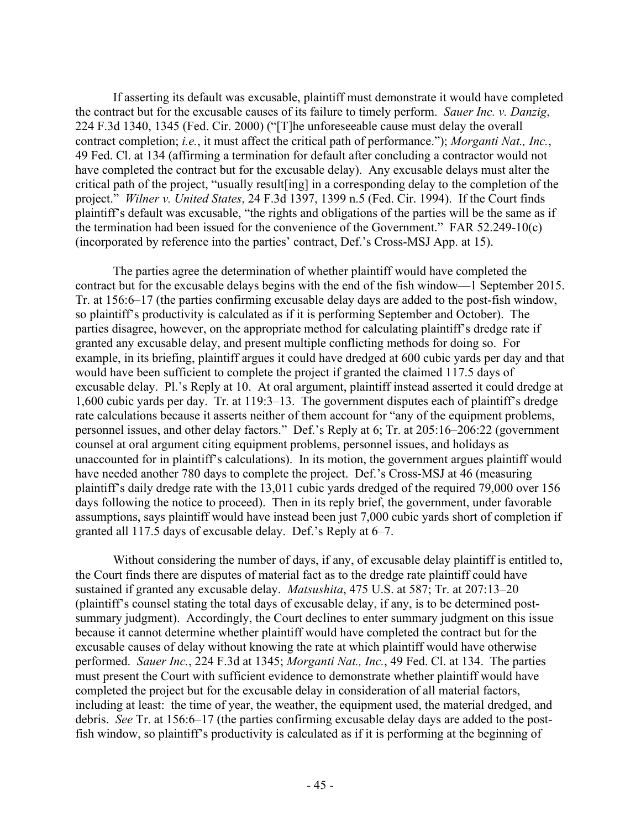If asserting its default was excusable, plaintiff must demonstrate it would have completed the contract but for the excusable causes of its failure to timely perform. *Sauer Inc. v. Danzig*, 224 F.3d 1340, 1345 (Fed. Cir. 2000) ("[T]he unforeseeable cause must delay the overall contract completion; *i.e.*, it must affect the critical path of performance."); *Morganti Nat., Inc.*, 49 Fed. Cl. at 134 (affirming a termination for default after concluding a contractor would not have completed the contract but for the excusable delay). Any excusable delays must alter the critical path of the project, "usually result[ing] in a corresponding delay to the completion of the project." *Wilner v. United States*, 24 F.3d 1397, 1399 n.5 (Fed. Cir. 1994). If the Court finds plaintiff's default was excusable, "the rights and obligations of the parties will be the same as if the termination had been issued for the convenience of the Government." FAR 52.249-10(c) (incorporated by reference into the parties' contract, Def.'s Cross-MSJ App. at 15).

The parties agree the determination of whether plaintiff would have completed the contract but for the excusable delays begins with the end of the fish window—1 September 2015. Tr. at 156:6–17 (the parties confirming excusable delay days are added to the post-fish window, so plaintiff's productivity is calculated as if it is performing September and October). The parties disagree, however, on the appropriate method for calculating plaintiff's dredge rate if granted any excusable delay, and present multiple conflicting methods for doing so. For example, in its briefing, plaintiff argues it could have dredged at 600 cubic yards per day and that would have been sufficient to complete the project if granted the claimed 117.5 days of excusable delay. Pl.'s Reply at 10. At oral argument, plaintiff instead asserted it could dredge at 1,600 cubic yards per day. Tr. at 119:3–13. The government disputes each of plaintiff's dredge rate calculations because it asserts neither of them account for "any of the equipment problems, personnel issues, and other delay factors." Def.'s Reply at 6; Tr. at 205:16–206:22 (government counsel at oral argument citing equipment problems, personnel issues, and holidays as unaccounted for in plaintiff's calculations). In its motion, the government argues plaintiff would have needed another 780 days to complete the project. Def.'s Cross-MSJ at 46 (measuring plaintiff's daily dredge rate with the 13,011 cubic yards dredged of the required 79,000 over 156 days following the notice to proceed). Then in its reply brief, the government, under favorable assumptions, says plaintiff would have instead been just 7,000 cubic yards short of completion if granted all 117.5 days of excusable delay. Def.'s Reply at 6–7.

Without considering the number of days, if any, of excusable delay plaintiff is entitled to, the Court finds there are disputes of material fact as to the dredge rate plaintiff could have sustained if granted any excusable delay. *Matsushita*, 475 U.S. at 587; Tr. at 207:13–20 (plaintiff's counsel stating the total days of excusable delay, if any, is to be determined postsummary judgment). Accordingly, the Court declines to enter summary judgment on this issue because it cannot determine whether plaintiff would have completed the contract but for the excusable causes of delay without knowing the rate at which plaintiff would have otherwise performed. *Sauer Inc.*, 224 F.3d at 1345; *Morganti Nat., Inc.*, 49 Fed. Cl. at 134. The parties must present the Court with sufficient evidence to demonstrate whether plaintiff would have completed the project but for the excusable delay in consideration of all material factors, including at least: the time of year, the weather, the equipment used, the material dredged, and debris. *See* Tr. at 156:6–17 (the parties confirming excusable delay days are added to the postfish window, so plaintiff's productivity is calculated as if it is performing at the beginning of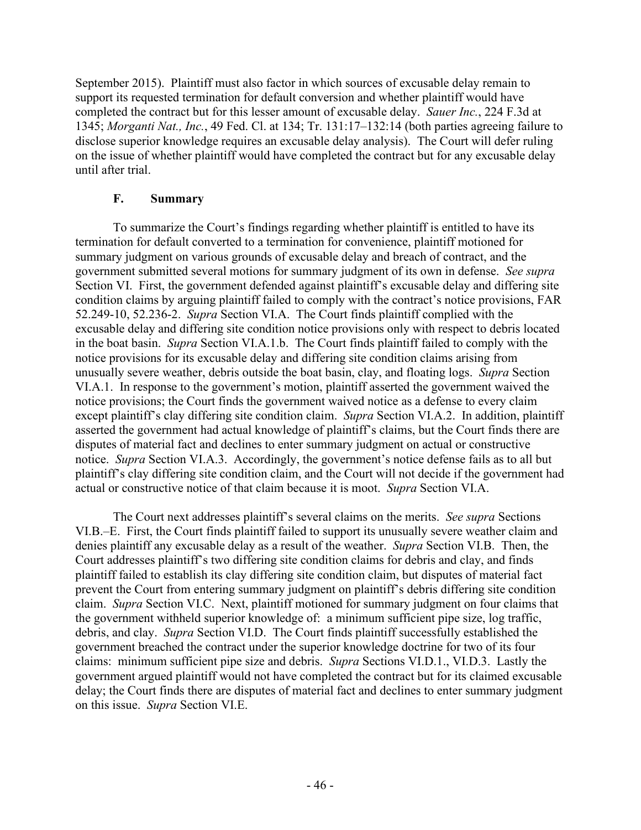September 2015). Plaintiff must also factor in which sources of excusable delay remain to support its requested termination for default conversion and whether plaintiff would have completed the contract but for this lesser amount of excusable delay. *Sauer Inc.*, 224 F.3d at 1345; *Morganti Nat., Inc.*, 49 Fed. Cl. at 134; Tr. 131:17–132:14 (both parties agreeing failure to disclose superior knowledge requires an excusable delay analysis). The Court will defer ruling on the issue of whether plaintiff would have completed the contract but for any excusable delay until after trial.

# **F. Summary**

To summarize the Court's findings regarding whether plaintiff is entitled to have its termination for default converted to a termination for convenience, plaintiff motioned for summary judgment on various grounds of excusable delay and breach of contract, and the government submitted several motions for summary judgment of its own in defense. *See supra*  Section VI. First, the government defended against plaintiff's excusable delay and differing site condition claims by arguing plaintiff failed to comply with the contract's notice provisions, FAR 52.249-10, 52.236-2. *Supra* Section VI.A. The Court finds plaintiff complied with the excusable delay and differing site condition notice provisions only with respect to debris located in the boat basin. *Supra* Section VI.A.1.b. The Court finds plaintiff failed to comply with the notice provisions for its excusable delay and differing site condition claims arising from unusually severe weather, debris outside the boat basin, clay, and floating logs. *Supra* Section VI.A.1. In response to the government's motion, plaintiff asserted the government waived the notice provisions; the Court finds the government waived notice as a defense to every claim except plaintiff's clay differing site condition claim. *Supra* Section VI.A.2. In addition, plaintiff asserted the government had actual knowledge of plaintiff's claims, but the Court finds there are disputes of material fact and declines to enter summary judgment on actual or constructive notice. *Supra* Section VI.A.3. Accordingly, the government's notice defense fails as to all but plaintiff's clay differing site condition claim, and the Court will not decide if the government had actual or constructive notice of that claim because it is moot. *Supra* Section VI.A.

The Court next addresses plaintiff's several claims on the merits. *See supra* Sections VI.B.–E. First, the Court finds plaintiff failed to support its unusually severe weather claim and denies plaintiff any excusable delay as a result of the weather. *Supra* Section VI.B. Then, the Court addresses plaintiff's two differing site condition claims for debris and clay, and finds plaintiff failed to establish its clay differing site condition claim, but disputes of material fact prevent the Court from entering summary judgment on plaintiff's debris differing site condition claim. *Supra* Section VI.C. Next, plaintiff motioned for summary judgment on four claims that the government withheld superior knowledge of: a minimum sufficient pipe size, log traffic, debris, and clay. *Supra* Section VI.D. The Court finds plaintiff successfully established the government breached the contract under the superior knowledge doctrine for two of its four claims: minimum sufficient pipe size and debris. *Supra* Sections VI.D.1., VI.D.3. Lastly the government argued plaintiff would not have completed the contract but for its claimed excusable delay; the Court finds there are disputes of material fact and declines to enter summary judgment on this issue. *Supra* Section VI.E.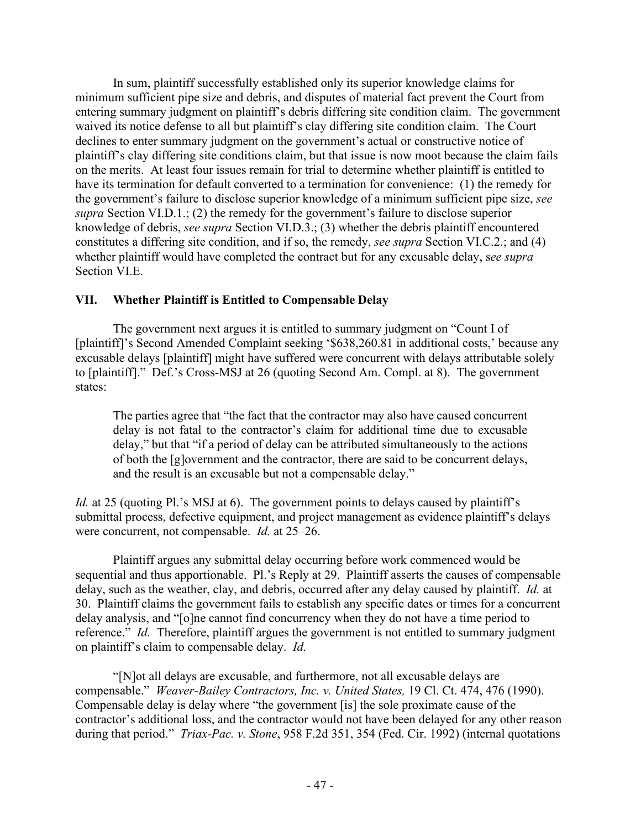In sum, plaintiff successfully established only its superior knowledge claims for minimum sufficient pipe size and debris, and disputes of material fact prevent the Court from entering summary judgment on plaintiff's debris differing site condition claim. The government waived its notice defense to all but plaintiff's clay differing site condition claim. The Court declines to enter summary judgment on the government's actual or constructive notice of plaintiff's clay differing site conditions claim, but that issue is now moot because the claim fails on the merits. At least four issues remain for trial to determine whether plaintiff is entitled to have its termination for default converted to a termination for convenience: (1) the remedy for the government's failure to disclose superior knowledge of a minimum sufficient pipe size, *see supra* Section VI.D.1.; (2) the remedy for the government's failure to disclose superior knowledge of debris, *see supra* Section VI.D.3.; (3) whether the debris plaintiff encountered constitutes a differing site condition, and if so, the remedy, *see supra* Section VI.C.2.; and (4) whether plaintiff would have completed the contract but for any excusable delay, s*ee supra*  Section VI.E.

# **VII. Whether Plaintiff is Entitled to Compensable Delay**

The government next argues it is entitled to summary judgment on "Count I of [plaintiff]'s Second Amended Complaint seeking '\$638,260.81 in additional costs,' because any excusable delays [plaintiff] might have suffered were concurrent with delays attributable solely to [plaintiff]." Def.'s Cross-MSJ at 26 (quoting Second Am. Compl. at 8). The government states:

The parties agree that "the fact that the contractor may also have caused concurrent delay is not fatal to the contractor's claim for additional time due to excusable delay," but that "if a period of delay can be attributed simultaneously to the actions of both the [g]overnment and the contractor, there are said to be concurrent delays, and the result is an excusable but not a compensable delay."

*Id.* at 25 (quoting Pl.'s MSJ at 6). The government points to delays caused by plaintiff's submittal process, defective equipment, and project management as evidence plaintiff's delays were concurrent, not compensable. *Id.* at 25–26.

Plaintiff argues any submittal delay occurring before work commenced would be sequential and thus apportionable. Pl.'s Reply at 29. Plaintiff asserts the causes of compensable delay, such as the weather, clay, and debris, occurred after any delay caused by plaintiff. *Id.* at 30. Plaintiff claims the government fails to establish any specific dates or times for a concurrent delay analysis, and "[o]ne cannot find concurrency when they do not have a time period to reference." *Id.* Therefore, plaintiff argues the government is not entitled to summary judgment on plaintiff's claim to compensable delay. *Id.*

"[N]ot all delays are excusable, and furthermore, not all excusable delays are compensable." *Weaver-Bailey Contractors, Inc. v. United States,* 19 Cl. Ct. 474, 476 (1990). Compensable delay is delay where "the government [is] the sole proximate cause of the contractor's additional loss, and the contractor would not have been delayed for any other reason during that period." *Triax-Pac. v. Stone*, 958 F.2d 351, 354 (Fed. Cir. 1992) (internal quotations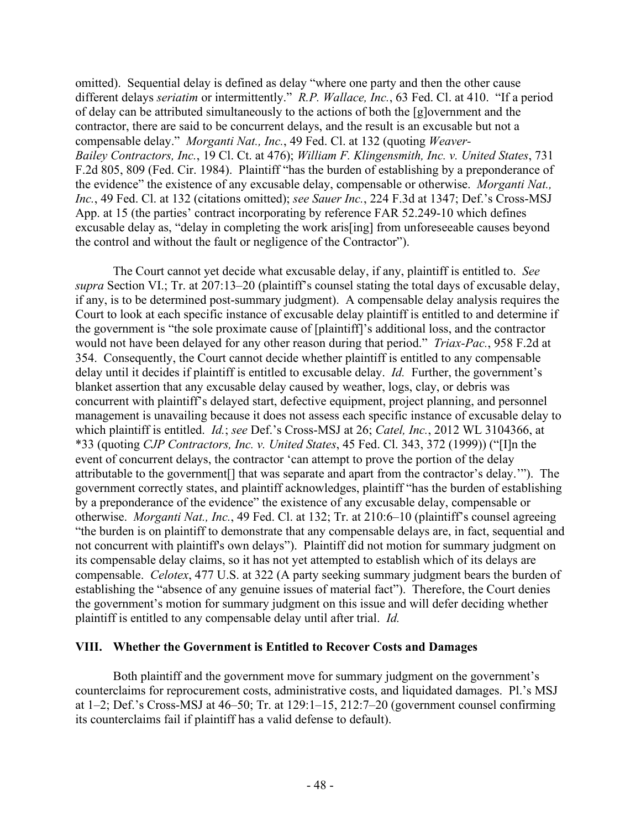omitted). Sequential delay is defined as delay "where one party and then the other cause different delays *seriatim* or intermittently." *R.P. Wallace, Inc.*, 63 Fed. Cl. at 410. "If a period of delay can be attributed simultaneously to the actions of both the [g]overnment and the contractor, there are said to be concurrent delays, and the result is an excusable but not a compensable delay." *Morganti Nat., Inc.*, 49 Fed. Cl. at 132 (quoting *Weaver-Bailey Contractors, Inc.*, 19 Cl. Ct. at 476); *William F. Klingensmith, Inc. v. United States*, 731 F.2d 805, 809 (Fed. Cir. 1984). Plaintiff "has the burden of establishing by a preponderance of the evidence" the existence of any excusable delay, compensable or otherwise. *Morganti Nat., Inc.*, 49 Fed. Cl. at 132 (citations omitted); *see Sauer Inc.*, 224 F.3d at 1347; Def.'s Cross-MSJ App. at 15 (the parties' contract incorporating by reference FAR 52.249-10 which defines excusable delay as, "delay in completing the work aris[ing] from unforeseeable causes beyond the control and without the fault or negligence of the Contractor").

The Court cannot yet decide what excusable delay, if any, plaintiff is entitled to. *See supra* Section VI.; Tr. at 207:13–20 (plaintiff's counsel stating the total days of excusable delay, if any, is to be determined post-summary judgment). A compensable delay analysis requires the Court to look at each specific instance of excusable delay plaintiff is entitled to and determine if the government is "the sole proximate cause of [plaintiff]'s additional loss, and the contractor would not have been delayed for any other reason during that period." *Triax-Pac.*, 958 F.2d at 354. Consequently, the Court cannot decide whether plaintiff is entitled to any compensable delay until it decides if plaintiff is entitled to excusable delay. *Id.* Further, the government's blanket assertion that any excusable delay caused by weather, logs, clay, or debris was concurrent with plaintiff's delayed start, defective equipment, project planning, and personnel management is unavailing because it does not assess each specific instance of excusable delay to which plaintiff is entitled. *Id.*; *see* Def.'s Cross-MSJ at 26; *Catel, Inc.*, 2012 WL 3104366, at \*33 (quoting *CJP Contractors, Inc. v. United States*, 45 Fed. Cl. 343, 372 (1999)) ("[I]n the event of concurrent delays, the contractor 'can attempt to prove the portion of the delay attributable to the government[] that was separate and apart from the contractor's delay.'"). The government correctly states, and plaintiff acknowledges, plaintiff "has the burden of establishing by a preponderance of the evidence" the existence of any excusable delay, compensable or otherwise. *Morganti Nat., Inc.*, 49 Fed. Cl. at 132; Tr. at 210:6–10 (plaintiff's counsel agreeing "the burden is on plaintiff to demonstrate that any compensable delays are, in fact, sequential and not concurrent with plaintiff's own delays"). Plaintiff did not motion for summary judgment on its compensable delay claims, so it has not yet attempted to establish which of its delays are compensable. *Celotex*, 477 U.S. at 322 (A party seeking summary judgment bears the burden of establishing the "absence of any genuine issues of material fact"). Therefore, the Court denies the government's motion for summary judgment on this issue and will defer deciding whether plaintiff is entitled to any compensable delay until after trial. *Id.*

#### **VIII. Whether the Government is Entitled to Recover Costs and Damages**

Both plaintiff and the government move for summary judgment on the government's counterclaims for reprocurement costs, administrative costs, and liquidated damages. Pl.'s MSJ at  $1-2$ ; Def.'s Cross-MSJ at  $46-50$ ; Tr. at  $129:1-15$ ,  $212:7-20$  (government counsel confirming its counterclaims fail if plaintiff has a valid defense to default).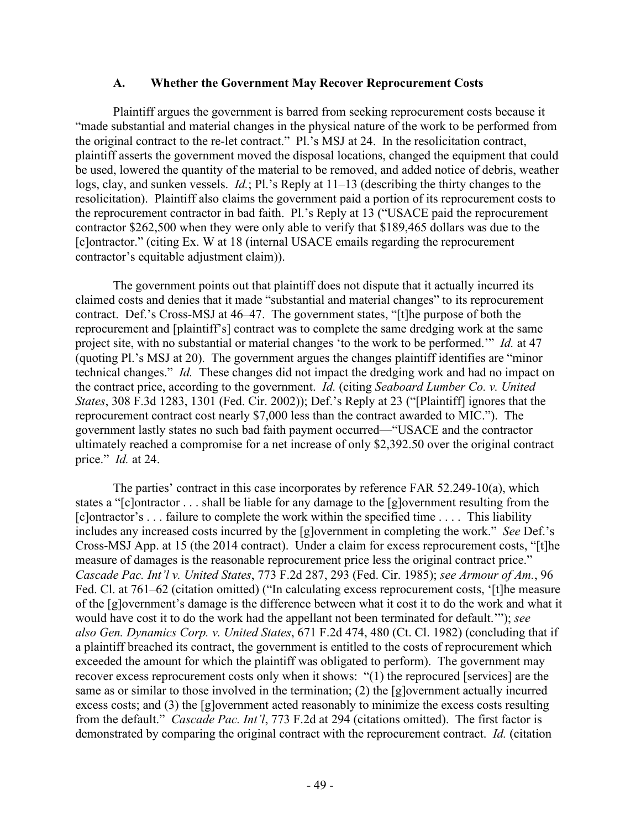#### **A. Whether the Government May Recover Reprocurement Costs**

Plaintiff argues the government is barred from seeking reprocurement costs because it "made substantial and material changes in the physical nature of the work to be performed from the original contract to the re-let contract." Pl.'s MSJ at 24. In the resolicitation contract, plaintiff asserts the government moved the disposal locations, changed the equipment that could be used, lowered the quantity of the material to be removed, and added notice of debris, weather logs, clay, and sunken vessels. *Id.*; Pl.'s Reply at 11–13 (describing the thirty changes to the resolicitation). Plaintiff also claims the government paid a portion of its reprocurement costs to the reprocurement contractor in bad faith. Pl.'s Reply at 13 ("USACE paid the reprocurement contractor \$262,500 when they were only able to verify that \$189,465 dollars was due to the [c]ontractor." (citing Ex. W at 18 (internal USACE emails regarding the reprocurement contractor's equitable adjustment claim)).

The government points out that plaintiff does not dispute that it actually incurred its claimed costs and denies that it made "substantial and material changes" to its reprocurement contract. Def.'s Cross-MSJ at 46–47. The government states, "[t]he purpose of both the reprocurement and [plaintiff's] contract was to complete the same dredging work at the same project site, with no substantial or material changes 'to the work to be performed.'" *Id.* at 47 (quoting Pl.'s MSJ at 20). The government argues the changes plaintiff identifies are "minor technical changes." *Id.* These changes did not impact the dredging work and had no impact on the contract price, according to the government. *Id.* (citing *Seaboard Lumber Co. v. United States*, 308 F.3d 1283, 1301 (Fed. Cir. 2002)); Def.'s Reply at 23 ("[Plaintiff] ignores that the reprocurement contract cost nearly \$7,000 less than the contract awarded to MIC."). The government lastly states no such bad faith payment occurred—"USACE and the contractor ultimately reached a compromise for a net increase of only \$2,392.50 over the original contract price." *Id.* at 24.

The parties' contract in this case incorporates by reference FAR 52.249-10(a), which states a "[c]ontractor . . . shall be liable for any damage to the [g]overnment resulting from the [c]ontractor's . . . failure to complete the work within the specified time . . . . This liability includes any increased costs incurred by the [g]overnment in completing the work." *See* Def.'s Cross-MSJ App. at 15 (the 2014 contract). Under a claim for excess reprocurement costs, "[t]he measure of damages is the reasonable reprocurement price less the original contract price." *Cascade Pac. Int'l v. United States*, 773 F.2d 287, 293 (Fed. Cir. 1985); *see Armour of Am.*, 96 Fed. Cl. at 761–62 (citation omitted) ("In calculating excess reprocurement costs, '[t]he measure of the [g]overnment's damage is the difference between what it cost it to do the work and what it would have cost it to do the work had the appellant not been terminated for default.'"); *see also Gen. Dynamics Corp. v. United States*, 671 F.2d 474, 480 (Ct. Cl. 1982) (concluding that if a plaintiff breached its contract, the government is entitled to the costs of reprocurement which exceeded the amount for which the plaintiff was obligated to perform). The government may recover excess reprocurement costs only when it shows: "(1) the reprocured [services] are the same as or similar to those involved in the termination; (2) the [g]overnment actually incurred excess costs; and (3) the [g]overnment acted reasonably to minimize the excess costs resulting from the default." *Cascade Pac. Int'l*, 773 F.2d at 294 (citations omitted). The first factor is demonstrated by comparing the original contract with the reprocurement contract. *Id.* (citation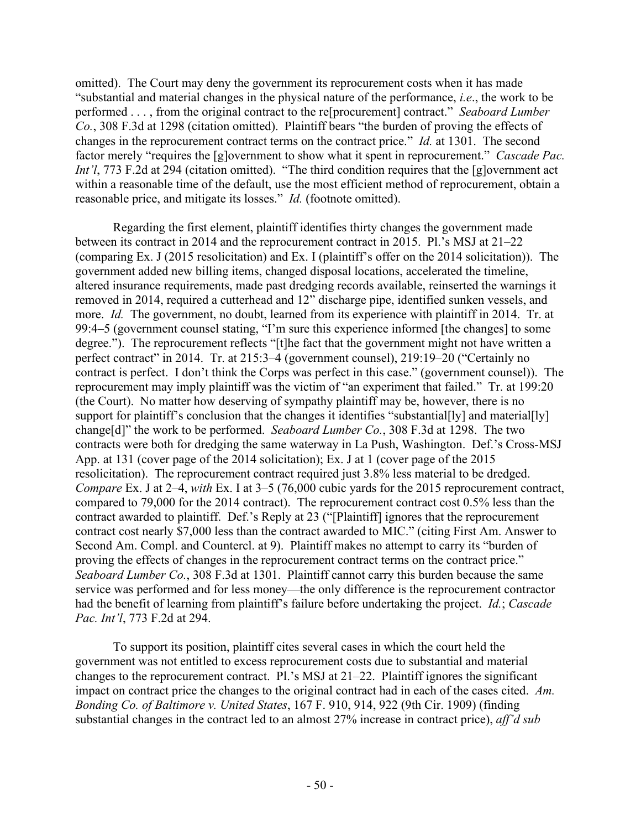omitted). The Court may deny the government its reprocurement costs when it has made "substantial and material changes in the physical nature of the performance, *i.e*., the work to be performed . . . , from the original contract to the re[procurement] contract." *Seaboard Lumber Co.*, 308 F.3d at 1298 (citation omitted). Plaintiff bears "the burden of proving the effects of changes in the reprocurement contract terms on the contract price." *Id.* at 1301. The second factor merely "requires the [g]overnment to show what it spent in reprocurement." *Cascade Pac. Int'l*, 773 F.2d at 294 (citation omitted). "The third condition requires that the [g]overnment act within a reasonable time of the default, use the most efficient method of reprocurement, obtain a reasonable price, and mitigate its losses." *Id.* (footnote omitted).

Regarding the first element, plaintiff identifies thirty changes the government made between its contract in 2014 and the reprocurement contract in 2015. Pl.'s MSJ at 21–22 (comparing Ex. J (2015 resolicitation) and Ex. I (plaintiff's offer on the 2014 solicitation)). The government added new billing items, changed disposal locations, accelerated the timeline, altered insurance requirements, made past dredging records available, reinserted the warnings it removed in 2014, required a cutterhead and 12" discharge pipe, identified sunken vessels, and more. *Id.* The government, no doubt, learned from its experience with plaintiff in 2014. Tr. at 99:4–5 (government counsel stating, "I'm sure this experience informed [the changes] to some degree."). The reprocurement reflects "[t]he fact that the government might not have written a perfect contract" in 2014. Tr. at 215:3–4 (government counsel), 219:19–20 ("Certainly no contract is perfect. I don't think the Corps was perfect in this case." (government counsel)). The reprocurement may imply plaintiff was the victim of "an experiment that failed." Tr. at 199:20 (the Court). No matter how deserving of sympathy plaintiff may be, however, there is no support for plaintiff's conclusion that the changes it identifies "substantial[ly] and material[ly] change[d]" the work to be performed. *Seaboard Lumber Co.*, 308 F.3d at 1298. The two contracts were both for dredging the same waterway in La Push, Washington. Def.'s Cross-MSJ App. at 131 (cover page of the 2014 solicitation); Ex. J at 1 (cover page of the 2015 resolicitation). The reprocurement contract required just 3.8% less material to be dredged. *Compare* Ex. J at 2–4, *with* Ex. I at 3–5 (76,000 cubic yards for the 2015 reprocurement contract, compared to 79,000 for the 2014 contract). The reprocurement contract cost 0.5% less than the contract awarded to plaintiff. Def.'s Reply at 23 ("[Plaintiff] ignores that the reprocurement contract cost nearly \$7,000 less than the contract awarded to MIC." (citing First Am. Answer to Second Am. Compl. and Countercl. at 9). Plaintiff makes no attempt to carry its "burden of proving the effects of changes in the reprocurement contract terms on the contract price." *Seaboard Lumber Co.*, 308 F.3d at 1301. Plaintiff cannot carry this burden because the same service was performed and for less money—the only difference is the reprocurement contractor had the benefit of learning from plaintiff's failure before undertaking the project. *Id.*; *Cascade Pac. Int'l*, 773 F.2d at 294.

To support its position, plaintiff cites several cases in which the court held the government was not entitled to excess reprocurement costs due to substantial and material changes to the reprocurement contract. Pl.'s MSJ at 21–22. Plaintiff ignores the significant impact on contract price the changes to the original contract had in each of the cases cited. *Am. Bonding Co. of Baltimore v. United States*, 167 F. 910, 914, 922 (9th Cir. 1909) (finding substantial changes in the contract led to an almost 27% increase in contract price), *aff'd sub*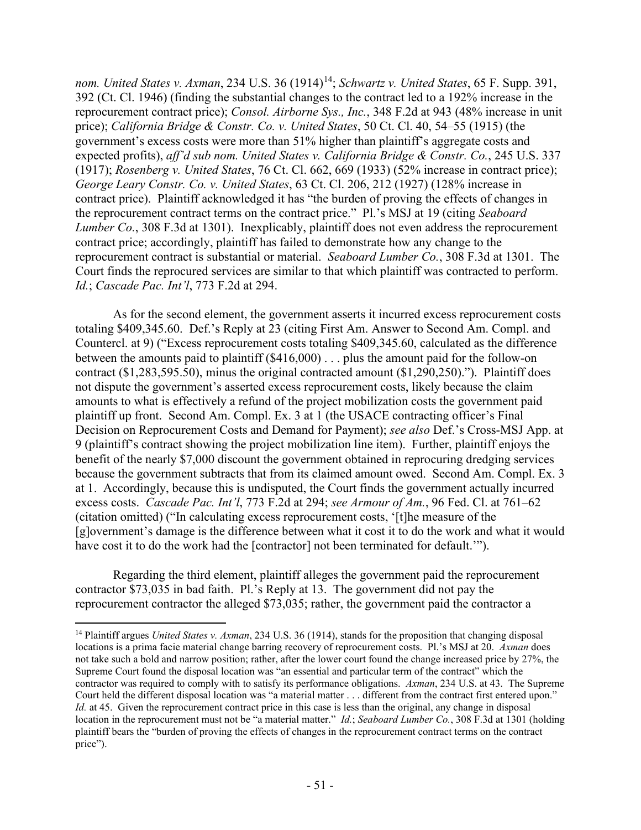*nom. United States v. Axman, 234 U.S. 36 (1914)<sup>14</sup>; <i>Schwartz v. United States, 65 F. Supp. 391,* 392 (Ct. Cl. 1946) (finding the substantial changes to the contract led to a 192% increase in the reprocurement contract price); *Consol. Airborne Sys., Inc.*, 348 F.2d at 943 (48% increase in unit price); *California Bridge & Constr. Co. v. United States*, 50 Ct. Cl. 40, 54–55 (1915) (the government's excess costs were more than 51% higher than plaintiff's aggregate costs and expected profits), *aff'd sub nom. United States v. California Bridge & Constr. Co.*, 245 U.S. 337 (1917); *Rosenberg v. United States*, 76 Ct. Cl. 662, 669 (1933) (52% increase in contract price); *George Leary Constr. Co. v. United States*, 63 Ct. Cl. 206, 212 (1927) (128% increase in contract price). Plaintiff acknowledged it has "the burden of proving the effects of changes in the reprocurement contract terms on the contract price." Pl.'s MSJ at 19 (citing *Seaboard Lumber Co.*, 308 F.3d at 1301). Inexplicably, plaintiff does not even address the reprocurement contract price; accordingly, plaintiff has failed to demonstrate how any change to the reprocurement contract is substantial or material. *Seaboard Lumber Co.*, 308 F.3d at 1301. The Court finds the reprocured services are similar to that which plaintiff was contracted to perform. *Id.*; *Cascade Pac. Int'l*, 773 F.2d at 294.

As for the second element, the government asserts it incurred excess reprocurement costs totaling \$409,345.60. Def.'s Reply at 23 (citing First Am. Answer to Second Am. Compl. and Countercl. at 9) ("Excess reprocurement costs totaling \$409,345.60, calculated as the difference between the amounts paid to plaintiff (\$416,000) . . . plus the amount paid for the follow-on contract (\$1,283,595.50), minus the original contracted amount (\$1,290,250)."). Plaintiff does not dispute the government's asserted excess reprocurement costs, likely because the claim amounts to what is effectively a refund of the project mobilization costs the government paid plaintiff up front. Second Am. Compl. Ex. 3 at 1 (the USACE contracting officer's Final Decision on Reprocurement Costs and Demand for Payment); *see also* Def.'s Cross-MSJ App. at 9 (plaintiff's contract showing the project mobilization line item). Further, plaintiff enjoys the benefit of the nearly \$7,000 discount the government obtained in reprocuring dredging services because the government subtracts that from its claimed amount owed. Second Am. Compl. Ex. 3 at 1. Accordingly, because this is undisputed, the Court finds the government actually incurred excess costs. *Cascade Pac. Int'l*, 773 F.2d at 294; *see Armour of Am.*, 96 Fed. Cl. at 761–62 (citation omitted) ("In calculating excess reprocurement costs, '[t]he measure of the [g]overnment's damage is the difference between what it cost it to do the work and what it would have cost it to do the work had the [contractor] not been terminated for default."").

Regarding the third element, plaintiff alleges the government paid the reprocurement contractor \$73,035 in bad faith. Pl.'s Reply at 13. The government did not pay the reprocurement contractor the alleged \$73,035; rather, the government paid the contractor a

<span id="page-50-0"></span><sup>14</sup> Plaintiff argues *United States v. Axman*, 234 U.S. 36 (1914), stands for the proposition that changing disposal locations is a prima facie material change barring recovery of reprocurement costs. Pl.'s MSJ at 20. *Axman* does not take such a bold and narrow position; rather, after the lower court found the change increased price by 27%, the Supreme Court found the disposal location was "an essential and particular term of the contract" which the contractor was required to comply with to satisfy its performance obligations. *Axman*, 234 U.S. at 43. The Supreme Court held the different disposal location was "a material matter . . . different from the contract first entered upon." *Id.* at 45. Given the reprocurement contract price in this case is less than the original, any change in disposal location in the reprocurement must not be "a material matter." *Id.*; *Seaboard Lumber Co.*, 308 F.3d at 1301 (holding plaintiff bears the "burden of proving the effects of changes in the reprocurement contract terms on the contract price").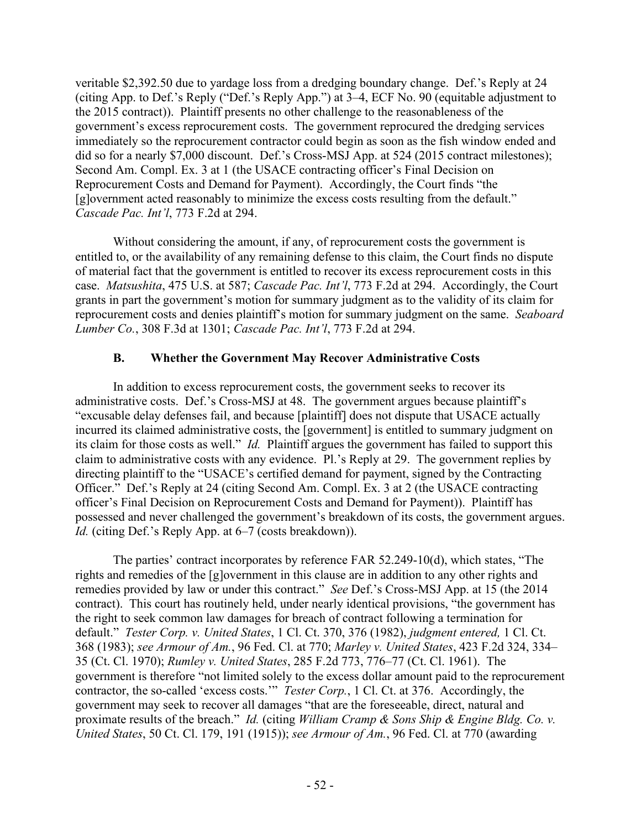veritable \$2,392.50 due to yardage loss from a dredging boundary change. Def.'s Reply at 24 (citing App. to Def.'s Reply ("Def.'s Reply App.") at 3–4, ECF No. 90 (equitable adjustment to the 2015 contract)). Plaintiff presents no other challenge to the reasonableness of the government's excess reprocurement costs. The government reprocured the dredging services immediately so the reprocurement contractor could begin as soon as the fish window ended and did so for a nearly \$7,000 discount. Def.'s Cross-MSJ App. at 524 (2015 contract milestones); Second Am. Compl. Ex. 3 at 1 (the USACE contracting officer's Final Decision on Reprocurement Costs and Demand for Payment). Accordingly, the Court finds "the [g]overnment acted reasonably to minimize the excess costs resulting from the default." *Cascade Pac. Int'l*, 773 F.2d at 294.

Without considering the amount, if any, of reprocurement costs the government is entitled to, or the availability of any remaining defense to this claim, the Court finds no dispute of material fact that the government is entitled to recover its excess reprocurement costs in this case. *Matsushita*, 475 U.S. at 587; *Cascade Pac. Int'l*, 773 F.2d at 294. Accordingly, the Court grants in part the government's motion for summary judgment as to the validity of its claim for reprocurement costs and denies plaintiff's motion for summary judgment on the same. *Seaboard Lumber Co.*, 308 F.3d at 1301; *Cascade Pac. Int'l*, 773 F.2d at 294.

# **B. Whether the Government May Recover Administrative Costs**

In addition to excess reprocurement costs, the government seeks to recover its administrative costs. Def.'s Cross-MSJ at 48. The government argues because plaintiff's "excusable delay defenses fail, and because [plaintiff] does not dispute that USACE actually incurred its claimed administrative costs, the [government] is entitled to summary judgment on its claim for those costs as well." *Id.* Plaintiff argues the government has failed to support this claim to administrative costs with any evidence. Pl.'s Reply at 29. The government replies by directing plaintiff to the "USACE's certified demand for payment, signed by the Contracting Officer." Def.'s Reply at 24 (citing Second Am. Compl. Ex. 3 at 2 (the USACE contracting officer's Final Decision on Reprocurement Costs and Demand for Payment)). Plaintiff has possessed and never challenged the government's breakdown of its costs, the government argues. *Id.* (citing Def.'s Reply App. at 6–7 (costs breakdown)).

The parties' contract incorporates by reference FAR 52.249-10(d), which states, "The rights and remedies of the [g]overnment in this clause are in addition to any other rights and remedies provided by law or under this contract." *See* Def.'s Cross-MSJ App. at 15 (the 2014 contract). This court has routinely held, under nearly identical provisions, "the government has the right to seek common law damages for breach of contract following a termination for default." *Tester Corp. v. United States*, 1 Cl. Ct. 370, 376 (1982), *judgment entered,* 1 Cl. Ct. 368 (1983); *see Armour of Am.*, 96 Fed. Cl. at 770; *Marley v. United States*, 423 F.2d 324, 334– 35 (Ct. Cl. 1970); *Rumley v. United States*, 285 F.2d 773, 776–77 (Ct. Cl. 1961). The government is therefore "not limited solely to the excess dollar amount paid to the reprocurement contractor, the so-called 'excess costs.'" *Tester Corp.*, 1 Cl. Ct. at 376. Accordingly, the government may seek to recover all damages "that are the foreseeable, direct, natural and proximate results of the breach." *Id.* (citing *William Cramp & Sons Ship & Engine Bldg. Co. v. United States*, 50 Ct. Cl. 179, 191 (1915)); *see Armour of Am.*, 96 Fed. Cl. at 770 (awarding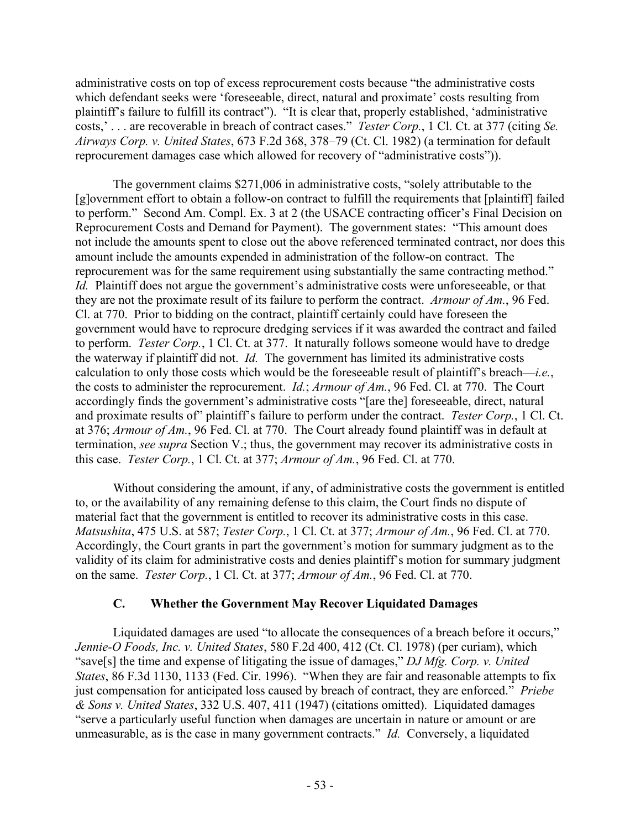administrative costs on top of excess reprocurement costs because "the administrative costs which defendant seeks were 'foreseeable, direct, natural and proximate' costs resulting from plaintiff's failure to fulfill its contract"). "It is clear that, properly established, 'administrative costs,' . . . are recoverable in breach of contract cases." *Tester Corp.*, 1 Cl. Ct. at 377 (citing *Se. Airways Corp. v. United States*, 673 F.2d 368, 378–79 (Ct. Cl. 1982) (a termination for default reprocurement damages case which allowed for recovery of "administrative costs")).

The government claims \$271,006 in administrative costs, "solely attributable to the [g]overnment effort to obtain a follow-on contract to fulfill the requirements that [plaintiff] failed to perform." Second Am. Compl. Ex. 3 at 2 (the USACE contracting officer's Final Decision on Reprocurement Costs and Demand for Payment). The government states: "This amount does not include the amounts spent to close out the above referenced terminated contract, nor does this amount include the amounts expended in administration of the follow-on contract. The reprocurement was for the same requirement using substantially the same contracting method." *Id.* Plaintiff does not argue the government's administrative costs were unforeseeable, or that they are not the proximate result of its failure to perform the contract. *Armour of Am.*, 96 Fed. Cl. at 770. Prior to bidding on the contract, plaintiff certainly could have foreseen the government would have to reprocure dredging services if it was awarded the contract and failed to perform. *Tester Corp.*, 1 Cl. Ct. at 377. It naturally follows someone would have to dredge the waterway if plaintiff did not. *Id.* The government has limited its administrative costs calculation to only those costs which would be the foreseeable result of plaintiff's breach—*i.e.*, the costs to administer the reprocurement. *Id.*; *Armour of Am.*, 96 Fed. Cl. at 770. The Court accordingly finds the government's administrative costs "[are the] foreseeable, direct, natural and proximate results of" plaintiff's failure to perform under the contract. *Tester Corp.*, 1 Cl. Ct. at 376; *Armour of Am.*, 96 Fed. Cl. at 770. The Court already found plaintiff was in default at termination, *see supra* Section V.; thus, the government may recover its administrative costs in this case. *Tester Corp.*, 1 Cl. Ct. at 377; *Armour of Am.*, 96 Fed. Cl. at 770.

Without considering the amount, if any, of administrative costs the government is entitled to, or the availability of any remaining defense to this claim, the Court finds no dispute of material fact that the government is entitled to recover its administrative costs in this case. *Matsushita*, 475 U.S. at 587; *Tester Corp.*, 1 Cl. Ct. at 377; *Armour of Am.*, 96 Fed. Cl. at 770. Accordingly, the Court grants in part the government's motion for summary judgment as to the validity of its claim for administrative costs and denies plaintiff's motion for summary judgment on the same. *Tester Corp.*, 1 Cl. Ct. at 377; *Armour of Am.*, 96 Fed. Cl. at 770.

# **C. Whether the Government May Recover Liquidated Damages**

Liquidated damages are used "to allocate the consequences of a breach before it occurs," *Jennie-O Foods, Inc. v. United States*, 580 F.2d 400, 412 (Ct. Cl. 1978) (per curiam), which "save[s] the time and expense of litigating the issue of damages," *DJ Mfg. Corp. v. United States*, 86 F.3d 1130, 1133 (Fed. Cir. 1996). "When they are fair and reasonable attempts to fix just compensation for anticipated loss caused by breach of contract, they are enforced." *Priebe & Sons v. United States*, 332 U.S. 407, 411 (1947) (citations omitted). Liquidated damages "serve a particularly useful function when damages are uncertain in nature or amount or are unmeasurable, as is the case in many government contracts." *Id.* Conversely, a liquidated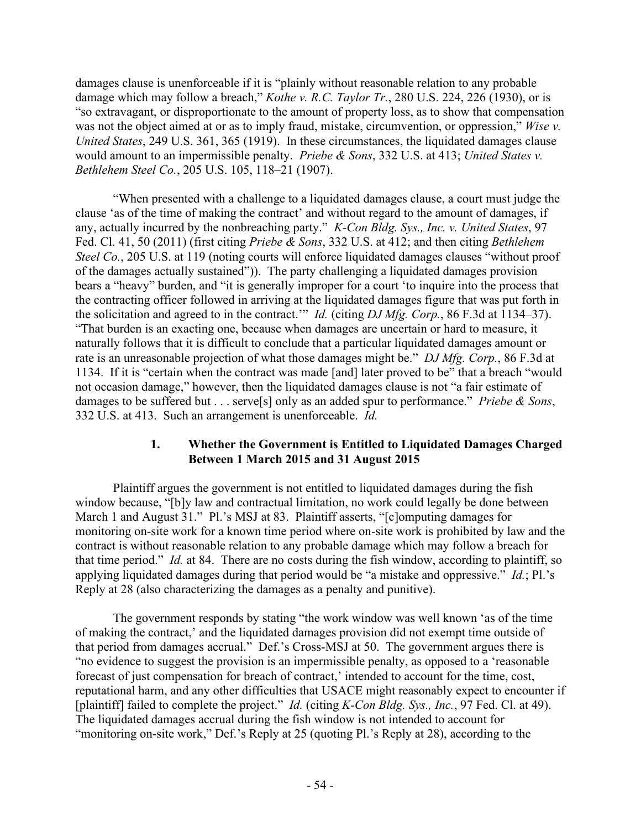damages clause is unenforceable if it is "plainly without reasonable relation to any probable damage which may follow a breach," *Kothe v. R.C. Taylor Tr.*, 280 U.S. 224, 226 (1930), or is "so extravagant, or disproportionate to the amount of property loss, as to show that compensation was not the object aimed at or as to imply fraud, mistake, circumvention, or oppression," *Wise v. United States*, 249 U.S. 361, 365 (1919). In these circumstances, the liquidated damages clause would amount to an impermissible penalty. *Priebe & Sons*, 332 U.S. at 413; *United States v. Bethlehem Steel Co.*, 205 U.S. 105, 118–21 (1907).

"When presented with a challenge to a liquidated damages clause, a court must judge the clause 'as of the time of making the contract' and without regard to the amount of damages, if any, actually incurred by the nonbreaching party." *K-Con Bldg. Sys., Inc. v. United States*, 97 Fed. Cl. 41, 50 (2011) (first citing *Priebe & Sons*, 332 U.S. at 412; and then citing *Bethlehem Steel Co.*, 205 U.S. at 119 (noting courts will enforce liquidated damages clauses "without proof of the damages actually sustained")). The party challenging a liquidated damages provision bears a "heavy" burden, and "it is generally improper for a court 'to inquire into the process that the contracting officer followed in arriving at the liquidated damages figure that was put forth in the solicitation and agreed to in the contract.'" *Id.* (citing *DJ Mfg. Corp.*, 86 F.3d at 1134–37). "That burden is an exacting one, because when damages are uncertain or hard to measure, it naturally follows that it is difficult to conclude that a particular liquidated damages amount or rate is an unreasonable projection of what those damages might be." *DJ Mfg. Corp.*, 86 F.3d at 1134. If it is "certain when the contract was made [and] later proved to be" that a breach "would not occasion damage," however, then the liquidated damages clause is not "a fair estimate of damages to be suffered but . . . serve[s] only as an added spur to performance." *Priebe & Sons*, 332 U.S. at 413. Such an arrangement is unenforceable. *Id.*

#### **1. Whether the Government is Entitled to Liquidated Damages Charged Between 1 March 2015 and 31 August 2015**

Plaintiff argues the government is not entitled to liquidated damages during the fish window because, "[b]y law and contractual limitation, no work could legally be done between March 1 and August 31." Pl.'s MSJ at 83. Plaintiff asserts, "[c]omputing damages for monitoring on-site work for a known time period where on-site work is prohibited by law and the contract is without reasonable relation to any probable damage which may follow a breach for that time period." *Id.* at 84. There are no costs during the fish window, according to plaintiff, so applying liquidated damages during that period would be "a mistake and oppressive." *Id.*; Pl.'s Reply at 28 (also characterizing the damages as a penalty and punitive).

The government responds by stating "the work window was well known 'as of the time of making the contract,' and the liquidated damages provision did not exempt time outside of that period from damages accrual." Def.'s Cross-MSJ at 50. The government argues there is "no evidence to suggest the provision is an impermissible penalty, as opposed to a 'reasonable forecast of just compensation for breach of contract,' intended to account for the time, cost, reputational harm, and any other difficulties that USACE might reasonably expect to encounter if [plaintiff] failed to complete the project." *Id.* (citing *K-Con Bldg. Sys., Inc.*, 97 Fed. Cl. at 49). The liquidated damages accrual during the fish window is not intended to account for "monitoring on-site work," Def.'s Reply at 25 (quoting Pl.'s Reply at 28), according to the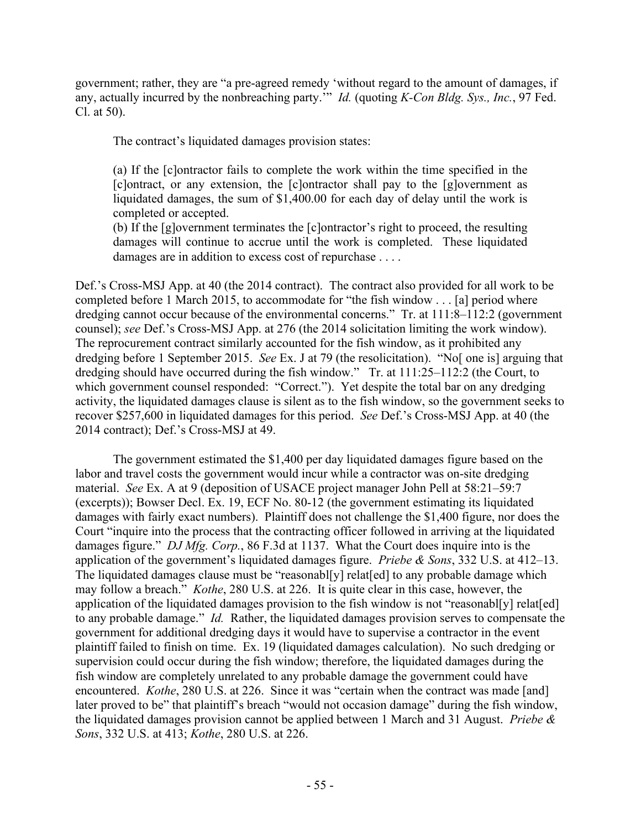government; rather, they are "a pre-agreed remedy 'without regard to the amount of damages, if any, actually incurred by the nonbreaching party.'" *Id.* (quoting *K-Con Bldg. Sys., Inc.*, 97 Fed. Cl. at 50).

The contract's liquidated damages provision states:

(a) If the [c]ontractor fails to complete the work within the time specified in the [c]ontract, or any extension, the [c]ontractor shall pay to the [g]overnment as liquidated damages, the sum of \$1,400.00 for each day of delay until the work is completed or accepted.

(b) If the [g]overnment terminates the [c]ontractor's right to proceed, the resulting damages will continue to accrue until the work is completed. These liquidated damages are in addition to excess cost of repurchase . . . .

Def.'s Cross-MSJ App. at 40 (the 2014 contract). The contract also provided for all work to be completed before 1 March 2015, to accommodate for "the fish window . . . [a] period where dredging cannot occur because of the environmental concerns." Tr. at 111:8–112:2 (government counsel); *see* Def.'s Cross-MSJ App. at 276 (the 2014 solicitation limiting the work window). The reprocurement contract similarly accounted for the fish window, as it prohibited any dredging before 1 September 2015. *See* Ex. J at 79 (the resolicitation). "No[ one is] arguing that dredging should have occurred during the fish window." Tr. at 111:25–112:2 (the Court, to which government counsel responded: "Correct."). Yet despite the total bar on any dredging activity, the liquidated damages clause is silent as to the fish window, so the government seeks to recover \$257,600 in liquidated damages for this period. *See* Def.'s Cross-MSJ App. at 40 (the 2014 contract); Def.'s Cross-MSJ at 49.

The government estimated the \$1,400 per day liquidated damages figure based on the labor and travel costs the government would incur while a contractor was on-site dredging material. *See* Ex. A at 9 (deposition of USACE project manager John Pell at 58:21–59:7 (excerpts)); Bowser Decl. Ex. 19, ECF No. 80-12 (the government estimating its liquidated damages with fairly exact numbers). Plaintiff does not challenge the \$1,400 figure, nor does the Court "inquire into the process that the contracting officer followed in arriving at the liquidated damages figure." *DJ Mfg. Corp.*, 86 F.3d at 1137. What the Court does inquire into is the application of the government's liquidated damages figure. *Priebe & Sons*, 332 U.S. at 412–13. The liquidated damages clause must be "reasonabl[y] relat[ed] to any probable damage which may follow a breach." *Kothe*, 280 U.S. at 226. It is quite clear in this case, however, the application of the liquidated damages provision to the fish window is not "reasonabl[y] relat[ed] to any probable damage." *Id.* Rather, the liquidated damages provision serves to compensate the government for additional dredging days it would have to supervise a contractor in the event plaintiff failed to finish on time. Ex. 19 (liquidated damages calculation). No such dredging or supervision could occur during the fish window; therefore, the liquidated damages during the fish window are completely unrelated to any probable damage the government could have encountered. *Kothe*, 280 U.S. at 226. Since it was "certain when the contract was made [and] later proved to be" that plaintiff's breach "would not occasion damage" during the fish window, the liquidated damages provision cannot be applied between 1 March and 31 August. *Priebe & Sons*, 332 U.S. at 413; *Kothe*, 280 U.S. at 226.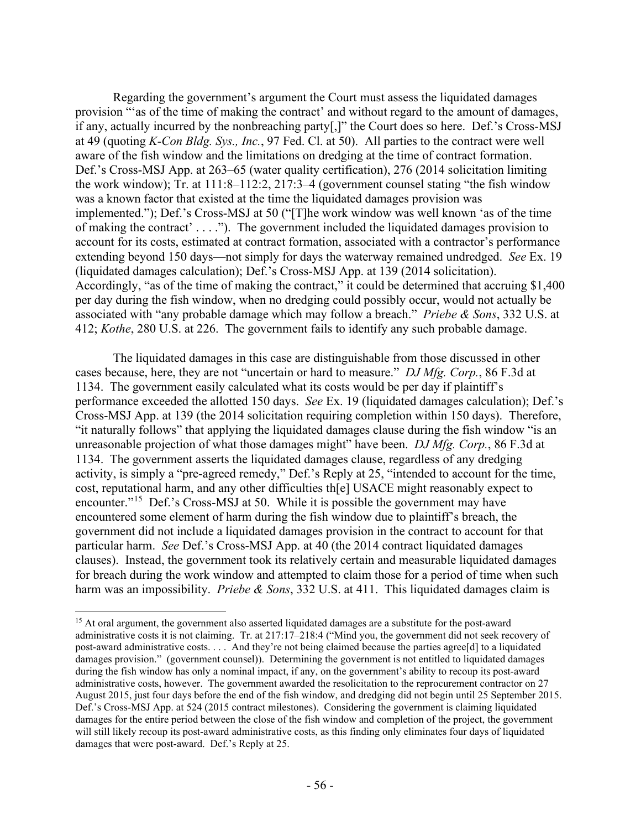Regarding the government's argument the Court must assess the liquidated damages provision "'as of the time of making the contract' and without regard to the amount of damages, if any, actually incurred by the nonbreaching party[,]" the Court does so here. Def.'s Cross-MSJ at 49 (quoting *K-Con Bldg. Sys., Inc.*, 97 Fed. Cl. at 50). All parties to the contract were well aware of the fish window and the limitations on dredging at the time of contract formation. Def.'s Cross-MSJ App. at 263–65 (water quality certification), 276 (2014 solicitation limiting the work window); Tr. at 111:8–112:2, 217:3–4 (government counsel stating "the fish window was a known factor that existed at the time the liquidated damages provision was implemented."); Def.'s Cross-MSJ at 50 ("[T]he work window was well known 'as of the time of making the contract' . . . ."). The government included the liquidated damages provision to account for its costs, estimated at contract formation, associated with a contractor's performance extending beyond 150 days—not simply for days the waterway remained undredged. *See* Ex. 19 (liquidated damages calculation); Def.'s Cross-MSJ App. at 139 (2014 solicitation). Accordingly, "as of the time of making the contract," it could be determined that accruing \$1,400 per day during the fish window, when no dredging could possibly occur, would not actually be associated with "any probable damage which may follow a breach." *Priebe & Sons*, 332 U.S. at 412; *Kothe*, 280 U.S. at 226. The government fails to identify any such probable damage.

The liquidated damages in this case are distinguishable from those discussed in other cases because, here, they are not "uncertain or hard to measure." *DJ Mfg. Corp.*, 86 F.3d at 1134. The government easily calculated what its costs would be per day if plaintiff's performance exceeded the allotted 150 days. *See* Ex. 19 (liquidated damages calculation); Def.'s Cross-MSJ App. at 139 (the 2014 solicitation requiring completion within 150 days). Therefore, "it naturally follows" that applying the liquidated damages clause during the fish window "is an unreasonable projection of what those damages might" have been. *DJ Mfg. Corp.*, 86 F.3d at 1134. The government asserts the liquidated damages clause, regardless of any dredging activity, is simply a "pre-agreed remedy," Def.'s Reply at 25, "intended to account for the time, cost, reputational harm, and any other difficulties th[e] USACE might reasonably expect to encounter."<sup>[15](#page-55-0)</sup> Def.'s Cross-MSJ at 50. While it is possible the government may have encountered some element of harm during the fish window due to plaintiff's breach, the government did not include a liquidated damages provision in the contract to account for that particular harm. *See* Def.'s Cross-MSJ App. at 40 (the 2014 contract liquidated damages clauses). Instead, the government took its relatively certain and measurable liquidated damages for breach during the work window and attempted to claim those for a period of time when such harm was an impossibility. *Priebe & Sons*, 332 U.S. at 411. This liquidated damages claim is

<span id="page-55-0"></span><sup>&</sup>lt;sup>15</sup> At oral argument, the government also asserted liquidated damages are a substitute for the post-award administrative costs it is not claiming. Tr. at 217:17–218:4 ("Mind you, the government did not seek recovery of post-award administrative costs. . . . And they're not being claimed because the parties agree[d] to a liquidated damages provision." (government counsel)). Determining the government is not entitled to liquidated damages during the fish window has only a nominal impact, if any, on the government's ability to recoup its post-award administrative costs, however. The government awarded the resolicitation to the reprocurement contractor on 27 August 2015, just four days before the end of the fish window, and dredging did not begin until 25 September 2015. Def.'s Cross-MSJ App. at 524 (2015 contract milestones). Considering the government is claiming liquidated damages for the entire period between the close of the fish window and completion of the project, the government will still likely recoup its post-award administrative costs, as this finding only eliminates four days of liquidated damages that were post-award. Def.'s Reply at 25.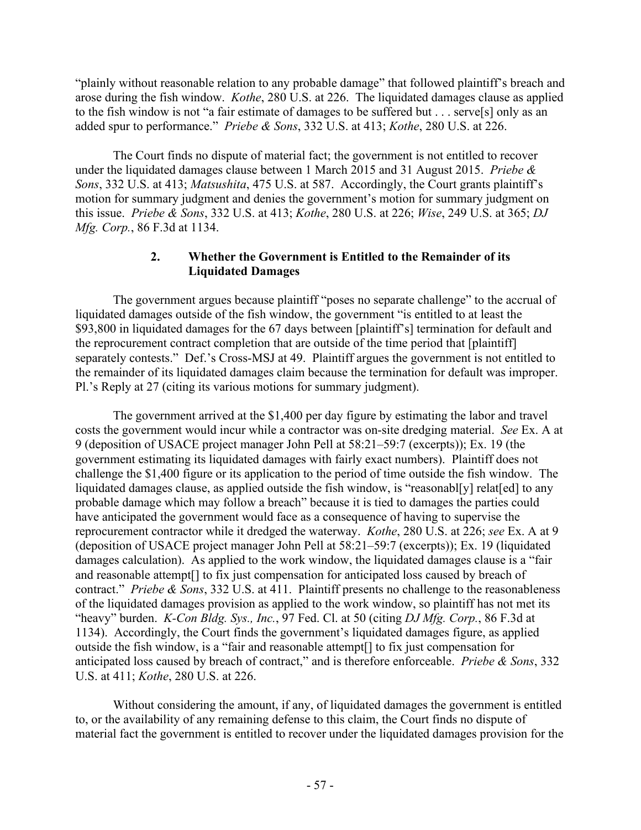"plainly without reasonable relation to any probable damage" that followed plaintiff's breach and arose during the fish window. *Kothe*, 280 U.S. at 226. The liquidated damages clause as applied to the fish window is not "a fair estimate of damages to be suffered but . . . serve[s] only as an added spur to performance." *Priebe & Sons*, 332 U.S. at 413; *Kothe*, 280 U.S. at 226.

The Court finds no dispute of material fact; the government is not entitled to recover under the liquidated damages clause between 1 March 2015 and 31 August 2015. *Priebe & Sons*, 332 U.S. at 413; *Matsushita*, 475 U.S. at 587. Accordingly, the Court grants plaintiff's motion for summary judgment and denies the government's motion for summary judgment on this issue. *Priebe & Sons*, 332 U.S. at 413; *Kothe*, 280 U.S. at 226; *Wise*, 249 U.S. at 365; *DJ Mfg. Corp.*, 86 F.3d at 1134.

# **2. Whether the Government is Entitled to the Remainder of its Liquidated Damages**

The government argues because plaintiff "poses no separate challenge" to the accrual of liquidated damages outside of the fish window, the government "is entitled to at least the \$93,800 in liquidated damages for the 67 days between [plaintiff's] termination for default and the reprocurement contract completion that are outside of the time period that [plaintiff] separately contests." Def.'s Cross-MSJ at 49. Plaintiff argues the government is not entitled to the remainder of its liquidated damages claim because the termination for default was improper. Pl.'s Reply at 27 (citing its various motions for summary judgment).

The government arrived at the \$1,400 per day figure by estimating the labor and travel costs the government would incur while a contractor was on-site dredging material. *See* Ex. A at 9 (deposition of USACE project manager John Pell at 58:21–59:7 (excerpts)); Ex. 19 (the government estimating its liquidated damages with fairly exact numbers). Plaintiff does not challenge the \$1,400 figure or its application to the period of time outside the fish window. The liquidated damages clause, as applied outside the fish window, is "reasonabl[y] relat[ed] to any probable damage which may follow a breach" because it is tied to damages the parties could have anticipated the government would face as a consequence of having to supervise the reprocurement contractor while it dredged the waterway. *Kothe*, 280 U.S. at 226; *see* Ex. A at 9 (deposition of USACE project manager John Pell at 58:21–59:7 (excerpts)); Ex. 19 (liquidated damages calculation). As applied to the work window, the liquidated damages clause is a "fair and reasonable attempt[] to fix just compensation for anticipated loss caused by breach of contract." *Priebe & Sons*, 332 U.S. at 411. Plaintiff presents no challenge to the reasonableness of the liquidated damages provision as applied to the work window, so plaintiff has not met its "heavy" burden. *K-Con Bldg. Sys., Inc.*, 97 Fed. Cl. at 50 (citing *DJ Mfg. Corp.*, 86 F.3d at 1134). Accordingly, the Court finds the government's liquidated damages figure, as applied outside the fish window, is a "fair and reasonable attempt[] to fix just compensation for anticipated loss caused by breach of contract," and is therefore enforceable. *Priebe & Sons*, 332 U.S. at 411; *Kothe*, 280 U.S. at 226.

Without considering the amount, if any, of liquidated damages the government is entitled to, or the availability of any remaining defense to this claim, the Court finds no dispute of material fact the government is entitled to recover under the liquidated damages provision for the